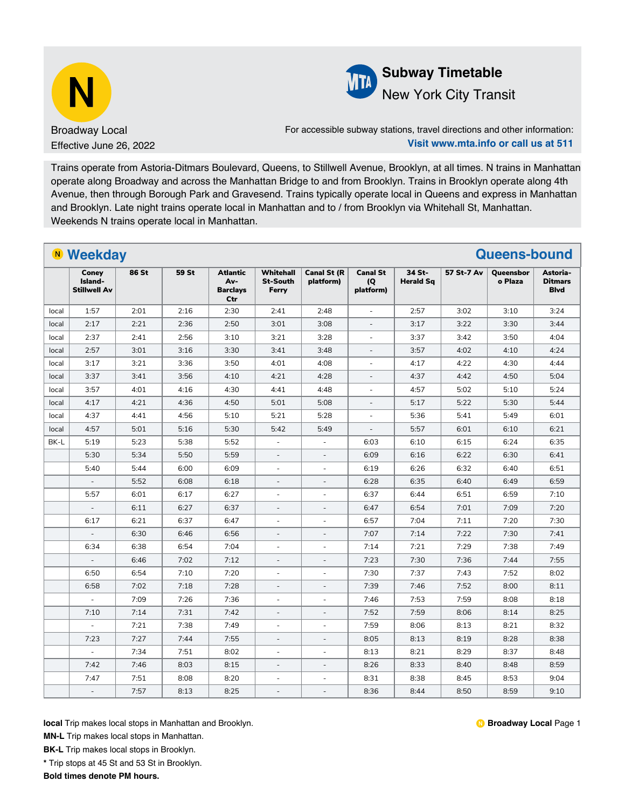



For accessible subway stations, travel directions and other information: **Visit www.mta.info or call us at 511**

Trains operate from Astoria-Ditmars Boulevard, Queens, to Stillwell Avenue, Brooklyn, at all times. N trains in Manhattan operate along Broadway and across the Manhattan Bridge to and from Brooklyn. Trains in Brooklyn operate along 4th Avenue, then through Borough Park and Gravesend. Trains typically operate local in Queens and express in Manhattan and Brooklyn. Late night trains operate local in Manhattan and to / from Brooklyn via Whitehall St, Manhattan. Weekends N trains operate local in Manhattan.

|       | <b>N</b> Weekday<br><b>Queens-bound</b> |       |       |                                                  |                                       |                                 |                                     |                            |            |                      |                                           |  |  |
|-------|-----------------------------------------|-------|-------|--------------------------------------------------|---------------------------------------|---------------------------------|-------------------------------------|----------------------------|------------|----------------------|-------------------------------------------|--|--|
|       | Coney<br>Island-<br><b>Stillwell Av</b> | 86 St | 59 St | <b>Atlantic</b><br>Av-<br><b>Barclays</b><br>Ctr | Whitehall<br><b>St-South</b><br>Ferry | <b>Canal St (R</b><br>platform) | <b>Canal St</b><br>(Q)<br>platform) | 34 St-<br><b>Herald Sq</b> | 57 St-7 Av | Queensbor<br>o Plaza | Astoria-<br><b>Ditmars</b><br><b>Blvd</b> |  |  |
| local | 1:57                                    | 2:01  | 2:16  | 2:30                                             | 2:41                                  | 2:48                            | $\bar{a}$                           | 2:57                       | 3:02       | 3:10                 | 3:24                                      |  |  |
| local | 2:17                                    | 2:21  | 2:36  | 2:50                                             | 3:01                                  | 3:08                            | ÷.                                  | 3:17                       | 3:22       | 3:30                 | 3:44                                      |  |  |
| local | 2:37                                    | 2:41  | 2:56  | 3:10                                             | 3:21                                  | 3:28                            | $\sim$                              | 3:37                       | 3:42       | 3:50                 | 4:04                                      |  |  |
| local | 2:57                                    | 3:01  | 3:16  | 3:30                                             | 3:41                                  | 3:48                            | ÷.                                  | 3:57                       | 4:02       | 4:10                 | 4:24                                      |  |  |
| local | 3:17                                    | 3:21  | 3:36  | 3:50                                             | 4:01                                  | 4:08                            | $\sim$                              | 4:17                       | 4:22       | 4:30                 | 4:44                                      |  |  |
| local | 3:37                                    | 3:41  | 3:56  | 4:10                                             | 4:21                                  | 4:28                            | $\overline{\phantom{a}}$            | 4:37                       | 4:42       | 4:50                 | 5:04                                      |  |  |
| local | 3:57                                    | 4:01  | 4:16  | 4:30                                             | 4:41                                  | 4:48                            | $\sim$                              | 4:57                       | 5:02       | 5:10                 | 5:24                                      |  |  |
| local | 4:17                                    | 4:21  | 4:36  | 4:50                                             | 5:01                                  | 5:08                            | $\overline{\phantom{a}}$            | 5:17                       | 5:22       | 5:30                 | 5:44                                      |  |  |
| local | 4:37                                    | 4:41  | 4:56  | 5:10                                             | 5:21                                  | 5:28                            | $\sim$                              | 5:36                       | 5:41       | 5:49                 | 6:01                                      |  |  |
| local | 4:57                                    | 5:01  | 5:16  | 5:30                                             | 5:42                                  | 5:49                            | ÷,                                  | 5:57                       | 6:01       | 6:10                 | 6:21                                      |  |  |
| BK-L  | 5:19                                    | 5:23  | 5:38  | 5:52                                             | $\overline{\phantom{a}}$              | ÷,                              | 6:03                                | 6:10                       | 6:15       | 6:24                 | 6:35                                      |  |  |
|       | 5:30                                    | 5:34  | 5:50  | 5:59                                             | $\overline{\phantom{a}}$              | $\overline{\phantom{a}}$        | 6:09                                | 6:16                       | 6:22       | 6:30                 | 6:41                                      |  |  |
|       | 5:40                                    | 5:44  | 6:00  | 6:09                                             | $\overline{\phantom{a}}$              | $\overline{\phantom{a}}$        | 6:19                                | 6:26                       | 6:32       | 6:40                 | 6:51                                      |  |  |
|       | $\overline{\phantom{a}}$                | 5:52  | 6:08  | 6:18                                             | $\overline{\phantom{a}}$              | $\overline{\phantom{a}}$        | 6:28                                | 6:35                       | 6:40       | 6:49                 | 6:59                                      |  |  |
|       | 5:57                                    | 6:01  | 6:17  | 6:27                                             | $\sim$                                | $\bar{a}$                       | 6:37                                | 6:44                       | 6:51       | 6:59                 | 7:10                                      |  |  |
|       |                                         | 6:11  | 6:27  | 6:37                                             | $\bar{a}$                             | L.                              | 6:47                                | 6:54                       | 7:01       | 7:09                 | 7:20                                      |  |  |
|       | 6:17                                    | 6:21  | 6:37  | 6:47                                             | ä,                                    | L.                              | 6:57                                | 7:04                       | 7:11       | 7:20                 | 7:30                                      |  |  |
|       | $\bar{a}$                               | 6:30  | 6:46  | 6:56                                             | $\overline{\phantom{a}}$              |                                 | 7:07                                | 7:14                       | 7:22       | 7:30                 | 7:41                                      |  |  |
|       | 6:34                                    | 6:38  | 6:54  | 7:04                                             | $\overline{\phantom{a}}$              | $\blacksquare$                  | 7:14                                | 7:21                       | 7:29       | 7:38                 | 7:49                                      |  |  |
|       | $\bar{a}$                               | 6:46  | 7:02  | 7:12                                             | $\overline{\phantom{a}}$              | $\bar{a}$                       | 7:23                                | 7:30                       | 7:36       | 7:44                 | 7:55                                      |  |  |
|       | 6:50                                    | 6:54  | 7:10  | 7:20                                             | $\overline{\phantom{a}}$              | $\overline{\phantom{a}}$        | 7:30                                | 7:37                       | 7:43       | 7:52                 | 8:02                                      |  |  |
|       | 6:58                                    | 7:02  | 7:18  | 7:28                                             | $\overline{\phantom{a}}$              | $\overline{\phantom{a}}$        | 7:39                                | 7:46                       | 7:52       | 8:00                 | 8:11                                      |  |  |
|       |                                         | 7:09  | 7:26  | 7:36                                             | $\overline{\phantom{a}}$              | $\sim$                          | 7:46                                | 7:53                       | 7:59       | 8:08                 | 8:18                                      |  |  |
|       | 7:10                                    | 7:14  | 7:31  | 7:42                                             | $\overline{a}$                        |                                 | 7:52                                | 7:59                       | 8:06       | 8:14                 | 8:25                                      |  |  |
|       | $\overline{\phantom{a}}$                | 7:21  | 7:38  | 7:49                                             | $\overline{\phantom{a}}$              | $\overline{\phantom{a}}$        | 7:59                                | 8:06                       | 8:13       | 8:21                 | 8:32                                      |  |  |
|       | 7:23                                    | 7:27  | 7:44  | 7:55                                             | $\overline{\phantom{a}}$              | $\overline{\phantom{a}}$        | 8:05                                | 8:13                       | 8:19       | 8:28                 | 8:38                                      |  |  |
|       | $\omega$                                | 7:34  | 7:51  | 8:02                                             | $\sim$                                | $\bar{\phantom{a}}$             | 8:13                                | 8:21                       | 8:29       | 8:37                 | 8:48                                      |  |  |
|       | 7:42                                    | 7:46  | 8:03  | 8:15                                             | $\bar{a}$                             | $\blacksquare$                  | 8:26                                | 8:33                       | 8:40       | 8:48                 | 8:59                                      |  |  |
|       | 7:47                                    | 7:51  | 8:08  | 8:20                                             | ÷                                     | ä,                              | 8:31                                | 8:38                       | 8:45       | 8:53                 | 9:04                                      |  |  |
|       | $\overline{a}$                          | 7:57  | 8:13  | 8:25                                             | ÷,                                    | L.                              | 8:36                                | 8:44                       | 8:50       | 8:59                 | 9:10                                      |  |  |

**local** Trip makes local stops in Manhattan and Brooklyn.

**MN-L** Trip makes local stops in Manhattan.

**BK-L** Trip makes local stops in Brooklyn.

**\*** Trip stops at 45 St and 53 St in Brooklyn.

**Bold times denote PM hours.**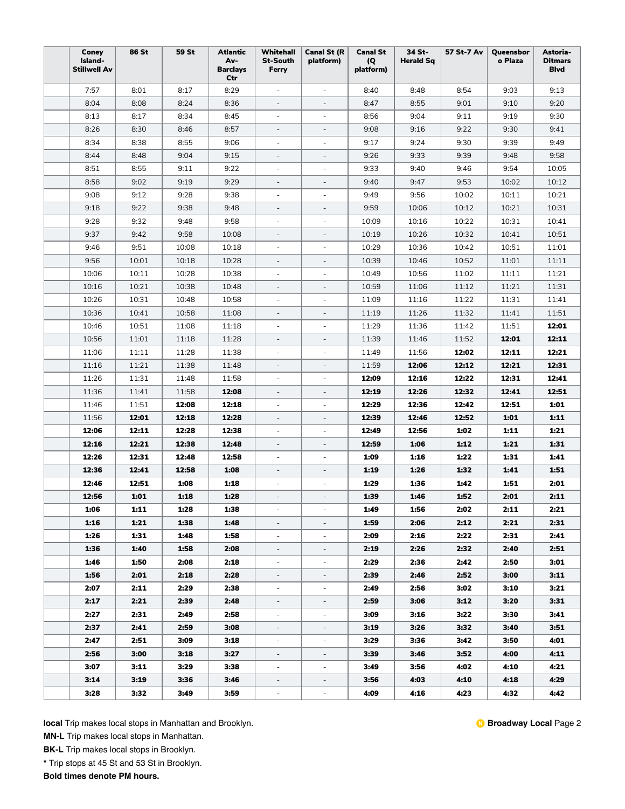| Coney<br>Island-<br><b>Stillwell Av</b> | <b>86 St</b> | <b>59 St</b> | <b>Atlantic</b><br>Av-<br><b>Barclays</b><br>Ctr | Whitehall<br><b>St-South</b><br>Ferry | <b>Canal St (R</b><br>platform) | <b>Canal St</b><br>(Q)<br>platform) | 34 St-<br><b>Herald Sq</b> | 57 St-7 Av | Queensbor<br>o Plaza | Astoria-<br><b>Ditmars</b><br><b>Blvd</b> |
|-----------------------------------------|--------------|--------------|--------------------------------------------------|---------------------------------------|---------------------------------|-------------------------------------|----------------------------|------------|----------------------|-------------------------------------------|
| 7:57                                    | 8:01         | 8:17         | 8:29                                             | $\overline{\phantom{a}}$              | $\overline{\phantom{a}}$        | 8:40                                | 8:48                       | 8:54       | 9:03                 | 9:13                                      |
| 8:04                                    | 8:08         | 8:24         | 8:36                                             | $\overline{\phantom{a}}$              | $\overline{\phantom{a}}$        | 8:47                                | 8:55                       | 9:01       | 9:10                 | 9:20                                      |
| 8:13                                    | 8:17         | 8:34         | 8:45                                             | $\overline{\phantom{a}}$              | $\overline{\phantom{a}}$        | 8:56                                | 9:04                       | 9:11       | 9:19                 | 9:30                                      |
| 8:26                                    | 8:30         | 8:46         | 8:57                                             | $\overline{\phantom{a}}$              | $\overline{\phantom{a}}$        | 9:08                                | 9:16                       | 9:22       | 9:30                 | 9:41                                      |
| 8:34                                    | 8:38         | 8:55         | 9:06                                             | $\overline{\phantom{a}}$              | $\overline{\phantom{a}}$        | 9:17                                | 9:24                       | 9:30       | 9:39                 | 9:49                                      |
| 8:44                                    | 8:48         | 9:04         | 9:15                                             | $\overline{\phantom{a}}$              | $\qquad \qquad -$               | 9:26                                | 9:33                       | 9:39       | 9:48                 | 9:58                                      |
| 8:51                                    | 8:55         | 9:11         | 9:22                                             | $\overline{\phantom{a}}$              | $\overline{\phantom{a}}$        | 9:33                                | 9:40                       | 9:46       | 9:54                 | 10:05                                     |
| 8:58                                    | 9:02         | 9:19         | 9:29                                             | $\overline{\phantom{a}}$              | $\overline{\phantom{a}}$        | 9:40                                | 9:47                       | 9:53       | 10:02                | 10:12                                     |
| 9:08                                    | 9:12         | 9:28         | 9:38                                             | $\overline{\phantom{a}}$              | $\overline{\phantom{a}}$        | 9:49                                | 9:56                       | 10:02      | 10:11                | 10:21                                     |
| 9:18                                    | 9:22         | 9:38         | 9:48                                             | $\overline{\phantom{m}}$              | $\overline{\phantom{a}}$        | 9:59                                | 10:06                      | 10:12      | 10:21                | 10:31                                     |
| 9:28                                    | 9:32         | 9:48         | 9:58                                             | $\overline{\phantom{0}}$              | $\overline{\phantom{a}}$        | 10:09                               | 10:16                      | 10:22      | 10:31                | 10:41                                     |
| 9:37                                    | 9:42         | 9:58         | 10:08                                            | ÷,                                    | $\overline{\phantom{a}}$        | 10:19                               | 10:26                      | 10:32      | 10:41                | 10:51                                     |
| 9:46                                    | 9:51         | 10:08        | 10:18                                            | ÷,                                    | ä,                              | 10:29                               | 10:36                      | 10:42      | 10:51                | 11:01                                     |
| 9:56                                    | 10:01        | 10:18        | 10:28                                            | $\overline{\phantom{m}}$              | $\qquad \qquad \blacksquare$    | 10:39                               | 10:46                      | 10:52      | 11:01                | 11:11                                     |
| 10:06                                   | 10:11        | 10:28        | 10:38                                            | $\overline{\phantom{a}}$              | $\overline{\phantom{a}}$        | 10:49                               | 10:56                      | 11:02      | 11:11                | 11:21                                     |
| 10:16                                   | 10:21        | 10:38        | 10:48                                            | $\overline{\phantom{a}}$              | $\overline{\phantom{a}}$        | 10:59                               | 11:06                      | 11:12      | 11:21                | 11:31                                     |
| 10:26                                   | 10:31        | 10:48        | 10:58                                            | ÷                                     | ÷,                              | 11:09                               | 11:16                      | 11:22      | 11:31                | 11:41                                     |
| 10:36                                   | 10:41        | 10:58        | 11:08                                            | $\overline{\phantom{0}}$              | $\overline{\phantom{a}}$        | 11:19                               | 11:26                      | 11:32      | 11:41                | 11:51                                     |
| 10:46                                   | 10:51        | 11:08        | 11:18                                            | $\overline{\phantom{0}}$              | $\overline{\phantom{a}}$        | 11:29                               | 11:36                      | 11:42      | 11:51                | 12:01                                     |
| 10:56                                   | 11:01        | 11:18        | 11:28                                            | $\bar{ }$                             | $\overline{\phantom{a}}$        | 11:39                               | 11:46                      | 11:52      | 12:01                | 12:11                                     |
| 11:06                                   | 11:11        | 11:28        | 11:38                                            | $\overline{\phantom{a}}$              | $\overline{\phantom{m}}$        | 11:49                               | 11:56                      | 12:02      | 12:11                | 12:21                                     |
| 11:16                                   | 11:21        | 11:38        | 11:48                                            | $\overline{\phantom{a}}$              | $\overline{\phantom{a}}$        | 11:59                               | 12:06                      | 12:12      | 12:21                | 12:31                                     |
| 11:26                                   | 11:31        | 11:48        | 11:58                                            | $\overline{\phantom{a}}$              | $\overline{\phantom{a}}$        | 12:09                               | 12:16                      | 12:22      | 12:31                | 12:41                                     |
| 11:36                                   | 11:41        | 11:58        | 12:08                                            | $\overline{\phantom{a}}$              | $\overline{\phantom{a}}$        | 12:19                               | 12:26                      | 12:32      | 12:41                | 12:51                                     |
| 11:46                                   | 11:51        | 12:08        | 12:18                                            | ÷                                     | $\overline{\phantom{a}}$        | 12:29                               | 12:36                      | 12:42      | 12:51                | 1:01                                      |
| 11:56                                   | 12:01        | 12:18        | 12:28                                            | $\overline{\phantom{m}}$              | $\overline{\phantom{a}}$        | 12:39                               | 12:46                      | 12:52      | 1:01                 | 1:11                                      |
| 12:06                                   | 12:11        | 12:28        | 12:38                                            | ۰                                     | $\overline{\phantom{m}}$        | 12:49                               | 12:56                      | 1:02       | 1:11                 | 1:21                                      |
| 12:16                                   | 12:21        | 12:38        | 12:48                                            |                                       | ÷,                              | 12:59                               | 1:06                       | 1:12       | 1:21                 | 1:31                                      |
| 12:26                                   | 12:31        | 12:48        | 12:58                                            | $\overline{\phantom{a}}$              | $\overline{\phantom{a}}$        | 1:09                                | 1:16                       | 1:22       | 1:31                 | 1:41                                      |
| 12:36                                   | 12:41        | 12:58        | 1:08                                             | $\overline{\phantom{a}}$              | $\overline{\phantom{a}}$        | 1:19                                | 1:26                       | 1:32       | 1:41                 | 1:51                                      |
| 12:46                                   | 12:51        | 1:08         | 1:18                                             | $\overline{\phantom{0}}$              | ÷,                              | 1:29                                | 1:36                       | 1:42       | 1:51                 | 2:01                                      |
| 12:56                                   | 1:01         | 1:18         | 1:28                                             |                                       | $\overline{\phantom{a}}$        | 1:39                                | 1:46                       | 1:52       | 2:01                 | 2:11                                      |
| 1:06                                    | 1:11         | 1:28         | 1:38                                             |                                       | $\overline{\phantom{a}}$        | 1:49                                | 1:56                       | 2:02       | 2:11                 | 2:21                                      |
| 1:16                                    | 1:21         | 1:38         | 1:48                                             |                                       | $\overline{\phantom{a}}$        | 1:59                                | 2:06                       | 2:12       | 2:21                 | 2:31                                      |
| 1:26                                    | 1:31         | 1:48         | 1:58                                             | $\overline{\phantom{0}}$              | $\overline{\phantom{a}}$        | 2:09                                | 2:16                       | 2:22       | 2:31                 | 2:41                                      |
| 1:36                                    | 1:40         | 1:58         | 2:08                                             | ۰,                                    | $\overline{\phantom{0}}$        | 2:19                                | 2:26                       | 2:32       | 2:40                 | 2:51                                      |
| 1:46                                    | 1:50         | 2:08         | 2:18                                             | $\overline{\phantom{a}}$              | $\overline{\phantom{a}}$        | 2:29                                | 2:36                       | 2:42       | 2:50                 | 3:01                                      |
| 1:56                                    | 2:01         | 2:18         | 2:28                                             | $\overline{\phantom{a}}$              | $\overline{\phantom{a}}$        | 2:39                                | 2:46                       | 2:52       | 3:00                 | 3:11                                      |
| 2:07                                    | 2:11         | 2:29         | 2:38                                             | $\overline{\phantom{a}}$              | $\overline{\phantom{a}}$        | 2:49                                | 2:56                       | 3:02       | 3:10                 | 3:21                                      |
| 2:17                                    | 2:21         | 2:39         | 2:48                                             | $\overline{\phantom{a}}$              | $\overline{\phantom{a}}$        | 2:59                                | 3:06                       | 3:12       | 3:20                 | 3:31                                      |
| 2:27                                    | 2:31         | 2:49         | 2:58                                             | $\frac{1}{2}$                         | $\overline{\phantom{a}}$        | 3:09                                | 3:16                       | 3:22       | 3:30                 | 3:41                                      |
| 2:37                                    | 2:41         | 2:59         | 3:08                                             | $\overline{\phantom{a}}$              | $\overline{\phantom{a}}$        | 3:19                                | 3:26                       | 3:32       | 3:40                 | 3:51                                      |
| 2:47                                    | 2:51         | 3:09         | 3:18                                             | $\overline{\phantom{a}}$              | $\overline{\phantom{a}}$        | 3:29                                | 3:36                       | 3:42       | 3:50                 | 4:01                                      |
| 2:56                                    | 3:00         | 3:18         | 3:27                                             | $\overline{\phantom{a}}$              | $\overline{\phantom{a}}$        | 3:39                                | 3:46                       | 3:52       | 4:00                 | 4:11                                      |
| 3:07                                    | 3:11         | 3:29         | 3:38                                             | $\overline{\phantom{a}}$              | ÷,                              | 3:49                                | 3:56                       | 4:02       | 4:10                 | 4:21                                      |
| 3:14                                    | 3:19         | 3:36         | 3:46                                             | $\overline{\phantom{a}}$              | $\overline{\phantom{a}}$        | 3:56                                | 4:03                       | 4:10       | 4:18                 | 4:29                                      |
| 3:28                                    | 3:32         | 3:49         | 3:59                                             |                                       | $\overline{\phantom{a}}$        | 4:09                                | 4:16                       | 4:23       | 4.32                 | 4:42                                      |

**MN-L** Trip makes local stops in Manhattan.

**BK-L** Trip makes local stops in Brooklyn.

**\*** Trip stops at 45 St and 53 St in Brooklyn.

**Bold times denote PM hours.**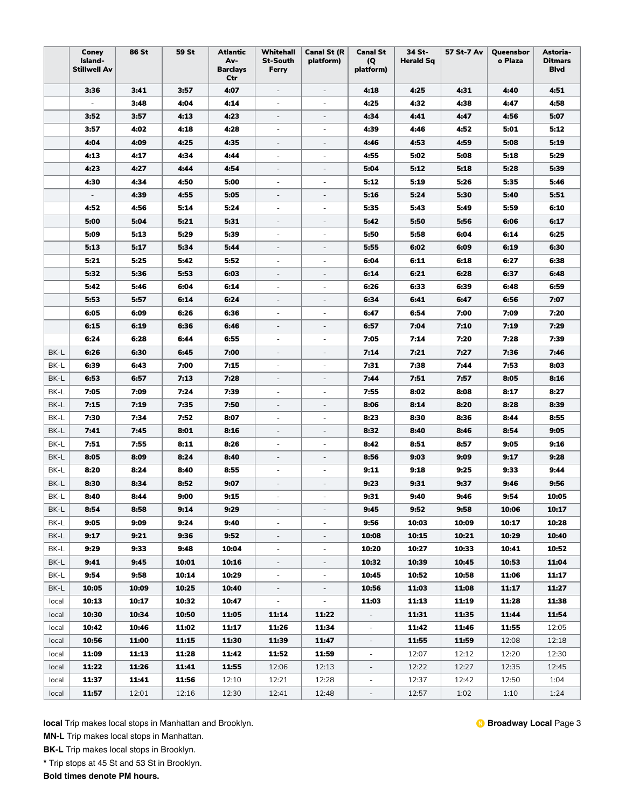|       | Coney<br>Island-<br>Stillwell Av | 86 St | 59 St | <b>Atlantic</b><br>Av-<br><b>Barclays</b><br>Ctr | Whitehall<br><b>St-South</b><br>Ferry | <b>Canal St (R</b><br>platform) | <b>Canal St</b><br>(Q)<br>platform) | 34 St-<br><b>Herald Sq</b> | 57 St-7 Av | Queensbor<br>o Plaza | Astoria-<br><b>Ditmars</b><br><b>Blvd</b> |
|-------|----------------------------------|-------|-------|--------------------------------------------------|---------------------------------------|---------------------------------|-------------------------------------|----------------------------|------------|----------------------|-------------------------------------------|
|       | 3:36                             | 3:41  | 3:57  | 4:07                                             | $\overline{\phantom{a}}$              | $\overline{\phantom{a}}$        | 4:18                                | 4:25                       | 4:31       | 4:40                 | 4:51                                      |
|       | $\overline{\phantom{a}}$         | 3:48  | 4:04  | 4:14                                             | $\overline{\phantom{a}}$              | $\overline{\phantom{a}}$        | 4:25                                | 4:32                       | 4:38       | 4:47                 | 4:58                                      |
|       | 3:52                             | 3:57  | 4:13  | 4:23                                             | $\overline{\phantom{m}}$              | $\overline{\phantom{a}}$        | 4:34                                | 4:41                       | 4:47       | 4:56                 | 5:07                                      |
|       | 3:57                             | 4:02  | 4:18  | 4:28                                             | ٠                                     | ÷.                              | 4:39                                | 4:46                       | 4:52       | 5:01                 | 5:12                                      |
|       | 4:04                             | 4:09  | 4:25  | 4:35                                             |                                       | $\overline{\phantom{a}}$        | 4:46                                | 4:53                       | 4:59       | 5:08                 | 5:19                                      |
|       | 4:13                             | 4:17  | 4:34  | 4:44                                             | ٠                                     | $\overline{\phantom{a}}$        | 4:55                                | 5:02                       | 5:08       | 5:18                 | 5:29                                      |
|       | 4:23                             | 4:27  | 4:44  | 4:54                                             | $\overline{\phantom{m}}$              | $\frac{1}{2}$                   | 5:04                                | 5:12                       | 5:18       | 5:28                 | 5:39                                      |
|       | 4:30                             | 4:34  | 4:50  | 5:00                                             | ٠                                     | $\overline{\phantom{a}}$        | 5:12                                | 5:19                       | 5:26       | 5:35                 | 5:46                                      |
|       | $\overline{\phantom{a}}$         | 4:39  | 4:55  | 5:05                                             | $\overline{\phantom{a}}$              | $\overline{\phantom{a}}$        | 5:16                                | 5:24                       | 5:30       | 5:40                 | 5:51                                      |
|       | 4:52                             | 4:56  | 5:14  | 5:24                                             | $\overline{\phantom{a}}$              | $\overline{\phantom{a}}$        | 5:35                                | 5:43                       | 5:49       | 5:59                 | 6:10                                      |
|       | 5:00                             | 5:04  | 5:21  | 5:31                                             | $\overline{\phantom{m}}$              | $\overline{\phantom{a}}$        | 5:42                                | 5:50                       | 5:56       | 6:06                 | 6:17                                      |
|       | 5:09                             | 5:13  | 5:29  | 5:39                                             |                                       | $\overline{\phantom{a}}$        | 5:50                                | 5:58                       | 6:04       | 6:14                 | 6:25                                      |
|       | 5:13                             | 5:17  | 5:34  | 5:44                                             |                                       | $\overline{\phantom{a}}$        | 5:55                                | 6:02                       | 6:09       | 6:19                 | 6:30                                      |
|       | 5:21                             | 5:25  | 5:42  | 5:52                                             |                                       | $\overline{\phantom{a}}$        | 6:04                                | 6:11                       | 6:18       | 6:27                 | 6:38                                      |
|       | 5:32                             | 5:36  | 5:53  | 6:03                                             | $\qquad \qquad -$                     | $\overline{\phantom{a}}$        | 6:14                                | 6:21                       | 6:28       | 6:37                 | 6:48                                      |
|       | 5:42                             | 5:46  | 6:04  | 6:14                                             | $\overline{\phantom{a}}$              | $\overline{\phantom{a}}$        | 6:26                                | 6:33                       | 6:39       | 6:48                 | 6:59                                      |
|       | 5:53                             | 5:57  | 6:14  | 6:24                                             | $\overline{\phantom{0}}$              | $\overline{\phantom{a}}$        | 6:34                                | 6:41                       | 6:47       | 6:56                 | 7:07                                      |
|       | 6:05                             | 6:09  | 6:26  | 6:36                                             | ۰.                                    | $\overline{\phantom{a}}$        | 6:47                                | 6:54                       | 7:00       | 7:09                 | 7:20                                      |
|       | 6:15                             | 6:19  | 6:36  | 6:46                                             | $\overline{\phantom{a}}$              | $\overline{\phantom{a}}$        | 6:57                                | 7:04                       | 7:10       | 7:19                 | 7:29                                      |
|       | 6:24                             | 6:28  | 6:44  | 6:55                                             | $\overline{\phantom{a}}$              | $\overline{\phantom{a}}$        | 7:05                                | 7:14                       | 7:20       | 7:28                 | 7:39                                      |
| BK-L  | 6:26                             | 6:30  | 6:45  | 7:00                                             |                                       | $\qquad \qquad -$               | 7:14                                | 7:21                       | 7:27       | 7:36                 | 7:46                                      |
| BK-L  | 6:39                             | 6:43  | 7:00  | 7:15                                             | ٠                                     | $\qquad \qquad \blacksquare$    | 7:31                                | 7:38                       | 7:44       | 7:53                 | 8:03                                      |
| BK-L  | 6:53                             | 6:57  | 7:13  | 7:28                                             | $\overline{\phantom{a}}$              | $\overline{\phantom{a}}$        | 7:44                                | 7:51                       | 7:57       | 8:05                 | 8:16                                      |
| BK-L  | 7:05                             | 7:09  | 7:24  | 7:39                                             | $\overline{\phantom{a}}$              | $\overline{\phantom{a}}$        | 7:55                                | 8:02                       | 8:08       | 8:17                 | 8:27                                      |
| BK-L  | 7:15                             | 7:19  | 7:35  | 7:50                                             | $\overline{\phantom{a}}$              | $\overline{\phantom{a}}$        | 8:06                                | 8:14                       | 8:20       | 8:28                 | 8:39                                      |
| BK-L  | 7:30                             | 7:34  | 7:52  | 8:07                                             | $\overline{\phantom{a}}$              | $\overline{\phantom{a}}$        | 8:23                                | 8:30                       | 8:36       | 8:44                 | 8:55                                      |
| BK-L  | 7:41                             | 7:45  | 8:01  | 8:16                                             |                                       | $\overline{\phantom{a}}$        | 8:32                                | 8:40                       | 8:46       | 8:54                 | 9:05                                      |
| BK-L  | 7:51                             | 7:55  | 8:11  | 8:26                                             |                                       | $\overline{\phantom{m}}$        | 8:42                                | 8:51                       | 8:57       | 9:05                 | 9:16                                      |
| BK-L  | 8:05                             | 8:09  | 8:24  | 8:40                                             |                                       |                                 | 8:56                                | 9:03                       | 9:09       | 9:17                 | 9:28                                      |
| BK-L  | 8:20                             | 8:24  | 8:40  | 8:55                                             | $\overline{\phantom{a}}$              | $\overline{\phantom{a}}$        | 9:11                                | 9:18                       | 9:25       | 9:33                 | 9:44                                      |
| BK-L  | 8:30                             | 8:34  | 8:52  | 9:07                                             | $\qquad \qquad -$                     | $\overline{\phantom{a}}$        | 9:23                                | 9:31                       | 9:37       | 9:46                 | 9:56                                      |
| BK-L  | 8:40                             | 8:44  | 9:00  | 9:15                                             |                                       | $\overline{\phantom{a}}$        | 9:31                                | 9:40                       | 9:46       | 9:54                 | 10:05                                     |
| BK-L  | 8:54                             | 8:58  | 9:14  | 9:29                                             |                                       | $\overline{\phantom{a}}$        | 9:45                                | 9:52                       | 9:58       | 10:06                | 10:17                                     |
| BK-L  | 9:05                             | 9:09  | 9:24  | 9:40                                             |                                       |                                 | 9:56                                | 10:03                      | 10:09      | 10:17                | 10:28                                     |
| BK-L  | 9:17                             | 9:21  | 9:36  | 9:52                                             | $\overline{\phantom{a}}$              | $\overline{\phantom{a}}$        | 10:08                               | 10:15                      | 10:21      | 10:29                | 10:40                                     |
| BK-L  | 9:29                             | 9:33  | 9:48  | 10:04                                            | $\overline{\phantom{a}}$              | $\overline{\phantom{a}}$        | 10:20                               | 10:27                      | 10:33      | 10:41                | 10:52                                     |
| BK-L  | 9:41                             | 9:45  | 10:01 | 10:16                                            | ÷                                     | $\overline{\phantom{a}}$        | 10:32                               | 10:39                      | 10:45      | 10:53                | 11:04                                     |
| BK-L  | 9:54                             | 9:58  | 10:14 | 10:29                                            | $\overline{\phantom{a}}$              | $\overline{\phantom{a}}$        | 10:45                               | 10:52                      | 10:58      | 11:06                | 11:17                                     |
| BK-L  | 10:05                            | 10:09 | 10:25 | 10:40                                            | $\overline{\phantom{a}}$              | $\overline{\phantom{a}}$        | 10:56                               | 11:03                      | 11:08      | 11:17                | 11:27                                     |
| local | 10:13                            | 10:17 | 10:32 | 10:47                                            | ÷.                                    | $\overline{\phantom{a}}$        | 11:03                               | 11:13                      | 11:19      | 11:28                | 11:38                                     |
| local | 10:30                            | 10:34 | 10:50 | 11:05                                            | 11:14                                 | 11:22                           |                                     | 11:31                      | 11:35      | 11:44                | 11:54                                     |
| local | 10:42                            | 10:46 | 11:02 | 11:17                                            | 11:26                                 | 11:34                           |                                     | 11:42                      | 11:46      | 11:55                | 12:05                                     |
| local | 10:56                            | 11:00 | 11:15 | 11:30                                            | 11:39                                 | 11:47                           | $\overline{\phantom{a}}$            | 11:55                      | 11:59      | 12:08                | 12:18                                     |
| local | 11:09                            | 11:13 | 11:28 | 11:42                                            | 11:52                                 | 11:59                           | $\overline{\phantom{a}}$            | 12:07                      | 12:12      | 12:20                | 12:30                                     |
| local | 11:22                            | 11:26 | 11:41 | 11:55                                            | 12:06                                 | 12:13                           | $\overline{\phantom{a}}$            | 12:22                      | 12:27      | 12:35                | 12:45                                     |
| local | 11:37                            | 11:41 | 11:56 | 12:10                                            | 12:21                                 | 12:28                           | $\overline{\phantom{a}}$            | 12:37                      | 12:42      | 12:50                | 1:04                                      |
| local | 11:57                            | 12:01 | 12:16 | 12:30                                            | 12:41                                 | 12:48                           | $\overline{\phantom{0}}$            | 12:57                      | 1:02       | 1:10                 | 1:24                                      |

**MN-L** Trip makes local stops in Manhattan.

**BK-L** Trip makes local stops in Brooklyn.

**\*** Trip stops at 45 St and 53 St in Brooklyn.

**Bold times denote PM hours.**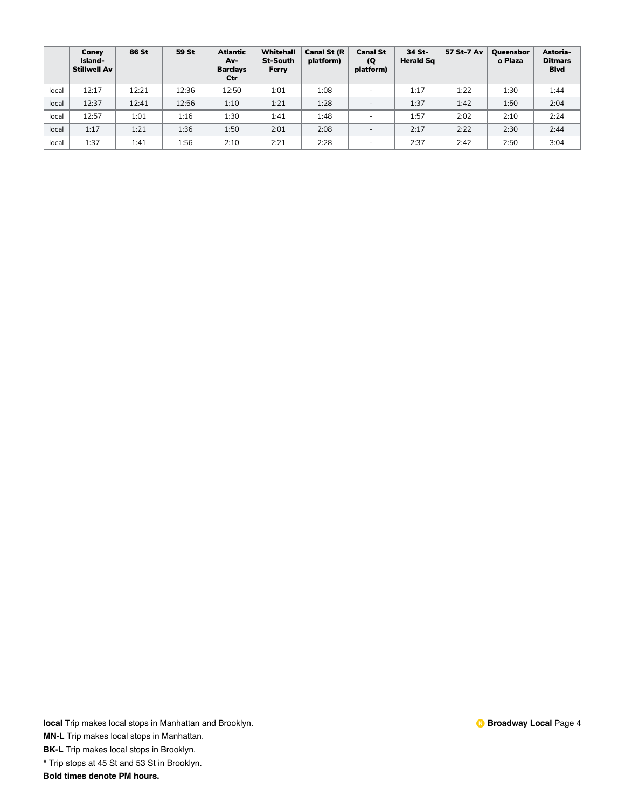|       | Coney<br>Island-<br><b>Stillwell Av</b> | 86 St | 59 St | <b>Atlantic</b><br>Av-<br><b>Barclays</b><br>Ctr | <b>Whitehall</b><br><b>St-South</b><br>Ferry | <b>Canal St (R</b><br>platform) | <b>Canal St</b><br>$\overline{Q}$<br>platform) | 34 St-<br><b>Herald Sq</b> | 57 St-7 Av | Queensbor<br>o Plaza | Astoria-<br><b>Ditmars</b><br><b>Blvd</b> |
|-------|-----------------------------------------|-------|-------|--------------------------------------------------|----------------------------------------------|---------------------------------|------------------------------------------------|----------------------------|------------|----------------------|-------------------------------------------|
| local | 12:17                                   | 12:21 | 12:36 | 12:50                                            | 1:01                                         | 1:08                            | $\overline{\phantom{a}}$                       | 1:17                       | 1:22       | 1:30                 | 1:44                                      |
| local | 12:37                                   | 12:41 | 12:56 | 1:10                                             | 1:21                                         | 1:28                            | $\overline{\phantom{a}}$                       | 1:37                       | 1:42       | 1:50                 | 2:04                                      |
| local | 12:57                                   | 1:01  | 1:16  | 1:30                                             | 1:41                                         | 1:48                            |                                                | 1:57                       | 2:02       | 2:10                 | 2:24                                      |
| local | 1:17                                    | 1:21  | 1:36  | 1:50                                             | 2:01                                         | 2:08                            | $\overline{\phantom{a}}$                       | 2:17                       | 2:22       | 2:30                 | 2:44                                      |
| local | 1:37                                    | 1:41  | 1:56  | 2:10                                             | 2:21                                         | 2:28                            | $\overline{\phantom{a}}$                       | 2:37                       | 2:42       | 2:50                 | 3:04                                      |

**MN-L** Trip makes local stops in Manhattan.

**BK-L** Trip makes local stops in Brooklyn.

**\*** Trip stops at 45 St and 53 St in Brooklyn.

**Bold times denote PM hours.**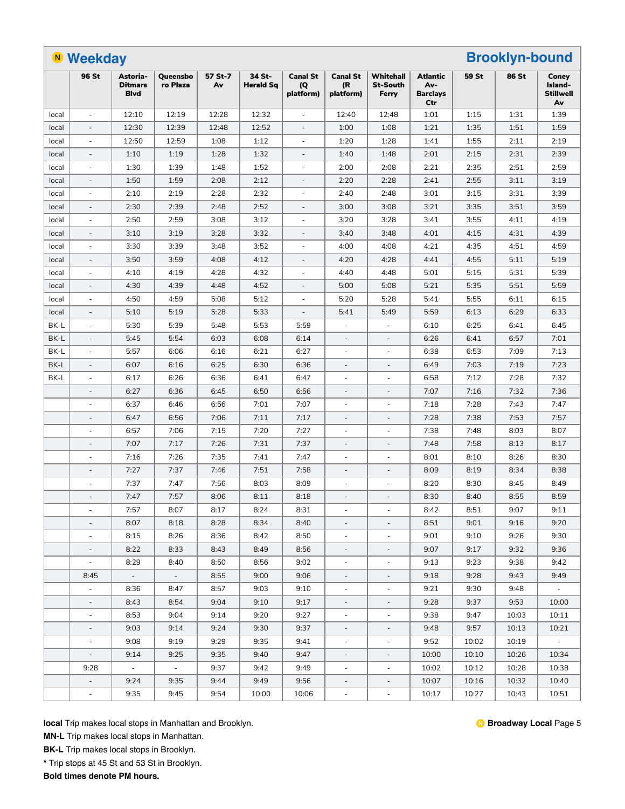|       | <b>N</b> Weekday         |                                           |                      |               |                            |                                     |                                    | <b>Brooklyn-bound</b>                 |                                                  |       |       |                                            |
|-------|--------------------------|-------------------------------------------|----------------------|---------------|----------------------------|-------------------------------------|------------------------------------|---------------------------------------|--------------------------------------------------|-------|-------|--------------------------------------------|
|       | 96 St                    | Astoria-<br><b>Ditmars</b><br><b>Blvd</b> | Queensbo<br>ro Plaza | 57 St-7<br>Av | 34 St-<br><b>Herald Sg</b> | <b>Canal St</b><br>(Q)<br>platform) | <b>Canal St</b><br>(R<br>platform) | Whitehall<br><b>St-South</b><br>Ferry | <b>Atlantic</b><br>Av-<br><b>Barclays</b><br>Ctr | 59 St | 86 St | Coney<br>Island-<br><b>Stillwell</b><br>Av |
| local | $\bar{a}$                | 12:10                                     | 12:19                | 12:28         | 12:32                      | $\sim$                              | 12:40                              | 12:48                                 | 1:01                                             | 1:15  | 1:31  | 1:39                                       |
| local | $\overline{\phantom{a}}$ | 12:30                                     | 12:39                | 12:48         | 12:52                      |                                     | 1:00                               | 1:08                                  | 1:21                                             | 1:35  | 1:51  | 1:59                                       |
| local | $\sim$                   | 12:50                                     | 12:59                | 1:08          | 1:12                       | $\sim$                              | 1:20                               | 1:28                                  | 1:41                                             | 1:55  | 2:11  | 2:19                                       |
| local |                          | 1:10                                      | 1:19                 | 1:28          | 1:32                       |                                     | 1:40                               | 1:48                                  | 2:01                                             | 2:15  | 2:31  | 2:39                                       |
| local | $\overline{\phantom{a}}$ | 1:30                                      | 1:39                 | 1:48          | 1:52                       | $\overline{\phantom{a}}$            | 2:00                               | 2:08                                  | 2:21                                             | 2:35  | 2:51  | 2:59                                       |
| local | $\overline{\phantom{a}}$ | 1:50                                      | 1:59                 | 2:08          | 2:12                       | $\overline{\phantom{a}}$            | 2:20                               | 2:28                                  | 2:41                                             | 2:55  | 3:11  | 3:19                                       |
| local | $\overline{\phantom{a}}$ | 2:10                                      | 2:19                 | 2:28          | 2:32                       | $\overline{\phantom{a}}$            | 2:40                               | 2:48                                  | 3:01                                             | 3:15  | 3:31  | 3:39                                       |
| local | $\overline{\phantom{a}}$ | 2:30                                      | 2:39                 | 2:48          | 2:52                       | $\overline{\phantom{a}}$            | 3:00                               | 3:08                                  | 3:21                                             | 3:35  | 3:51  | 3:59                                       |
| local | $\overline{\phantom{a}}$ | 2:50                                      | 2:59                 | 3:08          | 3:12                       | $\overline{\phantom{a}}$            | 3:20                               | 3:28                                  | 3:41                                             | 3:55  | 4:11  | 4:19                                       |
| local | $\overline{a}$           | 3:10                                      | 3:19                 | 3:28          | 3:32                       | $\overline{\phantom{a}}$            | 3:40                               | 3:48                                  | 4:01                                             | 4:15  | 4:31  | 4:39                                       |
| local | $\overline{\phantom{a}}$ | 3:30                                      | 3:39                 | 3:48          | 3:52                       | ÷.                                  | 4:00                               | 4:08                                  | 4:21                                             | 4:35  | 4:51  | 4:59                                       |
| local | $\overline{\phantom{a}}$ | 3:50                                      | 3:59                 | 4:08          | 4:12                       | $\overline{\phantom{a}}$            | 4:20                               | 4:28                                  | 4:41                                             | 4:55  | 5:11  | 5:19                                       |
| local | $\overline{\phantom{a}}$ | 4:10                                      | 4:19                 | 4:28          | 4:32                       | $\overline{\phantom{a}}$            | 4:40                               | 4:48                                  | 5:01                                             | 5:15  | 5:31  | 5:39                                       |
| local | $\overline{\phantom{a}}$ | 4:30                                      | 4:39                 | 4:48          | 4:52                       | $\overline{\phantom{a}}$            | 5:00                               | 5:08                                  | 5:21                                             | 5:35  | 5:51  | 5:59                                       |
| local | $\overline{\phantom{a}}$ | 4:50                                      | 4:59                 | 5:08          | 5:12                       | $\sim$                              | 5:20                               | 5:28                                  | 5:41                                             | 5:55  | 6:11  | 6:15                                       |
| local | $\overline{a}$           | 5:10                                      | 5:19                 | 5:28          | 5:33                       | $\overline{\phantom{a}}$            | 5:41                               | 5:49                                  | 5:59                                             | 6:13  | 6:29  | 6:33                                       |
| BK-L  | $\overline{a}$           | 5:30                                      | 5:39                 | 5:48          | 5:53                       | 5:59                                | $\overline{\phantom{m}}$           |                                       | 6:10                                             | 6:25  | 6:41  | 6:45                                       |
| BK-L  | $\overline{\phantom{a}}$ | 5:45                                      | 5:54                 | 6:03          | 6:08                       | 6:14                                | $\overline{\phantom{a}}$           | $\overline{\phantom{a}}$              | 6:26                                             | 6:41  | 6:57  | 7:01                                       |
| BK-L  | $\overline{\phantom{a}}$ | 5:57                                      | 6:06                 | 6:16          | 6:21                       | 6:27                                | $\overline{\phantom{a}}$           | $\overline{\phantom{a}}$              | 6:38                                             | 6:53  | 7:09  | 7:13                                       |
| BK-L  | $\overline{\phantom{a}}$ | 6:07                                      | 6:16                 | 6:25          | 6:30                       | 6:36                                | $\overline{\phantom{a}}$           | $\overline{\phantom{a}}$              | 6:49                                             | 7:03  | 7:19  | 7:23                                       |
| BK-L  | $\sim$                   | 6:17                                      | 6:26                 | 6:36          | 6:41                       | 6:47                                | $\overline{\phantom{a}}$           | $\overline{\phantom{a}}$              | 6:58                                             | 7:12  | 7:28  | 7:32                                       |
|       |                          | 6:27                                      | 6:36                 | 6:45          | 6:50                       | 6:56                                | $\overline{\phantom{a}}$           |                                       | 7:07                                             | 7:16  | 7:32  | 7:36                                       |
|       | $\sim$                   | 6:37                                      | 6:46                 | 6:56          | 7:01                       | 7:07                                | $\overline{\phantom{a}}$           |                                       | 7:18                                             | 7:28  | 7:43  | 7:47                                       |
|       | $\overline{a}$           | 6:47                                      | 6:56                 | 7:06          | 7:11                       | 7:17                                | $\overline{\phantom{a}}$           |                                       | 7:28                                             | 7:38  | 7:53  | 7:57                                       |
|       | $\overline{\phantom{a}}$ | 6:57                                      | 7:06                 | 7:15          | 7:20                       | 7:27                                | $\overline{\phantom{a}}$           | $\overline{\phantom{a}}$              | 7:38                                             | 7:48  | 8:03  | 8:07                                       |
|       | $\overline{\phantom{a}}$ | 7:07                                      | 7:17                 | 7:26          | 7:31                       | 7:37                                | $\overline{\phantom{a}}$           | $\overline{\phantom{a}}$              | 7:48                                             | 7:58  | 8:13  | 8:17                                       |
|       | $\overline{a}$           | 7:16                                      | 7:26                 | 7:35          | 7:41                       | 7:47                                | $\overline{\phantom{a}}$           | ÷,                                    | 8:01                                             | 8:10  | 8:26  | 8:30                                       |
|       | $\overline{\phantom{a}}$ | 7:27                                      | 7:37                 | 7:46          | 7:51                       | 7:58                                | $\overline{\phantom{a}}$           | $\overline{\phantom{a}}$              | 8:09                                             | 8:19  | 8:34  | 8:38                                       |
|       |                          | 7:37                                      | 7:47                 | 7:56          | 8:03                       | 8:09                                |                                    |                                       | 8:20                                             | 8:30  | 8:45  | 8:49                                       |
|       | $\overline{a}$           | 7:47                                      | 7:57                 | 8:06          | 8:11                       | 8:18                                | $\overline{\phantom{a}}$           | ÷,                                    | 8:30                                             | 8:40  | 8:55  | 8:59                                       |
|       | $\overline{\phantom{a}}$ | 7:57                                      | 8:07                 | 8:17          | 8:24                       | 8:31                                | -                                  |                                       | 8:42                                             | 8:51  | 9:07  | 9:11                                       |
|       | $\overline{\phantom{a}}$ | 8:07                                      | 8:18                 | 8:28          | 8:34                       | 8:40                                | $\overline{\phantom{a}}$           | $\overline{\phantom{a}}$              | 8:51                                             | 9:01  | 9:16  | 9:20                                       |
|       | $\overline{\phantom{a}}$ | 8:15                                      | 8:26                 | 8:36          | 8:42                       | 8:50                                | $\overline{\phantom{a}}$           | $\overline{\phantom{a}}$              | 9:01                                             | 9:10  | 9:26  | 9:30                                       |
|       | $\overline{\phantom{a}}$ | 8:22                                      | 8:33                 | 8:43          | 8:49                       | 8:56                                | $\overline{\phantom{a}}$           | $\overline{\phantom{a}}$              | 9:07                                             | 9:17  | 9:32  | 9:36                                       |
|       | $\blacksquare$           | 8:29                                      | 8:40                 | 8:50          | 8:56                       | 9:02                                | $\overline{\phantom{a}}$           | $\overline{\phantom{a}}$              | 9:13                                             | 9:23  | 9:38  | 9:42                                       |
|       | 8:45                     | $\sim$                                    | $\sim$               | 8:55          | 9:00                       | 9:06                                | $\overline{\phantom{a}}$           | $\overline{\phantom{a}}$              | 9:18                                             | 9:28  | 9:43  | 9:49                                       |
|       | $\overline{\phantom{a}}$ | 8:36                                      | 8:47                 | 8:57          | 9:03                       | 9:10                                | $\overline{\phantom{m}}$           |                                       | 9:21                                             | 9:30  | 9:48  | $\overline{\phantom{a}}$                   |
|       | $\overline{\phantom{a}}$ | 8:43                                      | 8:54                 | 9:04          | 9:10                       | 9:17                                | $\overline{\phantom{a}}$           | ۰.                                    | 9:28                                             | 9:37  | 9:53  | 10:00                                      |
|       | $\overline{\phantom{a}}$ | 8:53                                      | 9:04                 | 9:14          | 9:20                       | 9:27                                | $\overline{\phantom{a}}$           | $\overline{\phantom{a}}$              | 9:38                                             | 9:47  | 10:03 | 10:11                                      |
|       | $\overline{\phantom{a}}$ | 9:03                                      | 9:14                 | 9:24          | 9:30                       | 9:37                                | $\overline{\phantom{a}}$           | $\overline{\phantom{a}}$              | 9:48                                             | 9:57  | 10:13 | 10:21                                      |
|       | $\overline{\phantom{a}}$ | 9:08                                      | 9:19                 | 9:29          | 9:35                       | 9:41                                | $\overline{\phantom{a}}$           | $\overline{\phantom{a}}$              | 9:52                                             | 10:02 | 10:19 | $\sim$                                     |
|       | $\overline{\phantom{a}}$ | 9:14                                      | 9:25                 | 9:35          | 9:40                       | 9:47                                | $\overline{\phantom{a}}$           |                                       | 10:00                                            | 10:10 | 10:26 | 10:34                                      |
|       | 9:28                     | $\blacksquare$                            | $\sim$               | 9:37          | 9:42                       | 9:49                                | $\overline{\phantom{a}}$           |                                       | 10:02                                            | 10:12 | 10:28 | 10:38                                      |
|       | $\overline{\phantom{a}}$ | 9:24                                      | 9:35                 | 9:44          | 9:49                       | 9:56                                | $\overline{\phantom{a}}$           | $\overline{\phantom{a}}$              | 10:07                                            | 10:16 | 10:32 | 10:40                                      |
|       |                          | 9:35                                      | 9:45                 | 9:54          | 10:00                      | 10:06                               |                                    |                                       | 10:17                                            | 10:27 | 10:43 | 10:51                                      |
|       | $\overline{\phantom{a}}$ |                                           |                      |               |                            |                                     | $\overline{\phantom{a}}$           | $\overline{\phantom{a}}$              |                                                  |       |       |                                            |

**MN-L** Trip makes local stops in Manhattan.

**BK-L** Trip makes local stops in Brooklyn.

**\*** Trip stops at 45 St and 53 St in Brooklyn.

**Bold times denote PM hours.**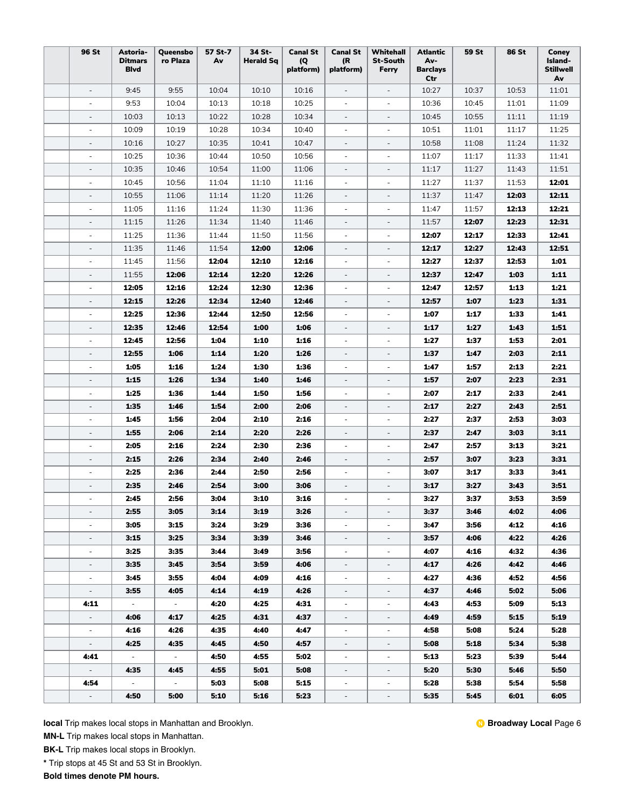| 96 St                    | Astoria-<br><b>Ditmars</b><br><b>Blvd</b> | Queensbo<br>ro Plaza     | 57 St-7<br>Av | 34 St-<br><b>Herald Sq</b> | <b>Canal St</b><br>(Q)<br>platform) | <b>Canal St</b><br>(R<br>platform) | Whitehall<br><b>St-South</b><br>Ferry | <b>Atlantic</b><br>Av-<br><b>Barclays</b><br>Ctr | <b>59 St</b> | <b>86 St</b> | Coney<br>Island-<br><b>Stillwell</b><br>Av |
|--------------------------|-------------------------------------------|--------------------------|---------------|----------------------------|-------------------------------------|------------------------------------|---------------------------------------|--------------------------------------------------|--------------|--------------|--------------------------------------------|
| $\overline{\phantom{a}}$ | 9:45                                      | 9:55                     | 10:04         | 10:10                      | 10:16                               | $\overline{\phantom{a}}$           | $\overline{\phantom{a}}$              | 10:27                                            | 10:37        | 10:53        | 11:01                                      |
| $\overline{\phantom{a}}$ | 9:53                                      | 10:04                    | 10:13         | 10:18                      | 10:25                               | $\overline{\phantom{a}}$           | $\overline{\phantom{a}}$              | 10:36                                            | 10:45        | 11:01        | 11:09                                      |
| $\overline{\phantom{a}}$ | 10:03                                     | 10:13                    | 10:22         | 10:28                      | 10:34                               | $\overline{\phantom{a}}$           | $\overline{\phantom{a}}$              | 10:45                                            | 10:55        | 11:11        | 11:19                                      |
| ÷,                       | 10:09                                     | 10:19                    | 10:28         | 10:34                      | 10:40                               | $\overline{\phantom{a}}$           | $\overline{\phantom{a}}$              | 10:51                                            | 11:01        | 11:17        | 11:25                                      |
| $\sim$                   | 10:16                                     | 10:27                    | 10:35         | 10:41                      | 10:47                               | $\overline{\phantom{a}}$           | $\overline{\phantom{a}}$              | 10:58                                            | 11:08        | 11:24        | 11:32                                      |
| ÷,                       | 10:25                                     | 10:36                    | 10:44         | 10:50                      | 10:56                               | $\overline{\phantom{a}}$           | $\overline{\phantom{m}}$              | 11:07                                            | 11:17        | 11:33        | 11:41                                      |
| $\overline{\phantom{a}}$ | 10:35                                     | 10:46                    | 10:54         | 11:00                      | 11:06                               | $\overline{\phantom{a}}$           | $\overline{\phantom{a}}$              | 11:17                                            | 11:27        | 11:43        | 11:51                                      |
| $\overline{\phantom{a}}$ | 10:45                                     | 10:56                    | 11:04         | 11:10                      | 11:16                               | $\overline{\phantom{a}}$           | $\overline{\phantom{a}}$              | 11:27                                            | 11:37        | 11:53        | 12:01                                      |
| $\overline{\phantom{a}}$ | 10:55                                     | 11:06                    | 11:14         | 11:20                      | 11:26                               | $\overline{\phantom{a}}$           | $\overline{\phantom{a}}$              | 11:37                                            | 11:47        | 12:03        | 12:11                                      |
| $\sim$                   | 11:05                                     | 11:16                    | 11:24         | 11:30                      | 11:36                               | $\omega$                           | $\overline{\phantom{a}}$              | 11:47                                            | 11:57        | 12:13        | 12:21                                      |
| ÷,                       | 11:15                                     | 11:26                    | 11:34         | 11:40                      | 11:46                               | $\overline{\phantom{a}}$           | $\overline{\phantom{a}}$              | 11:57                                            | 12:07        | 12:23        | 12:31                                      |
| $\sim$                   | 11:25                                     | 11:36                    | 11:44         | 11:50                      | 11:56                               | $\overline{\phantom{a}}$           | $\overline{\phantom{a}}$              | 12:07                                            | 12:17        | 12:33        | 12:41                                      |
|                          | 11:35                                     | 11:46                    | 11:54         | 12:00                      | 12:06                               | $\overline{\phantom{a}}$           | $\overline{\phantom{a}}$              | 12:17                                            | 12:27        | 12:43        | 12:51                                      |
| $\overline{\phantom{a}}$ | 11:45                                     | 11:56                    | 12:04         | 12:10                      | 12:16                               | $\overline{\phantom{a}}$           | $\overline{\phantom{a}}$              | 12:27                                            | 12:37        | 12:53        | 1:01                                       |
| $\overline{\phantom{a}}$ | 11:55                                     | 12:06                    | 12:14         | 12:20                      | 12:26                               | $\overline{\phantom{a}}$           | $\overline{\phantom{a}}$              | 12:37                                            | 12:47        | 1:03         | 1:11                                       |
| $\sim$                   | 12:05                                     | 12:16                    | 12:24         | 12:30                      | 12:36                               | $\overline{\phantom{a}}$           | $\overline{\phantom{a}}$              | 12:47                                            | 12:57        | 1:13         | 1:21                                       |
| $\overline{\phantom{a}}$ | 12:15                                     | 12:26                    | 12:34         | 12:40                      | 12:46                               | $\overline{\phantom{a}}$           | $\overline{\phantom{a}}$              | 12:57                                            | 1:07         | 1:23         | 1:31                                       |
| $\sim$                   | 12:25                                     | 12:36                    | 12:44         | 12:50                      | 12:56                               | $\overline{\phantom{a}}$           | $\overline{\phantom{a}}$              | 1:07                                             | 1:17         | 1:33         | 1:41                                       |
|                          | 12:35                                     | 12:46                    | 12:54         | 1:00                       | 1:06                                |                                    |                                       | 1:17                                             | 1:27         | 1:43         | 1:51                                       |
| ÷,                       | 12:45                                     | 12:56                    | 1:04          | 1:10                       | 1:16                                | $\overline{\phantom{a}}$           | $\overline{\phantom{m}}$              | 1:27                                             | 1:37         | 1:53         | 2:01                                       |
| $\overline{\phantom{a}}$ | 12:55                                     | 1:06                     | 1:14          | 1:20                       | 1:26                                | $\overline{\phantom{a}}$           | $\overline{\phantom{a}}$              | 1:37                                             | 1:47         | 2:03         | 2:11                                       |
| $\overline{\phantom{a}}$ | 1:05                                      | 1:16                     | 1:24          | 1:30                       | 1:36                                | $\overline{\phantom{a}}$           | $\overline{\phantom{a}}$              | 1:47                                             | 1:57         | 2:13         | 2:21                                       |
| $\overline{\phantom{a}}$ | 1:15                                      | 1:26                     | 1:34          | 1:40                       | 1:46                                | $\overline{\phantom{a}}$           | $\overline{\phantom{a}}$              | 1:57                                             | 2:07         | 2:23         | 2:31                                       |
| ÷,                       | 1:25                                      | 1:36                     | 1:44          | 1:50                       | 1:56                                | $\overline{\phantom{a}}$           | $\overline{\phantom{a}}$              | 2:07                                             | 2:17         | 2:33         | 2:41                                       |
| $\overline{\phantom{a}}$ | 1:35                                      | 1:46                     | 1:54          | 2:00                       | 2:06                                | $\overline{\phantom{a}}$           |                                       | 2:17                                             | 2:27         | 2:43         | 2:51                                       |
| ÷,                       | 1:45                                      | 1:56                     | 2:04          | 2:10                       | 2:16                                | $\overline{a}$                     | $\overline{a}$                        | 2:27                                             | 2:37         | 2:53         | 3:03                                       |
| $\overline{\phantom{a}}$ | 1:55                                      | 2:06                     | 2:14          | 2:20                       | 2:26                                | $\overline{\phantom{a}}$           | $\overline{\phantom{a}}$              | 2:37                                             | 2:47         | 3:03         | 3:11                                       |
| $\overline{\phantom{a}}$ | 2:05                                      | 2:16                     | 2:24          | 2:30                       | 2:36                                | $\overline{\phantom{a}}$           | $\overline{\phantom{a}}$              | 2:47                                             | 2:57         | 3:13         | 3:21                                       |
| $\overline{\phantom{a}}$ | 2:15                                      | 2:26                     | 2:34          | 2:40                       | 2:46                                | $\overline{\phantom{a}}$           | $\overline{\phantom{a}}$              | 2:57                                             | 3:07         | 3:23         | 3:31                                       |
| $\sim$                   | 2:25                                      | 2:36                     | 2:44          | 2:50                       | 2:56                                | $\overline{\phantom{a}}$           | ÷.                                    | 3:07                                             | 3:17         | 3:33         | 3:41                                       |
|                          | 2:35                                      | 2:46                     | 2:54          | 3:00                       | 3:06                                |                                    |                                       | 3:17                                             | 3:27         | 3:43         | 3:51                                       |
| $\blacksquare$           | 2:45                                      | 2:56                     | 3:04          | 3:10                       | 3:16                                | $\sim$                             |                                       | 3:27                                             | 3:37         | 3:53         | 3:59                                       |
|                          | 2:55                                      | 3:05                     | 3:14          | 3:19                       | 3:26                                |                                    |                                       | 3:37                                             | 3:46         | 4:02         | 4:06                                       |
| $\overline{\phantom{a}}$ | 3:05                                      | 3:15                     | 3:24          | 3:29                       | 3:36                                | $\overline{\phantom{a}}$           | $\overline{\phantom{a}}$              | 3:47                                             | 3:56         | 4:12         | 4:16                                       |
| $\overline{\phantom{a}}$ | 3:15                                      | 3:25                     | 3:34          | 3:39                       | 3:46                                | $\overline{\phantom{a}}$           | $\overline{\phantom{a}}$              | 3:57                                             | 4:06         | 4:22         | 4:26                                       |
| ÷,                       | 3:25                                      | 3:35                     | 3:44          | 3:49                       | 3:56                                | $\overline{\phantom{a}}$           | $\overline{\phantom{a}}$              | 4:07                                             | 4:16         | 4:32         | 4:36                                       |
| $\overline{\phantom{a}}$ | 3:35                                      | 3:45                     | 3:54          | 3:59                       | 4:06                                | $\overline{\phantom{a}}$           | $\overline{\phantom{a}}$              | 4:17                                             | 4:26         | 4:42         | 4:46                                       |
| $\overline{\phantom{a}}$ | 3:45                                      | 3:55                     | 4:04          | 4:09                       | 4:16                                | $\overline{\phantom{a}}$           | $\overline{\phantom{a}}$              | 4:27                                             | 4:36         | 4:52         | 4:56                                       |
| $\overline{\phantom{a}}$ | 3:55                                      | 4:05                     | 4:14          | 4:19                       | 4:26                                | $\overline{\phantom{a}}$           | $\overline{\phantom{a}}$              | 4:37                                             | 4:46         | 5:02         | 5:06                                       |
| 4:11                     | $\overline{\phantom{a}}$                  | $\overline{\phantom{a}}$ | 4:20          | 4:25                       | 4:31                                | $\overline{\phantom{a}}$           | $\overline{\phantom{0}}$              | 4:43                                             | 4:53         | 5:09         | 5:13                                       |
| $\overline{\phantom{a}}$ | 4:06                                      | 4:17                     | 4:25          | 4:31                       | 4:37                                | $\overline{\phantom{a}}$           | -                                     | 4:49                                             | 4:59         | 5:15         | 5:19                                       |
| $\overline{\phantom{a}}$ | 4:16                                      | 4:26                     | 4:35          | 4:40                       | 4:47                                | $\overline{\phantom{a}}$           | $\overline{\phantom{a}}$              | 4:58                                             | 5:08         | 5:24         | 5:28                                       |
| $\overline{\phantom{a}}$ | 4:25                                      | 4:35                     | 4:45          | 4:50                       | 4:57                                | $\overline{\phantom{a}}$           | $\overline{\phantom{a}}$              | 5:08                                             | 5:18         | 5:34         | 5:38                                       |
| 4:41                     | $\sim$                                    | $\sim$                   | 4:50          | 4:55                       | 5:02                                | $\overline{\phantom{a}}$           | $\overline{\phantom{a}}$              | 5:13                                             | 5:23         | 5:39         | 5:44                                       |
| $ \,$                    | 4:35                                      | 4:45                     | 4:55          | 5:01                       | 5:08                                | $\overline{\phantom{a}}$           |                                       | 5:20                                             | 5:30         | 5:46         | 5:50                                       |
| 4:54                     | $\overline{\phantom{a}}$                  | $\overline{\phantom{a}}$ | 5:03          | 5:08                       | 5:15                                |                                    |                                       | 5:28                                             | 5:38         | 5:54         | 5:58                                       |
| $\overline{\phantom{a}}$ | 4:50                                      | 5:00                     | 5:10          | 5:16                       | 5:23                                | $\overline{\phantom{a}}$           | $\overline{\phantom{a}}$              | 5:35                                             | 5:45         | 6:01         | 6:05                                       |
|                          |                                           |                          |               |                            |                                     |                                    |                                       |                                                  |              |              |                                            |

**MN-L** Trip makes local stops in Manhattan.

**BK-L** Trip makes local stops in Brooklyn.

**\*** Trip stops at 45 St and 53 St in Brooklyn.

**Bold times denote PM hours.**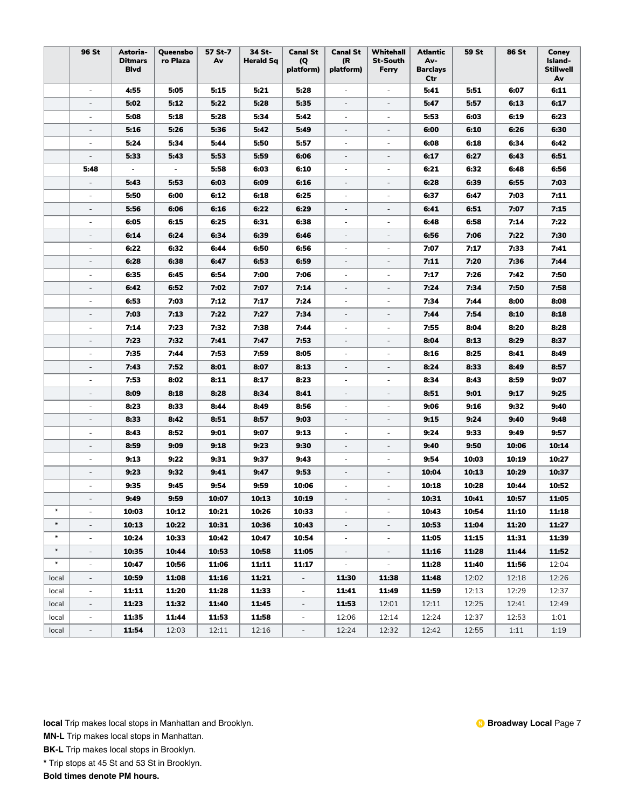|                  | <b>96 St</b>             | Astoria-<br><b>Ditmars</b><br><b>Blvd</b> | Queensbo<br>ro Plaza     | 57 St-7<br>Av | 34 St-<br><b>Herald Sq</b> | <b>Canal St</b><br>(Q<br>platform) | <b>Canal St</b><br>(R<br>platform) | Whitehall<br><b>St-South</b><br>Ferry | <b>Atlantic</b><br>Av-<br><b>Barclays</b><br>Ctr | 59 St | <b>86 St</b> | Coney<br>Island-<br><b>Stillwell</b><br>Av |
|------------------|--------------------------|-------------------------------------------|--------------------------|---------------|----------------------------|------------------------------------|------------------------------------|---------------------------------------|--------------------------------------------------|-------|--------------|--------------------------------------------|
|                  | $\overline{\phantom{a}}$ | 4:55                                      | 5:05                     | 5:15          | 5:21                       | 5:28                               | $\overline{\phantom{a}}$           | $\overline{\phantom{a}}$              | 5:41                                             | 5:51  | 6:07         | 6:11                                       |
|                  | $\overline{\phantom{a}}$ | 5:02                                      | 5:12                     | 5:22          | 5:28                       | 5:35                               | $\overline{\phantom{a}}$           | $\overline{\phantom{a}}$              | 5:47                                             | 5:57  | 6:13         | 6:17                                       |
|                  | $\overline{\phantom{a}}$ | 5:08                                      | 5:18                     | 5:28          | 5:34                       | 5:42                               | $\overline{\phantom{a}}$           | $\overline{\phantom{a}}$              | 5:53                                             | 6:03  | 6:19         | 6:23                                       |
|                  |                          | 5:16                                      | 5:26                     | 5:36          | 5:42                       | 5:49                               | $\overline{\phantom{a}}$           | $\overline{\phantom{0}}$              | 6:00                                             | 6:10  | 6:26         | 6:30                                       |
|                  | $\sim$                   | 5:24                                      | 5:34                     | 5:44          | 5:50                       | 5:57                               | $\sim$                             | $\overline{\phantom{a}}$              | 6:08                                             | 6:18  | 6:34         | 6:42                                       |
|                  | $\overline{\phantom{a}}$ | 5:33                                      | 5:43                     | 5:53          | 5:59                       | 6:06                               |                                    | $\overline{\phantom{a}}$              | 6:17                                             | 6:27  | 6:43         | 6:51                                       |
|                  | 5:48                     | $\overline{\phantom{a}}$                  | $\overline{\phantom{a}}$ | 5:58          | 6:03                       | 6:10                               | $\overline{\phantom{a}}$           | $\overline{\phantom{a}}$              | 6:21                                             | 6:32  | 6:48         | 6:56                                       |
|                  | $\overline{\phantom{a}}$ | 5:43                                      | 5:53                     | 6:03          | 6:09                       | 6:16                               | $\overline{\phantom{a}}$           | $\overline{\phantom{a}}$              | 6:28                                             | 6:39  | 6:55         | 7:03                                       |
|                  | $\sim$                   | 5:50                                      | 6:00                     | 6:12          | 6:18                       | 6:25                               | $\overline{\phantom{a}}$           | $\overline{\phantom{a}}$              | 6:37                                             | 6:47  | 7:03         | 7:11                                       |
|                  | $\overline{\phantom{a}}$ | 5:56                                      | 6:06                     | 6:16          | 6:22                       | 6:29                               | $\overline{\phantom{a}}$           | $\overline{\phantom{a}}$              | 6:41                                             | 6:51  | 7:07         | 7:15                                       |
|                  | $\sim$                   | 6:05                                      | 6:15                     | 6:25          | 6:31                       | 6:38                               | $\overline{\phantom{a}}$           |                                       | 6:48                                             | 6:58  | 7:14         | 7:22                                       |
|                  | $\sim$                   | 6:14                                      | 6:24                     | 6:34          | 6:39                       | 6:46                               | $\sim$                             | $\overline{a}$                        | 6:56                                             | 7:06  | 7:22         | 7:30                                       |
|                  | ÷,                       | 6:22                                      | 6:32                     | 6:44          | 6:50                       | 6:56                               | $\overline{\phantom{a}}$           | ÷,                                    | 7:07                                             | 7:17  | 7:33         | 7:41                                       |
|                  | $\overline{\phantom{a}}$ | 6:28                                      | 6:38                     | 6:47          | 6:53                       | 6:59                               | $\overline{\phantom{a}}$           | $\overline{\phantom{a}}$              | 7:11                                             | 7:20  | 7:36         | 7:44                                       |
|                  | $\sim$                   | 6:35                                      | 6:45                     | 6:54          | 7:00                       | 7:06                               | $\bar{a}$                          | $\overline{\phantom{a}}$              | 7:17                                             | 7:26  | 7:42         | 7:50                                       |
|                  | $\overline{\phantom{a}}$ | 6:42                                      | 6:52                     | 7:02          | 7:07                       | 7:14                               | $\overline{\phantom{a}}$           | $\overline{\phantom{a}}$              | 7:24                                             | 7:34  | 7:50         | 7:58                                       |
|                  | $\overline{\phantom{a}}$ | 6:53                                      | 7:03                     | 7:12          | 7:17                       | 7:24                               | $\overline{\phantom{a}}$           | $\overline{\phantom{a}}$              | 7:34                                             | 7:44  | 8:00         | 8:08                                       |
|                  | $\overline{\phantom{a}}$ | 7:03                                      | 7:13                     | 7:22          | 7:27                       | 7:34                               | $\overline{\phantom{a}}$           | $\overline{\phantom{a}}$              | 7:44                                             | 7:54  | 8:10         | 8:18                                       |
|                  | ÷,                       | 7:14                                      | 7:23                     | 7:32          | 7:38                       | 7:44                               | $\overline{\phantom{a}}$           | $\overline{\phantom{m}}$              | 7:55                                             | 8:04  | 8:20         | 8:28                                       |
|                  | $\overline{\phantom{a}}$ | 7:23                                      | 7:32                     | 7:41          | 7:47                       | 7:53                               | $\overline{\phantom{a}}$           | $\overline{\phantom{a}}$              | 8:04                                             | 8:13  | 8:29         | 8:37                                       |
|                  | $\overline{\phantom{a}}$ | 7:35                                      | 7:44                     | 7:53          | 7:59                       | 8:05                               | $\overline{\phantom{a}}$           | $\overline{\phantom{a}}$              | 8:16                                             | 8:25  | 8:41         | 8:49                                       |
|                  | $\overline{\phantom{a}}$ | 7:43                                      | 7:52                     | 8:01          | 8:07                       | 8:13                               | $\overline{\phantom{a}}$           | $\overline{\phantom{a}}$              | 8:24                                             | 8:33  | 8:49         | 8:57                                       |
|                  | $\overline{\phantom{a}}$ | 7:53                                      | 8:02                     | 8:11          | 8:17                       | 8:23                               | $\overline{\phantom{a}}$           | $\overline{\phantom{a}}$              | 8:34                                             | 8:43  | 8:59         | 9:07                                       |
|                  |                          | 8:09                                      | 8:18                     | 8:28          | 8:34                       | 8:41                               | $\overline{\phantom{a}}$           |                                       | 8:51                                             | 9:01  | 9:17         | 9:25                                       |
|                  | $\sim$                   | 8:23                                      | 8:33                     | 8:44          | 8:49                       | 8:56                               |                                    |                                       | 9:06                                             | 9:16  | 9:32         | 9:40                                       |
|                  | ÷,                       | 8:33                                      | 8:42                     | 8:51          | 8:57                       | 9:03                               | $\overline{\phantom{a}}$           | $\overline{\phantom{a}}$              | 9:15                                             | 9:24  | 9:40         | 9:48                                       |
|                  | $\overline{\phantom{a}}$ | 8:43                                      | 8:52                     | 9:01          | 9:07                       | 9:13                               | $\overline{\phantom{a}}$           | $\overline{\phantom{a}}$              | 9:24                                             | 9:33  | 9:49         | 9:57                                       |
|                  | $\overline{\phantom{a}}$ | 8:59                                      | 9:09                     | 9:18          | 9:23                       | 9:30                               | $\overline{\phantom{a}}$           | $\overline{\phantom{a}}$              | 9:40                                             | 9:50  | 10:06        | 10:14                                      |
|                  | $\overline{\phantom{a}}$ | 9:13                                      | 9:22                     | 9:31          | 9:37                       | 9:43                               | $\overline{\phantom{a}}$           | $\overline{\phantom{a}}$              | 9:54                                             | 10:03 | 10:19        | 10:27                                      |
|                  | $\overline{\phantom{a}}$ | 9:23                                      | 9:32                     | 9:41          | 9:47                       | 9:53                               | $\overline{\phantom{a}}$           | $\overline{\phantom{a}}$              | 10:04                                            | 10:13 | 10:29        | 10:37                                      |
|                  |                          | 9:35                                      | 9:45                     | 9:54          | 9:59                       | 10:06                              | ÷,                                 |                                       | 10:18                                            | 10:28 | 10:44        | 10:52                                      |
|                  |                          | 9:49                                      | 9:59                     | 10:07         | 10:13                      | 10:19                              |                                    |                                       | 10:31                                            | 10:41 | 10:57        | 11:05                                      |
| $\ast$           | $\overline{\phantom{a}}$ | 10:03                                     | 10:12                    | 10:21         | 10:26                      | 10:33                              | $\overline{\phantom{a}}$           | $\overline{\phantom{a}}$              | 10:43                                            | 10:54 | 11:10        | 11:18                                      |
| $\divideontimes$ | $\overline{\phantom{a}}$ | 10:13                                     | 10:22                    | 10:31         | 10:36                      | 10:43                              | $\overline{\phantom{a}}$           | $\overline{\phantom{a}}$              | 10:53                                            | 11:04 | 11:20        | 11:27                                      |
| $\ast$           | $\overline{\phantom{a}}$ | 10:24                                     | 10:33                    | 10:42         | 10:47                      | 10:54                              | $\overline{\phantom{a}}$           | $\overline{\phantom{a}}$              | 11:05                                            | 11:15 | 11:31        | 11:39                                      |
| $\ast$           | $\overline{\phantom{a}}$ | 10:35                                     | 10:44                    | 10:53         | 10:58                      | 11:05                              | $\overline{\phantom{a}}$           | $\overline{\phantom{a}}$              | 11:16                                            | 11:28 | 11:44        | 11:52                                      |
| $\divideontimes$ | $\overline{\phantom{a}}$ | 10:47                                     | 10:56                    | 11:06         | 11:11                      | 11:17                              | $\overline{\phantom{a}}$           | $\overline{\phantom{a}}$              | 11:28                                            | 11:40 | 11:56        | 12:04                                      |
| local            | $\overline{\phantom{a}}$ | 10:59                                     | 11:08                    | 11:16         | 11:21                      | $\overline{\phantom{a}}$           | 11:30                              | 11:38                                 | 11:48                                            | 12:02 | 12:18        | 12:26                                      |
| local            | $\overline{\phantom{a}}$ | 11:11                                     | 11:20                    | 11:28         | 11:33                      | $\overline{\phantom{a}}$           | 11:41                              | 11:49                                 | 11:59                                            | 12:13 | 12:29        | 12:37                                      |
| local            | $\overline{\phantom{a}}$ | 11:23                                     | 11:32                    | 11:40         | 11:45                      | $\overline{\phantom{a}}$           | 11:53                              | 12:01                                 | 12:11                                            | 12:25 | 12:41        | 12:49                                      |
| local            | $\overline{\phantom{a}}$ | 11:35                                     | 11:44                    | 11:53         | 11:58                      | $\overline{\phantom{a}}$           | 12:06                              | 12:14                                 | 12:24                                            | 12:37 | 12:53        | 1:01                                       |
| local            | $\overline{\phantom{a}}$ | 11:54                                     | 12:03                    | 12:11         | 12:16                      | $\overline{\phantom{a}}$           | 12:24                              | 12:32                                 | 12:42                                            | 12:55 | 1:11         | 1:19                                       |

**MN-L** Trip makes local stops in Manhattan.

**BK-L** Trip makes local stops in Brooklyn.

**\*** Trip stops at 45 St and 53 St in Brooklyn.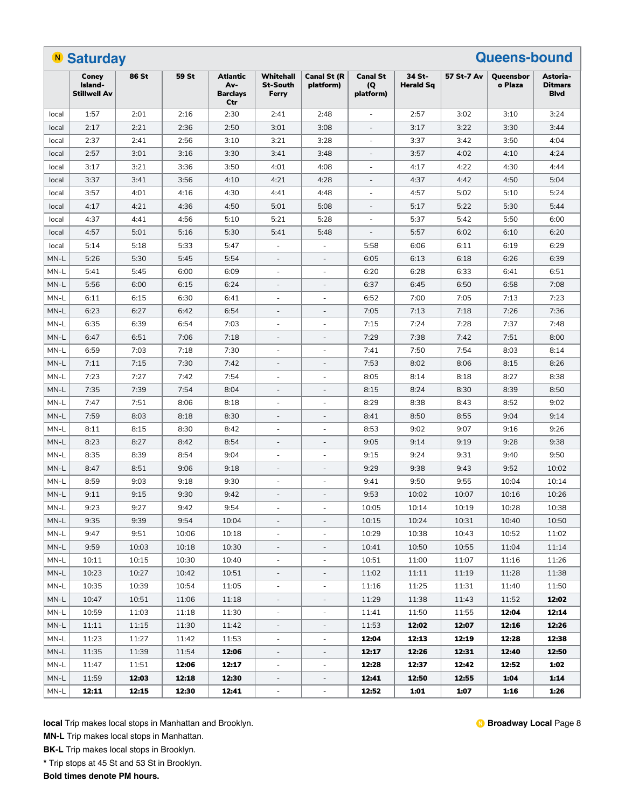|                                              | <b>Queens-bound</b><br><b>N</b> Saturday |       |       |                                           |                                       |                          |                                     |                            |            |                             |                                           |  |  |
|----------------------------------------------|------------------------------------------|-------|-------|-------------------------------------------|---------------------------------------|--------------------------|-------------------------------------|----------------------------|------------|-----------------------------|-------------------------------------------|--|--|
|                                              | Coney<br>Island-<br><b>Stillwell Av</b>  | 86 St | 59 St | Atlantic<br>Av-<br><b>Barclays</b><br>Ctr | Whitehall<br><b>St-South</b><br>Ferry | Canal St (R<br>platform) | <b>Canal St</b><br>(Q)<br>platform) | 34 St-<br><b>Herald Sq</b> | 57 St-7 Av | <b>Oueensbor</b><br>o Plaza | Astoria-<br><b>Ditmars</b><br><b>Blvd</b> |  |  |
| local                                        | 1:57                                     | 2:01  | 2:16  | 2:30                                      | 2:41                                  | 2:48                     |                                     | 2:57                       | 3:02       | 3:10                        | 3:24                                      |  |  |
| local                                        | 2:17                                     | 2:21  | 2:36  | 2:50                                      | 3:01                                  | 3:08                     |                                     | 3:17                       | 3:22       | 3:30                        | 3:44                                      |  |  |
| local                                        | 2:37                                     | 2:41  | 2:56  | 3:10                                      | 3:21                                  | 3:28                     |                                     | 3:37                       | 3:42       | 3:50                        | 4:04                                      |  |  |
| local                                        | 2:57                                     | 3:01  | 3:16  | 3:30                                      | 3:41                                  | 3:48                     |                                     | 3:57                       | 4:02       | 4:10                        | 4:24                                      |  |  |
| local                                        | 3:17                                     | 3:21  | 3:36  | 3:50                                      | 4:01                                  | 4:08                     | ÷,                                  | 4:17                       | 4:22       | 4:30                        | 4:44                                      |  |  |
| local                                        | 3:37                                     | 3:41  | 3:56  | 4:10                                      | 4:21                                  | 4:28                     | $\overline{\phantom{a}}$            | 4:37                       | 4:42       | 4:50                        | 5:04                                      |  |  |
| local                                        | 3:57                                     | 4:01  | 4:16  | 4:30                                      | 4:41                                  | 4:48                     | $\overline{a}$                      | 4:57                       | 5:02       | 5:10                        | 5:24                                      |  |  |
| local                                        | 4:17                                     | 4:21  | 4:36  | 4:50                                      | 5:01                                  | 5:08                     | ÷,                                  | 5:17                       | 5:22       | 5:30                        | 5:44                                      |  |  |
| local                                        | 4:37                                     | 4:41  | 4:56  | 5:10                                      | 5:21                                  | 5:28                     | ÷,                                  | 5:37                       | 5:42       | 5:50                        | 6:00                                      |  |  |
| local                                        | 4:57                                     | 5:01  | 5:16  | 5:30                                      | 5:41                                  | 5:48                     |                                     | 5:57                       | 6:02       | 6:10                        | 6:20                                      |  |  |
| local                                        | 5:14                                     | 5:18  | 5:33  | 5:47                                      | ٠                                     | ÷,                       | 5:58                                | 6:06                       | 6:11       | 6:19                        | 6:29                                      |  |  |
| MN-L                                         | 5:26                                     | 5:30  | 5:45  | 5:54                                      |                                       |                          | 6:05                                | 6:13                       | 6:18       | 6:26                        | 6:39                                      |  |  |
| MN-L                                         | 5:41                                     | 5:45  | 6:00  | 6:09                                      | $\overline{\phantom{a}}$              | $\overline{\phantom{a}}$ | 6:20                                | 6:28                       | 6:33       | 6:41                        | 6:51                                      |  |  |
| MN-L                                         | 5:56                                     | 6:00  | 6:15  | 6:24                                      | $\overline{\phantom{a}}$              | $\overline{\phantom{a}}$ | 6:37                                | 6:45                       | 6:50       | 6:58                        | 7:08                                      |  |  |
| MN-L                                         | 6:11                                     | 6:15  | 6:30  | 6:41                                      | ÷.                                    | $\sim$                   | 6:52                                | 7:00                       | 7:05       | 7:13                        | 7:23                                      |  |  |
| MN-L                                         | 6:23                                     | 6:27  | 6:42  | 6:54                                      | $\overline{\phantom{a}}$              | $\overline{\phantom{a}}$ | 7:05                                | 7:13                       | 7:18       | 7:26                        | 7:36                                      |  |  |
| MN-L                                         | 6:35                                     | 6:39  | 6:54  | 7:03                                      |                                       |                          | 7:15                                | 7:24                       | 7:28       | 7:37                        | 7:48                                      |  |  |
| MN-L                                         | 6:47                                     | 6:51  | 7:06  | 7:18                                      | ÷,                                    | $\overline{a}$           | 7:29                                | 7:38                       | 7:42       | 7:51                        | 8:00                                      |  |  |
| MN-L                                         | 6:59                                     | 7:03  | 7:18  | 7:30                                      |                                       |                          | 7:41                                | 7:50                       | 7:54       | 8:03                        | 8:14                                      |  |  |
| MN-L                                         | 7:11                                     | 7:15  | 7:30  | 7:42                                      | $\overline{\phantom{a}}$              | $\overline{\phantom{a}}$ | 7:53                                | 8:02                       | 8:06       | 8:15                        | 8:26                                      |  |  |
| MN-L                                         | 7:23                                     | 7:27  | 7:42  | 7:54                                      | ÷.                                    | $\sim$                   | 8:05                                | 8:14                       | 8:18       | 8:27                        | 8:38                                      |  |  |
| MN-L                                         | 7:35                                     | 7:39  | 7:54  | 8:04                                      | $\overline{\phantom{a}}$              | $\overline{\phantom{a}}$ | 8:15                                | 8:24                       | 8:30       | 8:39                        | 8:50                                      |  |  |
| MN-L                                         | 7:47                                     | 7:51  | 8:06  | 8:18                                      | ÷                                     | $\sim$                   | 8:29                                | 8:38                       | 8:43       | 8:52                        | 9:02                                      |  |  |
| MN-L                                         | 7:59                                     | 8:03  | 8:18  | 8:30                                      | $\overline{\phantom{a}}$              | $\overline{\phantom{a}}$ | 8:41                                | 8:50                       | 8:55       | 9:04                        | 9:14                                      |  |  |
| MN-L                                         | 8:11                                     | 8:15  | 8:30  | 8:42                                      | ٠                                     | $\sim$                   | 8:53                                | 9:02                       | 9:07       | 9:16                        | 9:26                                      |  |  |
| MN-L                                         | 8:23                                     | 8:27  | 8:42  | 8:54                                      |                                       |                          | 9:05                                | 9:14                       | 9:19       | 9:28                        | 9:38                                      |  |  |
| MN-L                                         | 8:35                                     | 8:39  | 8:54  | 9:04                                      | $\overline{\phantom{a}}$              | $\overline{\phantom{a}}$ | 9:15                                | 9:24                       | 9:31       | 9:40                        | 9:50                                      |  |  |
| MN-L                                         | 8:47                                     | 8:51  | 9:06  | 9:18                                      | $\overline{\phantom{a}}$              | $\overline{\phantom{a}}$ | 9:29                                | 9:38                       | 9:43       | 9:52                        | 10:02                                     |  |  |
| MN-L                                         | 8:59                                     | 9:03  | 9:18  | 9:30                                      | ä,                                    | $\sim$                   | 9:41                                | 9:50                       | 9:55       | 10:04                       | 10:14                                     |  |  |
| MN-L                                         | 9:11                                     | 9:15  | 9:30  | 9:42                                      | $\overline{\phantom{a}}$              | $\overline{\phantom{a}}$ | 9:53                                | 10:02                      | 10:07      | 10:16                       | 10:26                                     |  |  |
| $\ensuremath{\mathsf{MN}\text{-}\mathsf{L}}$ | 9:23                                     | 9:27  | 9:42  | 9:54                                      |                                       |                          | 10:05                               | 10:14                      | 10:19      | 10:28                       | 10:38                                     |  |  |
| MN-L                                         | 9:35                                     | 9:39  | 9:54  | 10:04                                     |                                       |                          | 10:15                               | 10:24                      | 10:31      | 10:40                       | 10:50                                     |  |  |
| MN-L                                         | 9:47                                     | 9:51  | 10:06 | 10:18                                     | $\overline{\phantom{a}}$              | $\overline{\phantom{a}}$ | 10:29                               | 10:38                      | 10:43      | 10:52                       | 11:02                                     |  |  |
| MN-L                                         | 9:59                                     | 10:03 | 10:18 | 10:30                                     | $\overline{\phantom{a}}$              | $\overline{\phantom{a}}$ | 10:41                               | 10:50                      | 10:55      | 11:04                       | 11:14                                     |  |  |
| MN-L                                         | 10:11                                    | 10:15 | 10:30 | 10:40                                     | $\overline{\phantom{a}}$              | $\overline{\phantom{a}}$ | 10:51                               | 11:00                      | 11:07      | 11:16                       | 11:26                                     |  |  |
| MN-L                                         | 10:23                                    | 10:27 | 10:42 | 10:51                                     | $\sim$                                | $\overline{\phantom{a}}$ | 11:02                               | 11:11                      | 11:19      | 11:28                       | 11:38                                     |  |  |
| MN-L                                         | 10:35                                    | 10:39 | 10:54 | 11:05                                     | $\overline{\phantom{a}}$              | $\overline{\phantom{a}}$ | 11:16                               | 11:25                      | 11:31      | 11:40                       | 11:50                                     |  |  |
| MN-L                                         | 10:47                                    | 10:51 | 11:06 | 11:18                                     |                                       |                          | 11:29                               | 11:38                      | 11:43      | 11:52                       | 12:02                                     |  |  |
| MN-L                                         | 10:59                                    | 11:03 | 11:18 | 11:30                                     | $\overline{\phantom{a}}$              | ÷,                       | 11:41                               | 11:50                      | 11:55      | 12:04                       | 12:14                                     |  |  |
| MN-L                                         | 11:11                                    | 11:15 | 11:30 | 11:42                                     | $\overline{\phantom{a}}$              | $\qquad \qquad -$        | 11:53                               | 12:02                      | 12:07      | 12:16                       | 12:26                                     |  |  |
| MN-L                                         | 11:23                                    | 11:27 | 11:42 | 11:53                                     | $\overline{\phantom{a}}$              | $\overline{\phantom{a}}$ | 12:04                               | 12:13                      | 12:19      | 12:28                       | 12:38                                     |  |  |
| MN-L                                         | 11:35                                    | 11:39 | 11:54 | 12:06                                     | $\overline{\phantom{a}}$              | $\overline{\phantom{a}}$ | 12:17                               | 12:26                      | 12:31      | 12:40                       | 12:50                                     |  |  |
| MN-L                                         | 11:47                                    | 11:51 | 12:06 | 12:17                                     | $\overline{\phantom{a}}$              | $\overline{\phantom{a}}$ | 12:28                               | 12:37                      | 12:42      | 12:52                       | 1:02                                      |  |  |
| MN-L                                         | 11:59                                    | 12:03 | 12:18 | 12:30                                     | $\overline{\phantom{a}}$              | $\overline{\phantom{a}}$ | 12:41                               | 12:50                      | 12:55      | 1:04                        | 1:14                                      |  |  |
| MN-L                                         | 12:11                                    | 12:15 | 12:30 | 12:41                                     | $\overline{\phantom{a}}$              | $\overline{\phantom{a}}$ | 12:52                               | 1:01                       | 1:07       | 1:16                        | 1:26                                      |  |  |
|                                              |                                          |       |       |                                           |                                       |                          |                                     |                            |            |                             |                                           |  |  |

**MN-L** Trip makes local stops in Manhattan.

**BK-L** Trip makes local stops in Brooklyn.

**\*** Trip stops at 45 St and 53 St in Brooklyn.

**Bold times denote PM hours.**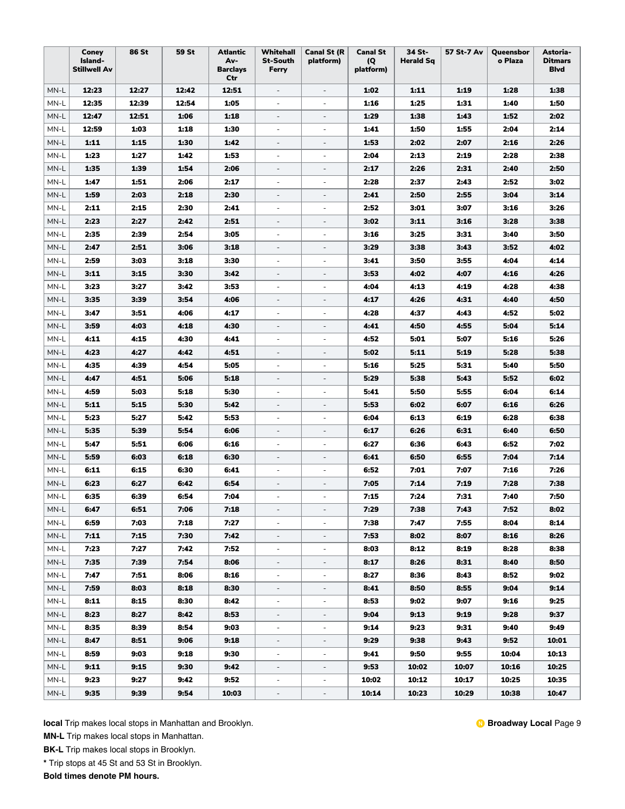|        | Coney<br>Island-<br><b>Stillwell Av</b> | 86 St | <b>59 St</b> | <b>Atlantic</b><br>Av-<br><b>Barclays</b><br>Ctr | Whitehall<br><b>St-South</b><br>Ferry | <b>Canal St (R</b><br>platform) | <b>Canal St</b><br>(Q)<br>platform) | 34 St-<br><b>Herald Sq</b> | 57 St-7 Av | Queensbor<br>o Plaza | Astoria-<br><b>Ditmars</b><br><b>Blvd</b> |
|--------|-----------------------------------------|-------|--------------|--------------------------------------------------|---------------------------------------|---------------------------------|-------------------------------------|----------------------------|------------|----------------------|-------------------------------------------|
| MN-L   | 12:23                                   | 12:27 | 12:42        | 12:51                                            | $\overline{\phantom{a}}$              | $\overline{\phantom{a}}$        | 1:02                                | 1:11                       | 1:19       | 1:28                 | 1:38                                      |
| MN-L   | 12:35                                   | 12:39 | 12:54        | 1:05                                             | $\overline{\phantom{a}}$              | $\overline{\phantom{a}}$        | 1:16                                | 1:25                       | 1:31       | 1:40                 | 1:50                                      |
| MN-L   | 12:47                                   | 12:51 | 1:06         | 1:18                                             | $\overline{\phantom{a}}$              | $\overline{\phantom{a}}$        | 1:29                                | 1:38                       | 1:43       | 1:52                 | 2:02                                      |
| MN-L   | 12:59                                   | 1:03  | 1:18         | 1:30                                             | ÷                                     | $\overline{\phantom{a}}$        | 1:41                                | 1:50                       | 1:55       | 2:04                 | 2:14                                      |
| MN-L   | 1:11                                    | 1:15  | 1:30         | 1:42                                             | $\overline{\phantom{a}}$              | $\overline{\phantom{a}}$        | 1:53                                | 2:02                       | 2:07       | 2:16                 | 2:26                                      |
| MN-L   | 1:23                                    | 1:27  | 1:42         | 1:53                                             | $\overline{\phantom{a}}$              | $\overline{\phantom{a}}$        | 2:04                                | 2:13                       | 2:19       | 2:28                 | 2:38                                      |
| MN-L   | 1:35                                    | 1:39  | 1:54         | 2:06                                             |                                       | $\frac{1}{2}$                   | 2:17                                | 2:26                       | 2:31       | 2:40                 | 2:50                                      |
| MN-L   | 1:47                                    | 1:51  | 2:06         | 2:17                                             | $\overline{\phantom{a}}$              | $\overline{\phantom{a}}$        | 2:28                                | 2:37                       | 2:43       | 2:52                 | 3:02                                      |
| MN-L   | 1:59                                    | 2:03  | 2:18         | 2:30                                             | $\overline{\phantom{a}}$              | $\overline{\phantom{a}}$        | 2:41                                | 2:50                       | 2:55       | 3:04                 | 3:14                                      |
| MN-L   | 2:11                                    | 2:15  | 2:30         | 2:41                                             | $\overline{\phantom{a}}$              | $\overline{\phantom{a}}$        | 2:52                                | 3:01                       | 3:07       | 3:16                 | 3:26                                      |
| MN-L   | 2:23                                    | 2:27  | 2:42         | 2:51                                             | $\overline{\phantom{m}}$              | $\overline{\phantom{a}}$        | 3:02                                | 3:11                       | 3:16       | 3:28                 | 3:38                                      |
| MN-L   | 2:35                                    | 2:39  | 2:54         | 3:05                                             | $\overline{\phantom{a}}$              | $\overline{\phantom{a}}$        | 3:16                                | 3:25                       | 3:31       | 3:40                 | 3:50                                      |
| MN-L   | 2:47                                    | 2:51  | 3:06         | 3:18                                             | $\overline{\phantom{m}}$              | $\overline{\phantom{a}}$        | 3:29                                | 3:38                       | 3:43       | 3:52                 | 4:02                                      |
| MN-L   | 2:59                                    | 3:03  | 3:18         | 3:30                                             | ٠                                     | ä,                              | 3:41                                | 3:50                       | 3:55       | 4:04                 | 4:14                                      |
| MN-L   | 3:11                                    | 3:15  | 3:30         | 3:42                                             | $\overline{\phantom{m}}$              | $\frac{1}{2}$                   | 3:53                                | 4:02                       | 4:07       | 4:16                 | 4:26                                      |
| MN-L   | 3:23                                    | 3:27  | 3:42         | 3:53                                             | $\overline{\phantom{a}}$              | $\overline{\phantom{a}}$        | 4:04                                | 4:13                       | 4:19       | 4:28                 | 4:38                                      |
| MN-L   | 3:35                                    | 3:39  | 3:54         | 4:06                                             | $\overline{\phantom{a}}$              | $\overline{\phantom{a}}$        | 4:17                                | 4:26                       | 4:31       | 4:40                 | 4:50                                      |
| MN-L   | 3:47                                    | 3:51  | 4:06         | 4:17                                             | ÷                                     | $\overline{\phantom{a}}$        | 4:28                                | 4:37                       | 4:43       | 4:52                 | 5:02                                      |
| MN-L   | 3:59                                    | 4:03  | 4:18         | 4:30                                             | $\overline{\phantom{m}}$              | $\overline{\phantom{a}}$        | 4:41                                | 4:50                       | 4:55       | 5:04                 | 5:14                                      |
| MN-L   | 4:11                                    | 4:15  | 4:30         | 4:41                                             | ÷                                     | $\overline{\phantom{a}}$        | 4:52                                | 5:01                       | 5:07       | 5:16                 | 5:26                                      |
| MN-L   | 4:23                                    | 4:27  | 4:42         | 4:51                                             | $\sim$                                | $\overline{\phantom{a}}$        | 5:02                                | 5:11                       | 5:19       | 5:28                 | 5:38                                      |
| MN-L   | 4:35                                    | 4:39  | 4:54         | 5:05                                             | $\overline{\phantom{a}}$              | $\overline{\phantom{m}}$        | 5:16                                | 5:25                       | 5:31       | 5:40                 | 5:50                                      |
| MN-L   | 4:47                                    | 4:51  | 5:06         | 5:18                                             | $\overline{\phantom{a}}$              | $\overline{\phantom{a}}$        | 5:29                                | 5:38                       | 5:43       | 5:52                 | 6:02                                      |
| MN-L   | 4:59                                    | 5:03  | 5:18         | 5:30                                             | $\overline{\phantom{a}}$              | $\overline{\phantom{a}}$        | 5:41                                | 5:50                       | 5:55       | 6:04                 | 6:14                                      |
| MN-L   | 5:11                                    | 5:15  | 5:30         | 5:42                                             | $\overline{\phantom{a}}$              | $\overline{\phantom{a}}$        | 5:53                                | 6:02                       | 6:07       | 6:16                 | 6:26                                      |
| MN-L   | 5:23                                    | 5:27  | 5:42         | 5:53                                             | ä,                                    | $\overline{a}$                  | 6:04                                | 6:13                       | 6:19       | 6:28                 | 6:38                                      |
| MN-L   | 5:35                                    | 5:39  | 5:54         | 6:06                                             | $\overline{\phantom{m}}$              | $\overline{\phantom{a}}$        | 6:17                                | 6:26                       | 6:31       | 6:40                 | 6:50                                      |
| MN-L   | 5:47                                    | 5:51  | 6:06         | 6:16                                             |                                       | $\overline{\phantom{m}}$        | 6:27                                | 6:36                       | 6:43       | 6:52                 | 7:02                                      |
| MN-L   | 5:59                                    | 6:03  | 6:18         | 6:30                                             |                                       | $\qquad \qquad -$               | 6:41                                | 6:50                       | 6:55       | 7:04                 | 7:14                                      |
| MN-L   | 6:11                                    | 6:15  | 6:30         | 6:41                                             | $\overline{\phantom{a}}$              | $\overline{\phantom{a}}$        | 6:52                                | 7:01                       | 7:07       | 7:16                 | 7:26                                      |
| MN-L   | 6:23                                    | 6:27  | 6:42         | 6:54                                             | $\overline{\phantom{a}}$              | $\overline{\phantom{a}}$        | 7:05                                | 7:14                       | 7:19       | 7:28                 | 7:38                                      |
| MN-L   | 6:35                                    | 6:39  | 6:54         | 7:04                                             | ä,                                    | $\overline{\phantom{a}}$        | 7:15                                | 7:24                       | 7:31       | 7:40                 | 7:50                                      |
| $MN-L$ | 6:47                                    | 6:51  | 7:06         | 7:18                                             |                                       | $\overline{\phantom{a}}$        | 7:29                                | 7:38                       | 7:43       | 7:52                 | 8:02                                      |
| MN-L   | 6:59                                    | 7:03  | 7:18         | 7:27                                             |                                       | $\overline{\phantom{a}}$        | 7:38                                | 7:47                       | 7:55       | 8:04                 | 8:14                                      |
| MN-L   | 7:11                                    | 7:15  | 7:30         | 7:42                                             | $\overline{\phantom{0}}$              | $\overline{\phantom{a}}$        | 7:53                                | 8:02                       | 8:07       | 8:16                 | 8:26                                      |
| MN-L   | 7:23                                    | 7:27  | 7:42         | 7:52                                             | ÷                                     | $\overline{\phantom{a}}$        | 8:03                                | 8:12                       | 8:19       | 8:28                 | 8:38                                      |
| $MN-L$ | 7:35                                    | 7:39  | 7:54         | 8:06                                             | $\overline{\phantom{a}}$              | $\overline{\phantom{a}}$        | 8:17                                | 8:26                       | 8:31       | 8:40                 | 8:50                                      |
| MN-L   | 7:47                                    | 7:51  | 8:06         | 8:16                                             | ۰                                     | $\overline{\phantom{a}}$        | 8:27                                | 8:36                       | 8:43       | 8:52                 | 9:02                                      |
| MN-L   | 7:59                                    | 8:03  | 8:18         | 8:30                                             | $\overline{\phantom{a}}$              | $\overline{\phantom{a}}$        | 8:41                                | 8:50                       | 8:55       | 9:04                 | 9:14                                      |
| MN-L   | 8:11                                    | 8:15  | 8:30         | 8:42                                             | $\overline{\phantom{a}}$              | $\overline{\phantom{a}}$        | 8:53                                | 9:02                       | 9:07       | 9:16                 | 9:25                                      |
| MN-L   | 8:23                                    | 8:27  | 8:42         | 8:53                                             | $\overline{\phantom{a}}$              | $\overline{\phantom{a}}$        | 9:04                                | 9:13                       | 9:19       | 9:28                 | 9:37                                      |
| MN-L   | 8:35                                    | 8:39  | 8:54         | 9:03                                             | $\overline{\phantom{0}}$              | $\overline{\phantom{a}}$        | 9:14                                | 9:23                       | 9:31       | 9:40                 | 9:49                                      |
| MN-L   | 8:47                                    | 8:51  | 9:06         | 9:18                                             | $\overline{\phantom{a}}$              | $\overline{\phantom{a}}$        | 9:29                                | 9:38                       | 9:43       | 9:52                 | 10:01                                     |
| MN-L   | 8:59                                    | 9:03  | 9:18         | 9:30                                             | $\overline{\phantom{a}}$              | $\overline{\phantom{a}}$        | 9:41                                | 9:50                       | 9:55       | 10:04                | 10:13                                     |
| MN-L   | 9:11                                    | 9:15  | 9:30         | 9:42                                             | $\overline{\phantom{a}}$              | $\overline{\phantom{a}}$        | 9:53                                | 10:02                      | 10:07      | 10:16                | 10:25                                     |
| MN-L   | 9:23                                    | 9:27  | 9:42         | 9:52                                             | $\overline{\phantom{a}}$              | $\overline{\phantom{a}}$        | 10:02                               | 10:12                      | 10:17      | 10:25                | 10:35                                     |
| MN-L   | 9:35                                    | 9:39  | 9:54         | 10:03                                            | ÷,                                    | $\overline{\phantom{a}}$        | 10:14                               | 10:23                      | 10:29      | 10:38                | 10:47                                     |

**MN-L** Trip makes local stops in Manhattan.

**BK-L** Trip makes local stops in Brooklyn.

**\*** Trip stops at 45 St and 53 St in Brooklyn.

**Bold times denote PM hours.**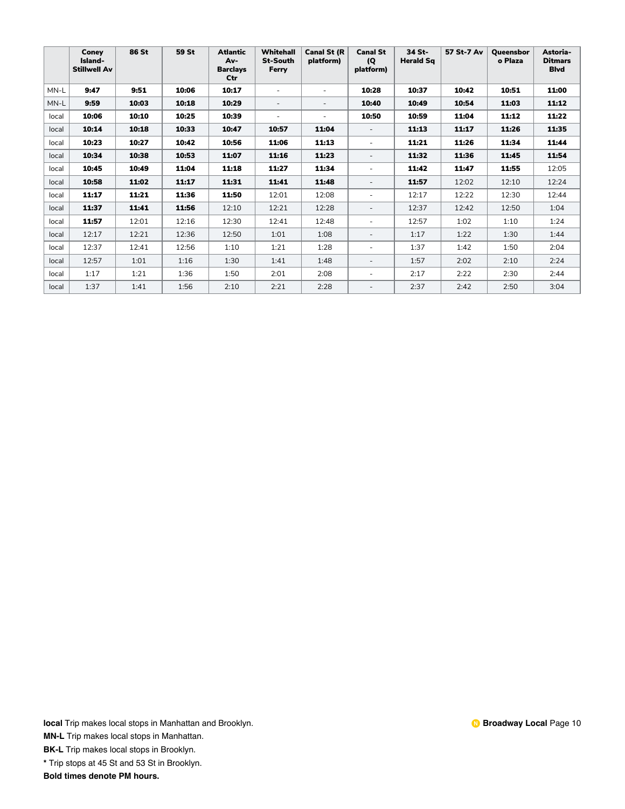|       | Coney<br>Island-<br><b>Stillwell Av</b> | 86 St | 59 St | <b>Atlantic</b><br>Av-<br><b>Barclavs</b><br>Ctr | Whitehall<br><b>St-South</b><br>Ferry | <b>Canal St (R</b><br>platform) | <b>Canal St</b><br>(Q)<br>platform) | 34 St-<br><b>Herald Sq</b> | 57 St-7 Av | <b>Oueensbor</b><br>o Plaza | Astoria-<br><b>Ditmars</b><br><b>Blvd</b> |
|-------|-----------------------------------------|-------|-------|--------------------------------------------------|---------------------------------------|---------------------------------|-------------------------------------|----------------------------|------------|-----------------------------|-------------------------------------------|
| MN-L  | 9:47                                    | 9:51  | 10:06 | 10:17                                            |                                       | ٠                               | 10:28                               | 10:37                      | 10:42      | 10:51                       | 11:00                                     |
| MN-L  | 9:59                                    | 10:03 | 10:18 | 10:29                                            | ٠                                     |                                 | 10:40                               | 10:49                      | 10:54      | 11:03                       | 11:12                                     |
| local | 10:06                                   | 10:10 | 10:25 | 10:39                                            | ٠                                     | ٠                               | 10:50                               | 10:59                      | 11:04      | 11:12                       | 11:22                                     |
| local | 10:14                                   | 10:18 | 10:33 | 10:47                                            | 10:57                                 | 11:04                           |                                     | 11:13                      | 11:17      | 11:26                       | 11:35                                     |
| local | 10:23                                   | 10:27 | 10:42 | 10:56                                            | 11:06                                 | 11:13                           |                                     | 11:21                      | 11:26      | 11:34                       | 11:44                                     |
| local | 10:34                                   | 10:38 | 10:53 | 11:07                                            | 11:16                                 | 11:23                           | $\overline{\phantom{a}}$            | 11:32                      | 11:36      | 11:45                       | 11:54                                     |
| local | 10:45                                   | 10:49 | 11:04 | 11:18                                            | 11:27                                 | 11:34                           | ٠                                   | 11:42                      | 11:47      | 11:55                       | 12:05                                     |
| local | 10:58                                   | 11:02 | 11:17 | 11:31                                            | 11:41                                 | 11:48                           | $\overline{\phantom{a}}$            | 11:57                      | 12:02      | 12:10                       | 12:24                                     |
| local | 11:17                                   | 11:21 | 11:36 | 11:50                                            | 12:01                                 | 12:08                           | ٠                                   | 12:17                      | 12:22      | 12:30                       | 12:44                                     |
| local | 11:37                                   | 11:41 | 11:56 | 12:10                                            | 12:21                                 | 12:28                           | $\sim$                              | 12:37                      | 12:42      | 12:50                       | 1:04                                      |
| local | 11:57                                   | 12:01 | 12:16 | 12:30                                            | 12:41                                 | 12:48                           | $\overline{\phantom{a}}$            | 12:57                      | 1:02       | 1:10                        | 1:24                                      |
| local | 12:17                                   | 12:21 | 12:36 | 12:50                                            | 1:01                                  | 1:08                            | $\sim$                              | 1:17                       | 1:22       | 1:30                        | 1:44                                      |
| local | 12:37                                   | 12:41 | 12:56 | 1:10                                             | 1:21                                  | 1:28                            | $\sim$                              | 1:37                       | 1:42       | 1:50                        | 2:04                                      |
| local | 12:57                                   | 1:01  | 1:16  | 1:30                                             | 1:41                                  | 1:48                            | $\sim$                              | 1:57                       | 2:02       | 2:10                        | 2:24                                      |
| local | 1:17                                    | 1:21  | 1:36  | 1:50                                             | 2:01                                  | 2:08                            | ٠                                   | 2:17                       | 2:22       | 2:30                        | 2:44                                      |
| local | 1:37                                    | 1:41  | 1:56  | 2:10                                             | 2:21                                  | 2:28                            | $\overline{\phantom{a}}$            | 2:37                       | 2:42       | 2:50                        | 3:04                                      |

**MN-L** Trip makes local stops in Manhattan.

**BK-L** Trip makes local stops in Brooklyn.

**\*** Trip stops at 45 St and 53 St in Brooklyn.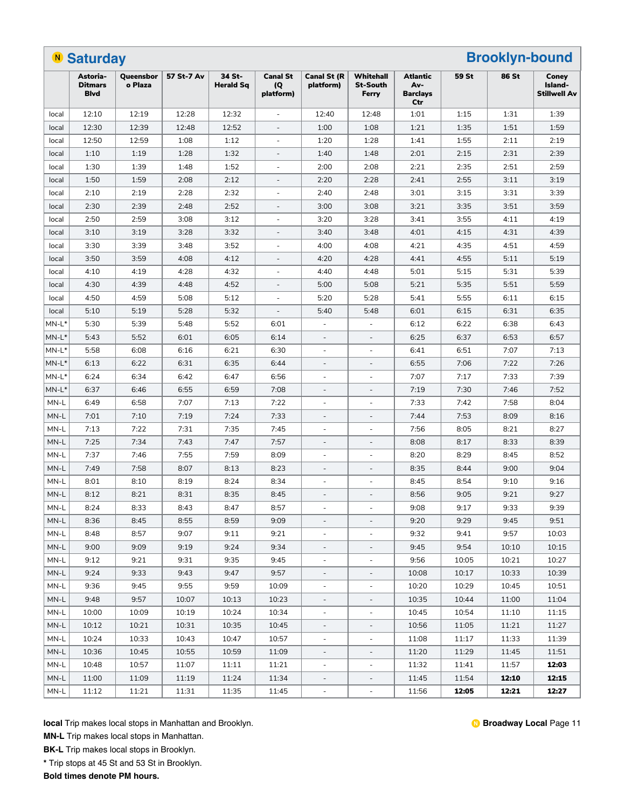|                                     | <b>N</b> Saturday                         |                      |            |                            |                                     |                          |                                       |                                                  |       | <b>Brooklyn-bound</b> |                                         |
|-------------------------------------|-------------------------------------------|----------------------|------------|----------------------------|-------------------------------------|--------------------------|---------------------------------------|--------------------------------------------------|-------|-----------------------|-----------------------------------------|
|                                     | Astoria-<br><b>Ditmars</b><br><b>Blvd</b> | Queensbor<br>o Plaza | 57 St-7 Av | 34 St-<br><b>Herald Sq</b> | <b>Canal St</b><br>(Q)<br>platform) | Canal St (R<br>platform) | Whitehall<br><b>St-South</b><br>Ferry | <b>Atlantic</b><br>Av-<br><b>Barclays</b><br>Ctr | 59 St | <b>86 St</b>          | Coney<br>Island-<br><b>Stillwell Av</b> |
| local                               | 12:10                                     | 12:19                | 12:28      | 12:32                      | $\overline{\phantom{a}}$            | 12:40                    | 12:48                                 | 1:01                                             | 1:15  | 1:31                  | 1:39                                    |
| local                               | 12:30                                     | 12:39                | 12:48      | 12:52                      | $\overline{\phantom{a}}$            | 1:00                     | 1:08                                  | 1:21                                             | 1:35  | 1:51                  | 1:59                                    |
| local                               | 12:50                                     | 12:59                | 1:08       | 1:12                       |                                     | 1:20                     | 1:28                                  | 1:41                                             | 1:55  | 2:11                  | 2:19                                    |
| local                               | 1:10                                      | 1:19                 | 1:28       | 1:32                       |                                     | 1:40                     | 1:48                                  | 2:01                                             | 2:15  | 2:31                  | 2:39                                    |
| local                               | 1:30                                      | 1:39                 | 1:48       | 1:52                       |                                     | 2:00                     | 2:08                                  | 2:21                                             | 2:35  | 2:51                  | 2:59                                    |
| local                               | 1:50                                      | 1:59                 | 2:08       | 2:12                       |                                     | 2:20                     | 2:28                                  | 2:41                                             | 2:55  | 3:11                  | 3:19                                    |
| local                               | 2:10                                      | 2:19                 | 2:28       | 2:32                       | $\overline{\phantom{a}}$            | 2:40                     | 2:48                                  | 3:01                                             | 3:15  | 3:31                  | 3:39                                    |
| local                               | 2:30                                      | 2:39                 | 2:48       | 2:52                       | $\overline{\phantom{a}}$            | 3:00                     | 3:08                                  | 3:21                                             | 3:35  | 3:51                  | 3:59                                    |
| local                               | 2:50                                      | 2:59                 | 3:08       | 3:12                       | $\overline{\phantom{a}}$            | 3:20                     | 3:28                                  | 3:41                                             | 3:55  | 4:11                  | 4:19                                    |
| local                               | 3:10                                      | 3:19                 | 3:28       | 3:32                       | $\overline{\phantom{a}}$            | 3:40                     | 3:48                                  | 4:01                                             | 4:15  | 4:31                  | 4:39                                    |
| local                               | 3:30                                      | 3:39                 | 3:48       | 3:52                       | $\overline{\phantom{a}}$            | 4:00                     | 4:08                                  | 4:21                                             | 4:35  | 4:51                  | 4:59                                    |
| local                               | 3:50                                      | 3:59                 | 4:08       | 4:12                       | $\sim$                              | 4:20                     | 4:28                                  | 4:41                                             | 4:55  | 5:11                  | 5:19                                    |
| local                               | 4:10                                      | 4:19                 | 4:28       | 4:32                       | $\overline{a}$                      | 4:40                     | 4:48                                  | 5:01                                             | 5:15  | 5:31                  | 5:39                                    |
| local                               | 4:30                                      | 4:39                 | 4:48       | 4:52                       | ÷,                                  | 5:00                     | 5:08                                  | 5:21                                             | 5:35  | 5:51                  | 5:59                                    |
| local                               | 4:50                                      | 4:59                 | 5:08       | 5:12                       | $\overline{\phantom{a}}$            | 5:20                     | 5:28                                  | 5:41                                             | 5:55  | 6:11                  | 6:15                                    |
| local                               | 5:10                                      | 5:19                 | 5:28       | 5:32                       | $\overline{\phantom{a}}$            | 5:40                     | 5:48                                  | 6:01                                             | 6:15  | 6:31                  | 6:35                                    |
| MN-L*                               | 5:30                                      | 5:39                 | 5:48       | 5:52                       | 6:01                                | $\overline{\phantom{a}}$ | ÷,                                    | 6:12                                             | 6:22  | 6:38                  | 6:43                                    |
| $MN-L^*$                            | 5:43                                      | 5:52                 | 6:01       | 6:05                       | 6:14                                | $\overline{\phantom{a}}$ | $\overline{\phantom{a}}$              | 6:25                                             | 6:37  | 6:53                  | 6:57                                    |
| $MN-L^*$                            | 5:58                                      | 6:08                 | 6:16       | 6:21                       | 6:30                                | $\sim$                   |                                       | 6:41                                             | 6:51  | 7:07                  | 7:13                                    |
| $MN-L^*$                            | 6:13                                      | 6:22                 | 6:31       | 6:35                       | 6:44                                |                          |                                       | 6:55                                             | 7:06  | 7:22                  | 7:26                                    |
| $MN-L^*$                            | 6:24                                      | 6:34                 | 6:42       | 6:47                       | 6:56                                | $\sim$                   | ÷                                     | 7:07                                             | 7:17  | 7:33                  | 7:39                                    |
| $MN-L^*$                            | 6:37                                      | 6:46                 | 6:55       | 6:59                       | 7:08                                | $\overline{\phantom{a}}$ | $\qquad \qquad -$                     | 7:19                                             | 7:30  | 7:46                  | 7:52                                    |
| MN-L                                | 6:49                                      | 6:58                 | 7:07       | 7:13                       | 7:22                                | $\sim$                   | ÷                                     | 7:33                                             | 7:42  | 7:58                  | 8:04                                    |
| MN-L                                | 7:01                                      | 7:10                 | 7:19       | 7:24                       | 7:33                                | $\overline{\phantom{a}}$ | $\overline{\phantom{a}}$              | 7:44                                             | 7:53  | 8:09                  | 8:16                                    |
| MN-L                                | 7:13                                      | 7:22                 | 7:31       | 7:35                       | 7:45                                | $\overline{\phantom{a}}$ | $\overline{\phantom{a}}$              | 7:56                                             | 8:05  | 8:21                  | 8:27                                    |
| MN-L                                | 7:25                                      | 7:34                 | 7:43       | 7:47                       | 7:57                                | $\overline{\phantom{a}}$ | $\overline{\phantom{a}}$              | 8:08                                             | 8:17  | 8:33                  | 8:39                                    |
| MN-L                                | 7:37                                      | 7:46                 | 7:55       | 7:59                       | 8:09                                | ÷,                       | ÷,                                    | 8:20                                             | 8:29  | 8:45                  | 8:52                                    |
| MN-L                                | 7:49                                      | 7:58                 | 8:07       | 8:13                       | 8:23                                |                          | $\overline{\phantom{a}}$              | 8:35                                             | 8:44  | 9:00                  | 9:04                                    |
| MN-L                                | 8:01                                      | 8:10                 | 8:19       | 8:24                       | 8:34                                | $\overline{\phantom{a}}$ | $\overline{\phantom{m}}$              | 8:45                                             | 8:54  | 9:10                  | 9:16                                    |
| MN-L                                | 8:12                                      | 8:21                 | 8:31       | 8:35                       | 8:45                                | $\overline{\phantom{a}}$ | $\sim$                                | 8:56                                             | 9:05  | 9:21                  | 9:27                                    |
| $\ensuremath{\mathsf{MN\text{-}L}}$ | 8:24                                      | 8:33                 | 8:43       | 8:47                       | 8:57                                |                          |                                       | 9:08                                             | 9:17  | 9:33                  | 9:39                                    |
| MN-L                                | 8:36                                      | 8:45                 | 8:55       | 8:59                       | 9:09                                |                          |                                       | 9:20                                             | 9:29  | 9:45                  | 9:51                                    |
| MN-L                                | 8:48                                      | 8:57                 | 9:07       | 9:11                       | 9:21                                | $\overline{\phantom{a}}$ |                                       | 9:32                                             | 9:41  | 9:57                  | 10:03                                   |
| MN-L                                | 9:00                                      | 9:09                 | 9:19       | 9:24                       | 9:34                                | $\qquad \qquad -$        | $\qquad \qquad -$                     | 9:45                                             | 9:54  | 10:10                 | 10:15                                   |
| MN-L                                | 9:12                                      | 9:21                 | 9:31       | 9:35                       | 9:45                                | ۰                        | $\qquad \qquad \blacksquare$          | 9:56                                             | 10:05 | 10:21                 | 10:27                                   |
| MN-L                                | 9:24                                      | 9:33                 | 9:43       | 9:47                       | 9:57                                | $\overline{\phantom{a}}$ | $\overline{\phantom{a}}$              | 10:08                                            | 10:17 | 10:33                 | 10:39                                   |
| MN-L                                | 9:36                                      | 9:45                 | 9:55       | 9:59                       | 10:09                               | $\overline{\phantom{a}}$ | $\overline{\phantom{a}}$              | 10:20                                            | 10:29 | 10:45                 | 10:51                                   |
| MN-L                                | 9:48                                      | 9:57                 | 10:07      | 10:13                      | 10:23                               | $\overline{\phantom{a}}$ | ÷                                     | 10:35                                            | 10:44 | 11:00                 | 11:04                                   |
| MN-L                                | 10:00                                     | 10:09                | 10:19      | 10:24                      | 10:34                               |                          | ÷                                     | 10:45                                            | 10:54 | 11:10                 | 11:15                                   |
| MN-L                                | 10:12                                     | 10:21                | 10:31      | 10:35                      | 10:45                               |                          |                                       | 10:56                                            | 11:05 | 11:21                 | 11:27                                   |
| MN-L                                | 10:24                                     | 10:33                | 10:43      | 10:47                      | 10:57                               | ÷,                       |                                       | 11:08                                            | 11:17 | 11:33                 | 11:39                                   |
| MN-L                                | 10:36                                     | 10:45                | 10:55      | 10:59                      | 11:09                               | $\overline{\phantom{a}}$ | $\qquad \qquad \blacksquare$          | 11:20                                            | 11:29 | 11:45                 | 11:51                                   |
| MN-L                                | 10:48                                     | 10:57                | 11:07      | 11:11                      | 11:21                               | $\overline{\phantom{a}}$ | $\frac{1}{2}$                         | 11:32                                            | 11:41 | 11:57                 | 12:03                                   |
| MN-L                                | 11:00                                     | 11:09                | 11:19      | 11:24                      | 11:34                               | $\overline{\phantom{a}}$ | $\overline{\phantom{a}}$              | 11:45                                            | 11:54 | 12:10                 | 12:15                                   |
| MN-L                                | 11:12                                     | 11:21                | 11:31      | 11:35                      | 11:45                               | $\overline{\phantom{a}}$ | $\blacksquare$                        | 11:56                                            | 12:05 | 12:21                 | 12:27                                   |

**MN-L** Trip makes local stops in Manhattan.

**BK-L** Trip makes local stops in Brooklyn.

**\*** Trip stops at 45 St and 53 St in Brooklyn.

**Bold times denote PM hours.**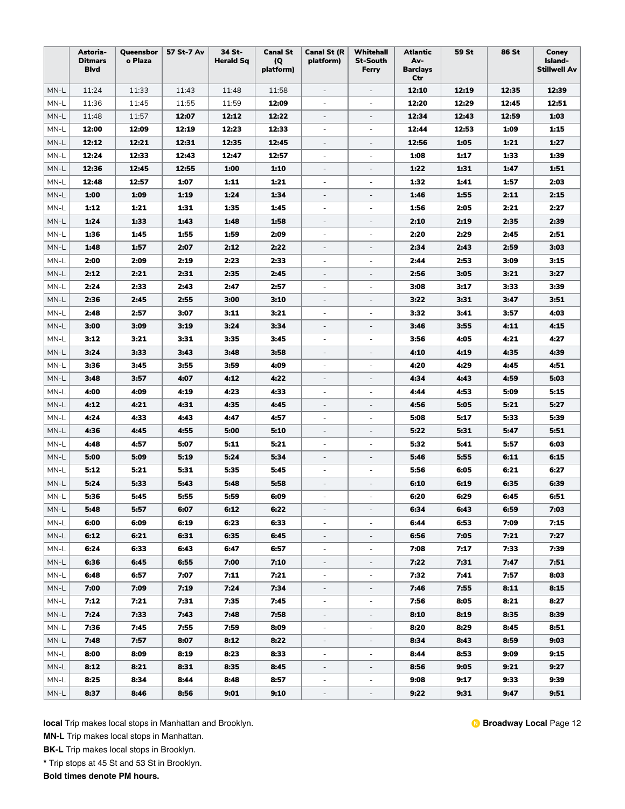|        | Astoria-<br><b>Ditmars</b><br><b>B</b> lvd | Queensbor<br>o Plaza | 57 St-7 Av | 34 St-<br><b>Herald Sq</b> | <b>Canal St</b><br>(Q)<br>platform) | <b>Canal St (R</b><br>platform) | Whitehall<br><b>St-South</b><br>Ferry | <b>Atlantic</b><br>Av-<br><b>Barclays</b><br>Ctr | 59 St | <b>86 St</b> | Coney<br>Island-<br><b>Stillwell Av</b> |
|--------|--------------------------------------------|----------------------|------------|----------------------------|-------------------------------------|---------------------------------|---------------------------------------|--------------------------------------------------|-------|--------------|-----------------------------------------|
| MN-L   | 11:24                                      | 11:33                | 11:43      | 11:48                      | 11:58                               | $\overline{\phantom{a}}$        | $\overline{\phantom{a}}$              | 12:10                                            | 12:19 | 12:35        | 12:39                                   |
| MN-L   | 11:36                                      | 11:45                | 11:55      | 11:59                      | 12:09                               | $\overline{\phantom{a}}$        | $\overline{\phantom{a}}$              | 12:20                                            | 12:29 | 12:45        | 12:51                                   |
| MN-L   | 11:48                                      | 11:57                | 12:07      | 12:12                      | 12:22                               | $\overline{\phantom{a}}$        | $\overline{\phantom{a}}$              | 12:34                                            | 12:43 | 12:59        | 1:03                                    |
| MN-L   | 12:00                                      | 12:09                | 12:19      | 12:23                      | 12:33                               | $\blacksquare$                  | $\overline{\phantom{a}}$              | 12:44                                            | 12:53 | 1:09         | 1:15                                    |
| MN-L   | 12:12                                      | 12:21                | 12:31      | 12:35                      | 12:45                               | $\overline{\phantom{a}}$        | ÷,                                    | 12:56                                            | 1:05  | 1:21         | 1:27                                    |
| MN-L   | 12:24                                      | 12:33                | 12:43      | 12:47                      | 12:57                               | $\overline{\phantom{a}}$        | $\overline{\phantom{a}}$              | 1:08                                             | 1:17  | 1:33         | 1:39                                    |
| MN-L   | 12:36                                      | 12:45                | 12:55      | 1:00                       | 1:10                                | $\qquad \qquad \blacksquare$    | $\qquad \qquad -$                     | 1:22                                             | 1:31  | 1:47         | 1:51                                    |
| MN-L   | 12:48                                      | 12:57                | 1:07       | 1:11                       | 1:21                                | $\overline{\phantom{a}}$        | $\overline{\phantom{a}}$              | 1:32                                             | 1:41  | 1:57         | 2:03                                    |
| MN-L   | 1:00                                       | 1:09                 | 1:19       | 1:24                       | 1:34                                | $\overline{\phantom{a}}$        | $\overline{\phantom{a}}$              | 1:46                                             | 1:55  | 2:11         | 2:15                                    |
| MN-L   | 1:12                                       | 1:21                 | 1:31       | 1:35                       | 1:45                                | $\overline{\phantom{a}}$        | $\overline{\phantom{a}}$              | 1:56                                             | 2:05  | 2:21         | 2:27                                    |
| MN-L   | 1:24                                       | 1:33                 | 1:43       | 1:48                       | 1:58                                | $\overline{\phantom{a}}$        | $\overline{\phantom{a}}$              | 2:10                                             | 2:19  | 2:35         | 2:39                                    |
| MN-L   | 1:36                                       | 1:45                 | 1:55       | 1:59                       | 2:09                                | $\overline{\phantom{a}}$        | ÷,                                    | 2:20                                             | 2:29  | 2:45         | 2:51                                    |
| MN-L   | 1:48                                       | 1:57                 | 2:07       | 2:12                       | 2:22                                | $\overline{\phantom{a}}$        | $\overline{\phantom{a}}$              | 2:34                                             | 2:43  | 2:59         | 3:03                                    |
| MN-L   | 2:00                                       | 2:09                 | 2:19       | 2:23                       | 2:33                                | $\overline{\phantom{a}}$        | $\overline{\phantom{a}}$              | 2:44                                             | 2:53  | 3:09         | 3:15                                    |
| MN-L   | 2:12                                       | 2:21                 | 2:31       | 2:35                       | 2:45                                | $\overline{\phantom{a}}$        | $\overline{\phantom{a}}$              | 2:56                                             | 3:05  | 3:21         | 3:27                                    |
| MN-L   | 2:24                                       | 2:33                 | 2:43       | 2:47                       | 2:57                                | $\overline{\phantom{a}}$        | $\overline{\phantom{a}}$              | 3:08                                             | 3:17  | 3:33         | 3:39                                    |
| MN-L   | 2:36                                       | 2:45                 | 2:55       | 3:00                       | 3:10                                | $\overline{\phantom{a}}$        | ÷,                                    | 3:22                                             | 3:31  | 3:47         | 3:51                                    |
| MN-L   | 2:48                                       | 2:57                 | 3:07       | 3:11                       | 3:21                                | $\overline{\phantom{a}}$        | $\overline{\phantom{a}}$              | 3:32                                             | 3:41  | 3:57         | 4:03                                    |
| MN-L   | 3:00                                       | 3:09                 | 3:19       | 3:24                       | 3:34                                | $\overline{\phantom{a}}$        | $\overline{\phantom{a}}$              | 3:46                                             | 3:55  | 4:11         | 4:15                                    |
| MN-L   | 3:12                                       | 3:21                 | 3:31       | 3:35                       | 3:45                                | $\overline{\phantom{a}}$        | $\overline{a}$                        | 3:56                                             | 4:05  | 4.21         | 4:27                                    |
| MN-L   | 3:24                                       | 3:33                 | 3:43       | 3:48                       | 3:58                                | $\overline{\phantom{a}}$        | ÷,                                    | 4:10                                             | 4:19  | 4:35         | 4:39                                    |
| MN-L   | 3:36                                       | 3:45                 | 3:55       | 3:59                       | 4:09                                | $\overline{\phantom{a}}$        | $\overline{\phantom{a}}$              | 4:20                                             | 4:29  | 4.45         | 4:51                                    |
| MN-L   | 3:48                                       | 3:57                 | 4:07       | 4:12                       | 4:22                                | $\overline{\phantom{a}}$        | $\overline{\phantom{a}}$              | 4:34                                             | 4:43  | 4:59         | 5:03                                    |
| MN-L   | 4:00                                       | 4:09                 | 4:19       | 4:23                       | 4:33                                | $\overline{\phantom{a}}$        | $\overline{\phantom{a}}$              | 4:44                                             | 4:53  | 5:09         | 5:15                                    |
| MN-L   | 4:12                                       | 4:21                 | 4:31       | 4:35                       | 4:45                                | $\overline{\phantom{a}}$        | $\overline{\phantom{a}}$              | 4:56                                             | 5:05  | 5:21         | 5:27                                    |
| MN-L   | 4:24                                       | 4:33                 | 4:43       | 4:47                       | 4:57                                | $\overline{\phantom{a}}$        |                                       | 5:08                                             | 5:17  | 5:33         | 5:39                                    |
| MN-L   | 4:36                                       | 4:45                 | 4:55       | 5:00                       | 5:10                                | $\overline{\phantom{a}}$        | $\overline{\phantom{a}}$              | 5:22                                             | 5:31  | 5:47         | 5:51                                    |
| MN-L   | 4:48                                       | 4:57                 | 5:07       | 5:11                       | 5:21                                | ÷,                              | $\overline{\phantom{a}}$              | 5:32                                             | 5:41  | 5:57         | 6:03                                    |
| MN-L   | 5:00                                       | 5:09                 | 5:19       | 5:24                       | 5:34                                | $\overline{\phantom{a}}$        | $\overline{\phantom{a}}$              | 5:46                                             | 5:55  | 6:11         | 6:15                                    |
| MN-L   | 5:12                                       | 5:21                 | 5:31       | 5:35                       | 5:45                                | $\overline{\phantom{a}}$        | $\overline{\phantom{a}}$              | 5:56                                             | 6:05  | 6:21         | 6:27                                    |
| MN-L   | 5:24                                       | 5:33                 | 5:43       | 5:48                       | 5:58                                | $\overline{\phantom{a}}$        | $\overline{\phantom{a}}$              | 6:10                                             | 6:19  | 6:35         | 6:39                                    |
| MN-L   | 5:36                                       | 5:45                 | 5:55       | 5:59                       | 6:09                                | $\overline{\phantom{a}}$        | $\overline{\phantom{a}}$              | 6:20                                             | 6:29  | 6:45         | 6:51                                    |
| MN-L   | 5:48                                       | 5:57                 | 6:07       | 6:12                       | 6:22                                | $\overline{\phantom{a}}$        |                                       | 6:34                                             | 6:43  | 6:59         | 7:03                                    |
| MN-L   | 6:00                                       | 6:09                 | 6:19       | 6:23                       | 6:33                                | ÷,                              |                                       | 6:44                                             | 6:53  | 7:09         | 7:15                                    |
| MN-L   | 6:12                                       | 6:21                 | 6:31       | 6:35                       | 6:45                                | $\overline{\phantom{0}}$        | $\overline{a}$                        | 6:56                                             | 7:05  | 7:21         | 7:27                                    |
| MN-L   | 6:24                                       | 6:33                 | 6:43       | 6:47                       | 6:57                                | $\overline{\phantom{a}}$        | $\blacksquare$                        | 7:08                                             | 7:17  | 7:33         | 7:39                                    |
| MN-L   | 6:36                                       | 6:45                 | 6:55       | 7:00                       | 7:10                                | $\overline{\phantom{a}}$        | $\overline{\phantom{a}}$              | 7:22                                             | 7:31  | 7:47         | 7:51                                    |
| MN-L   | 6:48                                       | 6:57                 | 7:07       | 7:11                       | 7:21                                | $\overline{\phantom{a}}$        | $\overline{\phantom{a}}$              | 7:32                                             | 7:41  | 7:57         | 8:03                                    |
| MN-L   | 7:00                                       | 7:09                 | 7:19       | 7:24                       | 7:34                                | $\overline{\phantom{a}}$        | $\overline{\phantom{a}}$              | 7:46                                             | 7:55  | 8:11         | 8:15                                    |
| MN-L   | 7:12                                       | 7:21                 | 7:31       | 7:35                       | 7:45                                | $\overline{\phantom{a}}$        | $\overline{\phantom{a}}$              | 7:56                                             | 8:05  | 8:21         | 8:27                                    |
| $MN-L$ | 7:24                                       | 7:33                 | 7:43       | 7:48                       | 7:58                                | $\overline{\phantom{0}}$        | $\overline{\phantom{a}}$              | 8:10                                             | 8:19  | 8:35         | 8:39                                    |
| MN-L   | 7:36                                       | 7:45                 | 7:55       | 7:59                       | 8:09                                | $\overline{\phantom{a}}$        | $\overline{\phantom{a}}$              | 8:20                                             | 8:29  | 8:45         | 8:51                                    |
| MN-L   | 7:48                                       | 7:57                 | 8:07       | 8:12                       | 8:22                                | $\overline{\phantom{a}}$        | $\overline{\phantom{a}}$              | 8:34                                             | 8:43  | 8:59         | 9:03                                    |
| MN-L   | 8:00                                       | 8:09                 | 8:19       | 8:23                       | 8:33                                | $\overline{\phantom{a}}$        | $\overline{\phantom{a}}$              | 8:44                                             | 8:53  | 9:09         | 9:15                                    |
| MN-L   | 8:12                                       | 8:21                 | 8:31       | 8:35                       | 8:45                                | $\overline{\phantom{a}}$        | $\overline{\phantom{a}}$              | 8:56                                             | 9:05  | 9:21         | 9:27                                    |
| MN-L   | 8:25                                       | 8:34                 | 8:44       | 8:48                       | 8:57                                | $\overline{\phantom{a}}$        | ÷                                     | 9:08                                             | 9:17  | 9:33         | 9:39                                    |
| MN-L   | 8:37                                       | 8:46                 | 8:56       | 9:01                       | 9:10                                | $\blacksquare$                  | $\overline{\phantom{a}}$              | 9:22                                             | 9:31  | 9:47         | 9:51                                    |

**MN-L** Trip makes local stops in Manhattan.

**BK-L** Trip makes local stops in Brooklyn.

**\*** Trip stops at 45 St and 53 St in Brooklyn.

**Bold times denote PM hours.**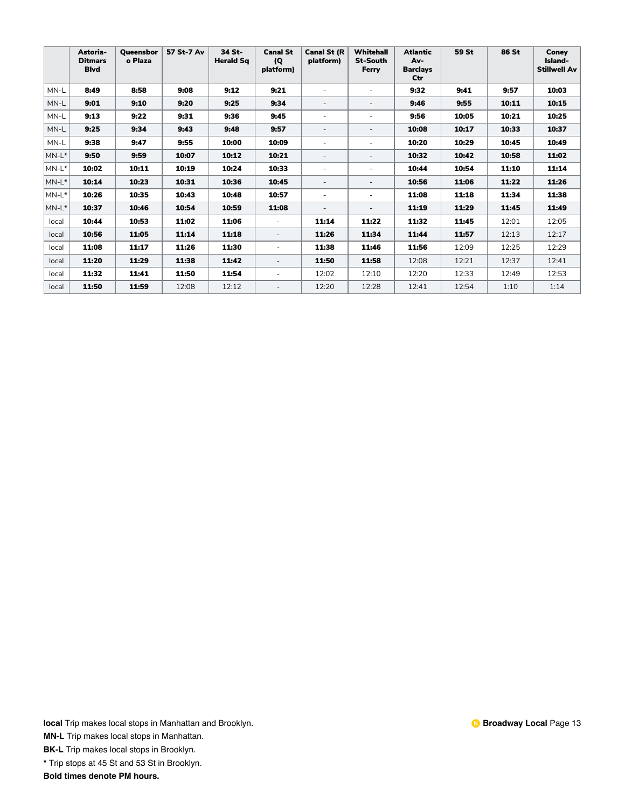|          | Astoria-<br><b>Ditmars</b><br><b>Blvd</b> | Queensbor<br>o Plaza | 57 St-7 Av | 34 St-<br><b>Herald Sq</b> | <b>Canal St</b><br>(Q)<br>platform) | <b>Canal St (R</b><br>platform) | <b>Whitehall</b><br><b>St-South</b><br>Ferry | <b>Atlantic</b><br>Av-<br><b>Barclays</b><br>Ctr | 59 St | <b>86 St</b> | Conev<br>Island-<br><b>Stillwell Av</b> |
|----------|-------------------------------------------|----------------------|------------|----------------------------|-------------------------------------|---------------------------------|----------------------------------------------|--------------------------------------------------|-------|--------------|-----------------------------------------|
| MN-L     | 8:49                                      | 8:58                 | 9:08       | 9:12                       | 9:21                                | ٠                               |                                              | 9:32                                             | 9:41  | 9:57         | 10:03                                   |
| MN-L     | 9:01                                      | 9:10                 | 9:20       | 9:25                       | 9:34                                |                                 |                                              | 9:46                                             | 9:55  | 10:11        | 10:15                                   |
| MN-L     | 9:13                                      | 9:22                 | 9:31       | 9:36                       | 9:45                                | ٠                               |                                              | 9:56                                             | 10:05 | 10:21        | 10:25                                   |
| MN-L     | 9:25                                      | 9:34                 | 9:43       | 9:48                       | 9:57                                | $\overline{\phantom{a}}$        |                                              | 10:08                                            | 10:17 | 10:33        | 10:37                                   |
| MN-L     | 9:38                                      | 9:47                 | 9:55       | 10:00                      | 10:09                               |                                 |                                              | 10:20                                            | 10:29 | 10:45        | 10:49                                   |
| $MN-L^*$ | 9:50                                      | 9:59                 | 10:07      | 10:12                      | 10:21                               | ٠                               | ٠                                            | 10:32                                            | 10:42 | 10:58        | 11:02                                   |
| $MN-L^*$ | 10:02                                     | 10:11                | 10:19      | 10:24                      | 10:33                               | ٠                               | ٠                                            | 10:44                                            | 10:54 | 11:10        | 11:14                                   |
| $MN-L^*$ | 10:14                                     | 10:23                | 10:31      | 10:36                      | 10:45                               | ٠                               | $\overline{\phantom{a}}$                     | 10:56                                            | 11:06 | 11:22        | 11:26                                   |
| $MN-L^*$ | 10:26                                     | 10:35                | 10:43      | 10:48                      | 10:57                               | ٠                               | ٠                                            | 11:08                                            | 11:18 | 11:34        | 11:38                                   |
| $MN-L^*$ | 10:37                                     | 10:46                | 10:54      | 10:59                      | 11:08                               | $\overline{\phantom{a}}$        | $\sim$                                       | 11:19                                            | 11:29 | 11:45        | 11:49                                   |
| local    | 10:44                                     | 10:53                | 11:02      | 11:06                      | $\overline{\phantom{a}}$            | 11:14                           | 11:22                                        | 11:32                                            | 11:45 | 12:01        | 12:05                                   |
| local    | 10:56                                     | 11:05                | 11:14      | 11:18                      | $\sim$                              | 11:26                           | 11:34                                        | 11:44                                            | 11:57 | 12:13        | 12:17                                   |
| local    | 11:08                                     | 11:17                | 11:26      | 11:30                      | $\sim$                              | 11:38                           | 11:46                                        | 11:56                                            | 12:09 | 12:25        | 12:29                                   |
| local    | 11:20                                     | 11:29                | 11:38      | 11:42                      | $\overline{\phantom{a}}$            | 11:50                           | 11:58                                        | 12:08                                            | 12:21 | 12:37        | 12:41                                   |
| local    | 11:32                                     | 11:41                | 11:50      | 11:54                      | $\sim$                              | 12:02                           | 12:10                                        | 12:20                                            | 12:33 | 12:49        | 12:53                                   |
| local    | 11:50                                     | 11:59                | 12:08      | 12:12                      | ٠                                   | 12:20                           | 12:28                                        | 12:41                                            | 12:54 | 1:10         | 1:14                                    |

**MN-L** Trip makes local stops in Manhattan.

**BK-L** Trip makes local stops in Brooklyn.

**\*** Trip stops at 45 St and 53 St in Brooklyn.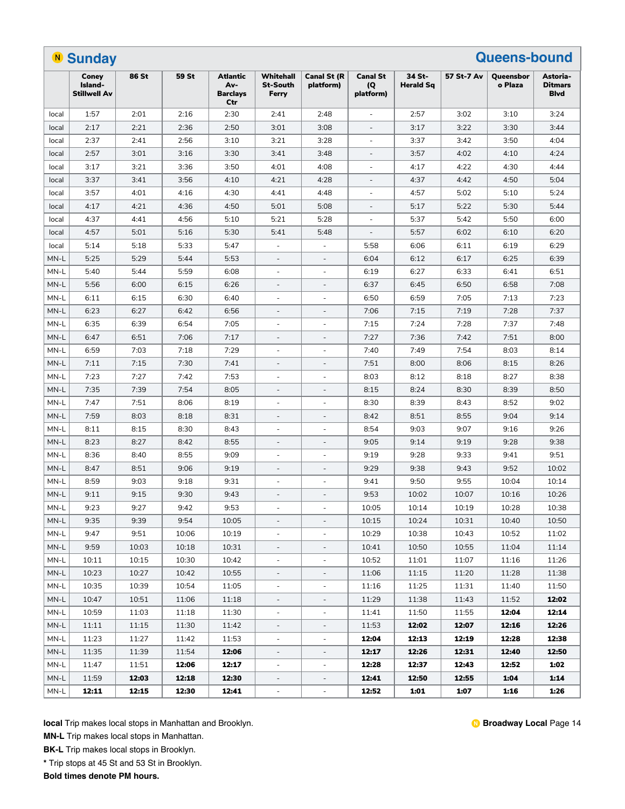|                                              | <b>Queens-bound</b><br><b>N</b> Sunday  |       |       |                                           |                                       |                                 |                                     |                            |            |                      |                                            |
|----------------------------------------------|-----------------------------------------|-------|-------|-------------------------------------------|---------------------------------------|---------------------------------|-------------------------------------|----------------------------|------------|----------------------|--------------------------------------------|
|                                              | Coney<br>Island-<br><b>Stillwell Av</b> | 86 St | 59 St | Atlantic<br>Av-<br><b>Barclays</b><br>Ctr | Whitehall<br><b>St-South</b><br>Ferry | <b>Canal St (R</b><br>platform) | <b>Canal St</b><br>(Q)<br>platform) | 34 St-<br><b>Herald Sq</b> | 57 St-7 Av | Queensbor<br>o Plaza | Astoria-<br><b>Ditmars</b><br><b>B</b> lvd |
| local                                        | 1:57                                    | 2:01  | 2:16  | 2:30                                      | 2:41                                  | 2:48                            |                                     | 2:57                       | 3:02       | 3:10                 | 3:24                                       |
| local                                        | 2:17                                    | 2:21  | 2:36  | 2:50                                      | 3:01                                  | 3:08                            |                                     | 3:17                       | 3:22       | 3:30                 | 3:44                                       |
| local                                        | 2:37                                    | 2:41  | 2:56  | 3:10                                      | 3:21                                  | 3:28                            |                                     | 3:37                       | 3:42       | 3:50                 | 4:04                                       |
| local                                        | 2:57                                    | 3:01  | 3:16  | 3:30                                      | 3:41                                  | 3:48                            |                                     | 3:57                       | 4:02       | 4:10                 | 4:24                                       |
| local                                        | 3:17                                    | 3:21  | 3:36  | 3:50                                      | 4:01                                  | 4:08                            | ÷                                   | 4:17                       | 4:22       | 4:30                 | 4:44                                       |
| local                                        | 3:37                                    | 3:41  | 3:56  | 4:10                                      | 4:21                                  | 4:28                            | $\overline{\phantom{a}}$            | 4:37                       | 4:42       | 4:50                 | 5:04                                       |
| local                                        | 3:57                                    | 4:01  | 4:16  | 4:30                                      | 4:41                                  | 4:48                            | ÷                                   | 4:57                       | 5:02       | 5:10                 | 5:24                                       |
| local                                        | 4:17                                    | 4:21  | 4:36  | 4:50                                      | 5:01                                  | 5:08                            | $\sim$                              | 5:17                       | 5:22       | 5:30                 | 5:44                                       |
| local                                        | 4:37                                    | 4:41  | 4:56  | 5:10                                      | 5:21                                  | 5:28                            |                                     | 5:37                       | 5:42       | 5:50                 | 6:00                                       |
| local                                        | 4:57                                    | 5:01  | 5:16  | 5:30                                      | 5:41                                  | 5:48                            |                                     | 5:57                       | 6:02       | 6:10                 | 6:20                                       |
| local                                        | 5:14                                    | 5:18  | 5:33  | 5:47                                      |                                       |                                 | 5:58                                | 6:06                       | 6:11       | 6:19                 | 6:29                                       |
| MN-L                                         | 5:25                                    | 5:29  | 5:44  | 5:53                                      | $\overline{\phantom{a}}$              | $\overline{\phantom{a}}$        | 6:04                                | 6:12                       | 6:17       | 6:25                 | 6:39                                       |
| MN-L                                         | 5:40                                    | 5:44  | 5:59  | 6:08                                      | $\overline{\phantom{a}}$              | $\overline{\phantom{a}}$        | 6:19                                | 6:27                       | 6:33       | 6:41                 | 6:51                                       |
| MN-L                                         | 5:56                                    | 6:00  | 6:15  | 6:26                                      | $\overline{\phantom{a}}$              | $\overline{\phantom{a}}$        | 6:37                                | 6:45                       | 6:50       | 6:58                 | 7:08                                       |
| MN-L                                         | 6:11                                    | 6:15  | 6:30  | 6:40                                      | ÷,                                    | $\sim$                          | 6:50                                | 6:59                       | 7:05       | 7:13                 | 7:23                                       |
| MN-L                                         | 6:23                                    | 6:27  | 6:42  | 6:56                                      |                                       |                                 | 7:06                                | 7:15                       | 7:19       | 7:28                 | 7:37                                       |
| MN-L                                         | 6:35                                    | 6:39  | 6:54  | 7:05                                      | ÷                                     |                                 | 7:15                                | 7:24                       | 7:28       | 7:37                 | 7:48                                       |
| MN-L                                         | 6:47                                    | 6:51  | 7:06  | 7:17                                      | $\overline{\phantom{a}}$              |                                 | 7:27                                | 7:36                       | 7:42       | 7:51                 | 8:00                                       |
| MN-L                                         | 6:59                                    | 7:03  | 7:18  | 7:29                                      | $\overline{\phantom{a}}$              | $\overline{\phantom{a}}$        | 7:40                                | 7:49                       | 7:54       | 8:03                 | 8:14                                       |
| MN-L                                         | 7:11                                    | 7:15  | 7:30  | 7:41                                      | $\overline{\phantom{a}}$              | $\overline{\phantom{a}}$        | 7:51                                | 8:00                       | 8:06       | 8:15                 | 8:26                                       |
| MN-L                                         | 7:23                                    | 7:27  | 7:42  | 7:53                                      | $\sim$                                | $\sim$                          | 8:03                                | 8:12                       | 8:18       | 8:27                 | 8:38                                       |
| MN-L                                         | 7:35                                    | 7:39  | 7:54  | 8:05                                      | $\overline{\phantom{a}}$              | $\overline{\phantom{a}}$        | 8:15                                | 8:24                       | 8:30       | 8:39                 | 8:50                                       |
| MN-L                                         | 7:47                                    | 7:51  | 8:06  | 8:19                                      | $\sim$                                | $\bar{a}$                       | 8:30                                | 8:39                       | 8:43       | 8:52                 | 9:02                                       |
| MN-L                                         | 7:59                                    | 8:03  | 8:18  | 8:31                                      | $\sim$                                | $\sim$                          | 8:42                                | 8:51                       | 8:55       | 9:04                 | 9:14                                       |
| MN-L                                         | 8:11                                    | 8:15  | 8:30  | 8:43                                      |                                       |                                 | 8:54                                | 9:03                       | 9:07       | 9:16                 | 9:26                                       |
| MN-L                                         | 8:23                                    | 8:27  | 8:42  | 8:55                                      | $\sim$                                |                                 | 9:05                                | 9:14                       | 9:19       | 9:28                 | 9:38                                       |
| MN-L                                         | 8:36                                    | 8:40  | 8:55  | 9:09                                      | $\overline{\phantom{a}}$              | $\overline{\phantom{a}}$        | 9:19                                | 9:28                       | 9:33       | 9:41                 | 9:51                                       |
| MN-L                                         | 8:47                                    | 8:51  | 9:06  | 9:19                                      | $\overline{\phantom{a}}$              | $\overline{\phantom{a}}$        | 9:29                                | 9:38                       | 9:43       | 9:52                 | 10:02                                      |
| MN-L                                         | 8:59                                    | 9:03  | 9:18  | 9:31                                      | $\overline{\phantom{a}}$              | $\overline{\phantom{a}}$        | 9:41                                | 9:50                       | 9:55       | 10:04                | 10:14                                      |
| MN-L                                         | 9:11                                    | 9:15  | 9:30  | 9:43                                      | $\overline{\phantom{a}}$              | $\overline{\phantom{a}}$        | 9:53                                | 10:02                      | 10:07      | 10:16                | 10:26                                      |
| $\ensuremath{\mathsf{MN}\text{-}\mathsf{L}}$ | 9:23                                    | 9:27  | 9:42  | 9:53                                      |                                       |                                 | 10:05                               | 10:14                      | 10:19      | 10:28                | 10:38                                      |
| MN-L                                         | 9:35                                    | 9:39  | 9:54  | 10:05                                     | $\overline{\phantom{a}}$              | $\overline{\phantom{a}}$        | 10:15                               | 10:24                      | 10:31      | 10:40                | 10:50                                      |
| MN-L                                         | 9:47                                    | 9:51  | 10:06 | 10:19                                     | $\overline{\phantom{a}}$              | $\overline{\phantom{a}}$        | 10:29                               | 10:38                      | 10:43      | 10:52                | 11:02                                      |
| MN-L                                         | 9:59                                    | 10:03 | 10:18 | 10:31                                     | $\overline{\phantom{a}}$              | $\overline{\phantom{a}}$        | 10:41                               | 10:50                      | 10:55      | 11:04                | 11:14                                      |
| MN-L                                         | 10:11                                   | 10:15 | 10:30 | 10:42                                     | $\overline{\phantom{a}}$              | $\overline{\phantom{a}}$        | 10:52                               | 11:01                      | 11:07      | 11:16                | 11:26                                      |
| MN-L                                         | 10:23                                   | 10:27 | 10:42 | 10:55                                     | $\overline{\phantom{a}}$              | $\overline{\phantom{a}}$        | 11:06                               | 11:15                      | 11:20      | 11:28                | 11:38                                      |
| MN-L                                         | 10:35                                   | 10:39 | 10:54 | 11:05                                     | $\overline{\phantom{a}}$              | $\overline{\phantom{a}}$        | 11:16                               | 11:25                      | 11:31      | 11:40                | 11:50                                      |
| MN-L                                         | 10:47                                   | 10:51 | 11:06 | 11:18                                     |                                       | $\overline{\phantom{a}}$        | 11:29                               | 11:38                      | 11:43      | 11:52                | 12:02                                      |
| MN-L                                         | 10:59                                   | 11:03 | 11:18 | 11:30                                     | $\overline{\phantom{a}}$              | $\qquad \qquad \blacksquare$    | 11:41                               | 11:50                      | 11:55      | 12:04                | 12:14                                      |
| MN-L                                         | 11:11                                   | 11:15 | 11:30 | 11:42                                     | $\overline{\phantom{a}}$              | -                               | 11:53                               | 12:02                      | 12:07      | 12:16                | 12:26                                      |
| MN-L                                         | 11:23                                   | 11:27 | 11:42 | 11:53                                     | $\overline{\phantom{a}}$              | $\overline{\phantom{a}}$        | 12:04                               | 12:13                      | 12:19      | 12:28                | 12:38                                      |
| MN-L                                         | 11:35                                   | 11:39 | 11:54 | 12:06                                     | $\overline{\phantom{a}}$              | $\overline{\phantom{a}}$        | 12:17                               | 12:26                      | 12:31      | 12:40                | 12:50                                      |
| MN-L                                         | 11:47                                   | 11:51 | 12:06 | 12:17                                     | $\overline{\phantom{a}}$              | $\overline{\phantom{a}}$        | 12:28                               | 12:37                      | 12:43      | 12:52                | 1:02                                       |
| MN-L                                         | 11:59                                   | 12:03 | 12:18 | 12:30                                     | $\overline{\phantom{a}}$              | $\overline{\phantom{a}}$        | 12:41                               | 12:50                      | 12:55      | 1:04                 | 1:14                                       |
| MN-L                                         | 12:11                                   | 12:15 | 12:30 | 12:41                                     | $\overline{\phantom{a}}$              | $\qquad \qquad \blacksquare$    | 12:52                               | 1:01                       | 1:07       | 1:16                 | 1:26                                       |
|                                              |                                         |       |       |                                           |                                       |                                 |                                     |                            |            |                      |                                            |

**MN-L** Trip makes local stops in Manhattan.

**BK-L** Trip makes local stops in Brooklyn.

**\*** Trip stops at 45 St and 53 St in Brooklyn.

**Bold times denote PM hours.**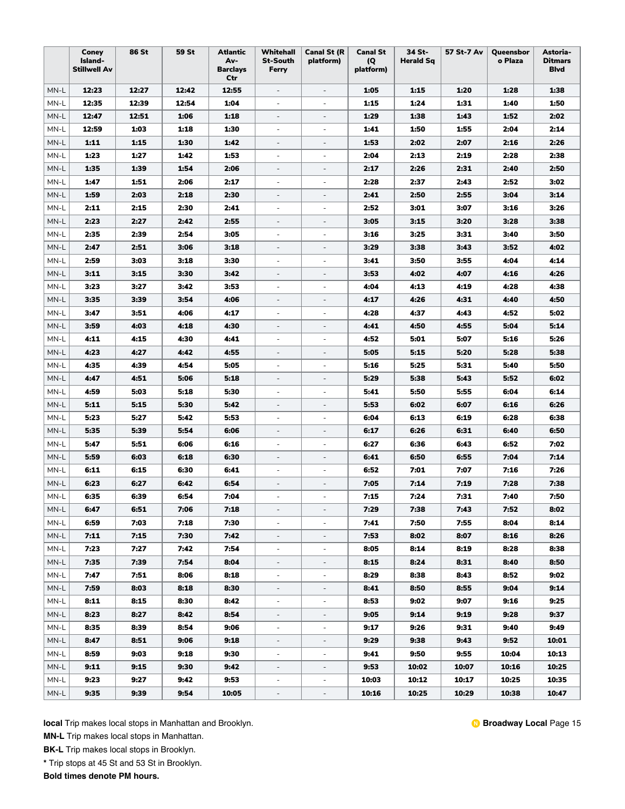|        | Coney<br>Island-<br><b>Stillwell Av</b> | 86 St | <b>59 St</b> | <b>Atlantic</b><br>Av-<br><b>Barclays</b><br>Ctr | Whitehall<br><b>St-South</b><br>Ferry | <b>Canal St (R</b><br>platform) | <b>Canal St</b><br>(Q)<br>platform) | 34 St-<br><b>Herald Sq</b> | 57 St-7 Av | Queensbor<br>o Plaza | Astoria-<br><b>Ditmars</b><br><b>Blvd</b> |
|--------|-----------------------------------------|-------|--------------|--------------------------------------------------|---------------------------------------|---------------------------------|-------------------------------------|----------------------------|------------|----------------------|-------------------------------------------|
| MN-L   | 12:23                                   | 12:27 | 12:42        | 12:55                                            | $\overline{\phantom{a}}$              | $\overline{\phantom{a}}$        | 1:05                                | 1:15                       | 1:20       | 1:28                 | 1:38                                      |
| MN-L   | 12:35                                   | 12:39 | 12:54        | 1:04                                             | $\overline{\phantom{a}}$              | $\overline{\phantom{a}}$        | 1:15                                | 1:24                       | 1:31       | 1:40                 | 1:50                                      |
| MN-L   | 12:47                                   | 12:51 | 1:06         | 1:18                                             | $\overline{\phantom{a}}$              | $\overline{\phantom{a}}$        | 1:29                                | 1:38                       | 1:43       | 1:52                 | 2:02                                      |
| MN-L   | 12:59                                   | 1:03  | 1:18         | 1:30                                             | ÷                                     | $\overline{\phantom{a}}$        | 1:41                                | 1:50                       | 1:55       | 2:04                 | 2:14                                      |
| MN-L   | 1:11                                    | 1:15  | 1:30         | 1:42                                             | $\overline{\phantom{a}}$              | $\overline{\phantom{a}}$        | 1:53                                | 2:02                       | 2:07       | 2:16                 | 2:26                                      |
| MN-L   | 1:23                                    | 1:27  | 1:42         | 1:53                                             | $\overline{\phantom{a}}$              | $\overline{\phantom{a}}$        | 2:04                                | 2:13                       | 2:19       | 2:28                 | 2:38                                      |
| MN-L   | 1:35                                    | 1:39  | 1:54         | 2:06                                             |                                       | $\frac{1}{2}$                   | 2:17                                | 2:26                       | 2:31       | 2:40                 | 2:50                                      |
| MN-L   | 1:47                                    | 1:51  | 2:06         | 2:17                                             | $\overline{\phantom{a}}$              | $\overline{\phantom{a}}$        | 2:28                                | 2:37                       | 2:43       | 2:52                 | 3:02                                      |
| MN-L   | 1:59                                    | 2:03  | 2:18         | 2:30                                             | $\overline{\phantom{a}}$              | $\overline{\phantom{a}}$        | 2:41                                | 2:50                       | 2:55       | 3:04                 | 3:14                                      |
| MN-L   | 2:11                                    | 2:15  | 2:30         | 2:41                                             | $\overline{\phantom{a}}$              | $\overline{\phantom{a}}$        | 2:52                                | 3:01                       | 3:07       | 3:16                 | 3:26                                      |
| MN-L   | 2:23                                    | 2:27  | 2:42         | 2:55                                             | $\overline{\phantom{m}}$              | $\overline{\phantom{a}}$        | 3:05                                | 3:15                       | 3:20       | 3:28                 | 3:38                                      |
| MN-L   | 2:35                                    | 2:39  | 2:54         | 3:05                                             | $\overline{\phantom{a}}$              | $\overline{\phantom{a}}$        | 3:16                                | 3:25                       | 3:31       | 3:40                 | 3:50                                      |
| MN-L   | 2:47                                    | 2:51  | 3:06         | 3:18                                             | $\overline{\phantom{m}}$              | $\overline{\phantom{a}}$        | 3:29                                | 3:38                       | 3:43       | 3:52                 | 4:02                                      |
| MN-L   | 2:59                                    | 3:03  | 3:18         | 3:30                                             | ٠                                     | ä,                              | 3:41                                | 3:50                       | 3:55       | 4:04                 | 4:14                                      |
| MN-L   | 3:11                                    | 3:15  | 3:30         | 3:42                                             | $\overline{\phantom{m}}$              | $\frac{1}{2}$                   | 3:53                                | 4:02                       | 4:07       | 4:16                 | 4:26                                      |
| MN-L   | 3:23                                    | 3:27  | 3:42         | 3:53                                             | $\overline{\phantom{a}}$              | $\overline{\phantom{a}}$        | 4:04                                | 4:13                       | 4:19       | 4:28                 | 4:38                                      |
| MN-L   | 3:35                                    | 3:39  | 3:54         | 4:06                                             | $\overline{\phantom{a}}$              | $\overline{\phantom{a}}$        | 4:17                                | 4:26                       | 4:31       | 4:40                 | 4:50                                      |
| MN-L   | 3:47                                    | 3:51  | 4:06         | 4:17                                             | ÷                                     | $\overline{\phantom{a}}$        | 4:28                                | 4:37                       | 4:43       | 4:52                 | 5:02                                      |
| MN-L   | 3:59                                    | 4:03  | 4:18         | 4:30                                             | $\overline{\phantom{m}}$              | $\overline{\phantom{a}}$        | 4:41                                | 4:50                       | 4:55       | 5:04                 | 5:14                                      |
| MN-L   | 4:11                                    | 4:15  | 4:30         | 4:41                                             | ÷                                     | $\overline{\phantom{a}}$        | 4:52                                | 5:01                       | 5:07       | 5:16                 | 5:26                                      |
| MN-L   | 4:23                                    | 4:27  | 4:42         | 4:55                                             | $\overline{\phantom{a}}$              | $\overline{\phantom{a}}$        | 5:05                                | 5:15                       | 5:20       | 5:28                 | 5:38                                      |
| MN-L   | 4:35                                    | 4:39  | 4:54         | 5:05                                             | $\overline{\phantom{a}}$              | $\overline{\phantom{m}}$        | 5:16                                | 5:25                       | 5:31       | 5:40                 | 5:50                                      |
| MN-L   | 4:47                                    | 4:51  | 5:06         | 5:18                                             | $\overline{\phantom{a}}$              | $\overline{\phantom{a}}$        | 5:29                                | 5:38                       | 5:43       | 5:52                 | 6:02                                      |
| MN-L   | 4:59                                    | 5:03  | 5:18         | 5:30                                             | $\overline{\phantom{a}}$              | $\overline{\phantom{a}}$        | 5:41                                | 5:50                       | 5:55       | 6:04                 | 6:14                                      |
| MN-L   | 5:11                                    | 5:15  | 5:30         | 5:42                                             | $\overline{\phantom{a}}$              | $\overline{\phantom{a}}$        | 5:53                                | 6:02                       | 6:07       | 6:16                 | 6:26                                      |
| MN-L   | 5:23                                    | 5:27  | 5:42         | 5:53                                             | ä,                                    | $\overline{a}$                  | 6:04                                | 6:13                       | 6:19       | 6:28                 | 6:38                                      |
| MN-L   | 5:35                                    | 5:39  | 5:54         | 6:06                                             | $\overline{\phantom{m}}$              | $\overline{\phantom{a}}$        | 6:17                                | 6:26                       | 6:31       | 6:40                 | 6:50                                      |
| MN-L   | 5:47                                    | 5:51  | 6:06         | 6:16                                             |                                       | $\overline{\phantom{m}}$        | 6:27                                | 6:36                       | 6:43       | 6:52                 | 7:02                                      |
| MN-L   | 5:59                                    | 6:03  | 6:18         | 6:30                                             |                                       | $\qquad \qquad -$               | 6:41                                | 6:50                       | 6:55       | 7:04                 | 7:14                                      |
| MN-L   | 6:11                                    | 6:15  | 6:30         | 6:41                                             | $\overline{\phantom{a}}$              | $\overline{\phantom{a}}$        | 6:52                                | 7:01                       | 7:07       | 7:16                 | 7:26                                      |
| MN-L   | 6:23                                    | 6:27  | 6:42         | 6:54                                             | $\overline{\phantom{a}}$              | $\overline{\phantom{a}}$        | 7:05                                | 7:14                       | 7:19       | 7:28                 | 7:38                                      |
| MN-L   | 6:35                                    | 6:39  | 6:54         | 7:04                                             | ä,                                    | $\overline{\phantom{a}}$        | 7:15                                | 7:24                       | 7:31       | 7:40                 | 7:50                                      |
| $MN-L$ | 6:47                                    | 6:51  | 7:06         | 7:18                                             |                                       | $\overline{\phantom{a}}$        | 7:29                                | 7:38                       | 7:43       | 7:52                 | 8:02                                      |
| MN-L   | 6:59                                    | 7:03  | 7:18         | 7:30                                             |                                       | $\overline{\phantom{a}}$        | 7:41                                | 7:50                       | 7:55       | 8:04                 | 8:14                                      |
| MN-L   | 7:11                                    | 7:15  | 7:30         | 7:42                                             | $\overline{\phantom{0}}$              | $\overline{\phantom{a}}$        | 7:53                                | 8:02                       | 8:07       | 8:16                 | 8:26                                      |
| MN-L   | 7:23                                    | 7:27  | 7:42         | 7:54                                             | ÷                                     | $\overline{\phantom{a}}$        | 8:05                                | 8:14                       | 8:19       | 8:28                 | 8:38                                      |
| $MN-L$ | 7:35                                    | 7:39  | 7:54         | 8:04                                             | $\overline{\phantom{a}}$              | $\overline{\phantom{a}}$        | 8:15                                | 8:24                       | 8:31       | 8:40                 | 8:50                                      |
| MN-L   | 7:47                                    | 7:51  | 8:06         | 8:18                                             | ۰                                     | $\overline{\phantom{a}}$        | 8:29                                | 8:38                       | 8:43       | 8:52                 | 9:02                                      |
| MN-L   | 7:59                                    | 8:03  | 8:18         | 8:30                                             | $\overline{\phantom{a}}$              | $\overline{\phantom{a}}$        | 8:41                                | 8:50                       | 8:55       | 9:04                 | 9:14                                      |
| MN-L   | 8:11                                    | 8:15  | 8:30         | 8:42                                             | $\overline{\phantom{a}}$              | $\overline{\phantom{a}}$        | 8:53                                | 9:02                       | 9:07       | 9:16                 | 9:25                                      |
| MN-L   | 8:23                                    | 8:27  | 8:42         | 8:54                                             | $\overline{\phantom{a}}$              | $\overline{\phantom{a}}$        | 9:05                                | 9:14                       | 9:19       | 9:28                 | 9:37                                      |
| MN-L   | 8:35                                    | 8:39  | 8:54         | 9:06                                             | $\overline{\phantom{0}}$              | $\overline{\phantom{a}}$        | 9:17                                | 9:26                       | 9:31       | 9:40                 | 9:49                                      |
| MN-L   | 8:47                                    | 8:51  | 9:06         | 9:18                                             | $\overline{\phantom{a}}$              | $\overline{\phantom{a}}$        | 9:29                                | 9:38                       | 9:43       | 9:52                 | 10:01                                     |
| MN-L   | 8:59                                    | 9:03  | 9:18         | 9:30                                             | $\overline{\phantom{a}}$              | $\overline{\phantom{a}}$        | 9:41                                | 9:50                       | 9:55       | 10:04                | 10:13                                     |
| MN-L   | 9:11                                    | 9:15  | 9:30         | 9:42                                             | $\overline{\phantom{a}}$              | $\overline{\phantom{a}}$        | 9:53                                | 10:02                      | 10:07      | 10:16                | 10:25                                     |
| MN-L   | 9:23                                    | 9:27  | 9:42         | 9:53                                             | $\overline{\phantom{a}}$              | $\overline{\phantom{a}}$        | 10:03                               | 10:12                      | 10:17      | 10:25                | 10:35                                     |
| MN-L   | 9:35                                    | 9:39  | 9:54         | 10:05                                            | ÷,                                    | $\overline{\phantom{a}}$        | 10:16                               | 10:25                      | 10:29      | 10:38                | 10:47                                     |

**MN-L** Trip makes local stops in Manhattan.

**BK-L** Trip makes local stops in Brooklyn.

**\*** Trip stops at 45 St and 53 St in Brooklyn.

**Bold times denote PM hours.**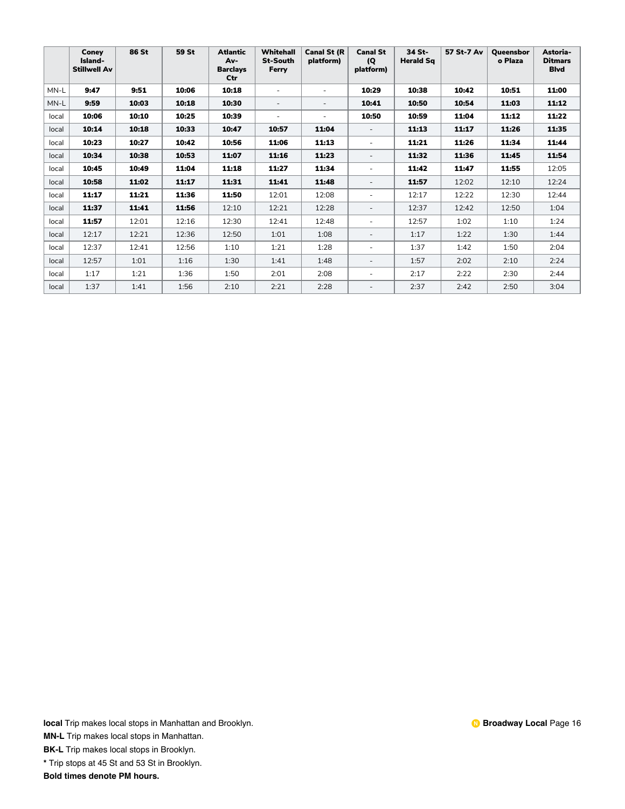|       | Coney<br>Island-<br><b>Stillwell Av</b> | 86 St | 59 St | <b>Atlantic</b><br>Av-<br><b>Barclavs</b><br>Ctr | Whitehall<br><b>St-South</b><br>Ferry | <b>Canal St (R</b><br>platform) | <b>Canal St</b><br>(Q)<br>platform) | 34 St-<br><b>Herald Sq</b> | 57 St-7 Av | <b>Oueensbor</b><br>o Plaza | Astoria-<br><b>Ditmars</b><br><b>Blvd</b> |
|-------|-----------------------------------------|-------|-------|--------------------------------------------------|---------------------------------------|---------------------------------|-------------------------------------|----------------------------|------------|-----------------------------|-------------------------------------------|
| MN-L  | 9:47                                    | 9:51  | 10:06 | 10:18                                            |                                       | ٠                               | 10:29                               | 10:38                      | 10:42      | 10:51                       | 11:00                                     |
| MN-L  | 9:59                                    | 10:03 | 10:18 | 10:30                                            | ٠                                     |                                 | 10:41                               | 10:50                      | 10:54      | 11:03                       | 11:12                                     |
| local | 10:06                                   | 10:10 | 10:25 | 10:39                                            | ٠                                     | ٠                               | 10:50                               | 10:59                      | 11:04      | 11:12                       | 11:22                                     |
| local | 10:14                                   | 10:18 | 10:33 | 10:47                                            | 10:57                                 | 11:04                           |                                     | 11:13                      | 11:17      | 11:26                       | 11:35                                     |
| local | 10:23                                   | 10:27 | 10:42 | 10:56                                            | 11:06                                 | 11:13                           |                                     | 11:21                      | 11:26      | 11:34                       | 11:44                                     |
| local | 10:34                                   | 10:38 | 10:53 | 11:07                                            | 11:16                                 | 11:23                           | $\overline{\phantom{a}}$            | 11:32                      | 11:36      | 11:45                       | 11:54                                     |
| local | 10:45                                   | 10:49 | 11:04 | 11:18                                            | 11:27                                 | 11:34                           | ٠                                   | 11:42                      | 11:47      | 11:55                       | 12:05                                     |
| local | 10:58                                   | 11:02 | 11:17 | 11:31                                            | 11:41                                 | 11:48                           | $\overline{\phantom{a}}$            | 11:57                      | 12:02      | 12:10                       | 12:24                                     |
| local | 11:17                                   | 11:21 | 11:36 | 11:50                                            | 12:01                                 | 12:08                           | ٠                                   | 12:17                      | 12:22      | 12:30                       | 12:44                                     |
| local | 11:37                                   | 11:41 | 11:56 | 12:10                                            | 12:21                                 | 12:28                           | $\sim$                              | 12:37                      | 12:42      | 12:50                       | 1:04                                      |
| local | 11:57                                   | 12:01 | 12:16 | 12:30                                            | 12:41                                 | 12:48                           | $\overline{\phantom{a}}$            | 12:57                      | 1:02       | 1:10                        | 1:24                                      |
| local | 12:17                                   | 12:21 | 12:36 | 12:50                                            | 1:01                                  | 1:08                            | $\sim$                              | 1:17                       | 1:22       | 1:30                        | 1:44                                      |
| local | 12:37                                   | 12:41 | 12:56 | 1:10                                             | 1:21                                  | 1:28                            | $\sim$                              | 1:37                       | 1:42       | 1:50                        | 2:04                                      |
| local | 12:57                                   | 1:01  | 1:16  | 1:30                                             | 1:41                                  | 1:48                            | $\sim$                              | 1:57                       | 2:02       | 2:10                        | 2:24                                      |
| local | 1:17                                    | 1:21  | 1:36  | 1:50                                             | 2:01                                  | 2:08                            | ٠                                   | 2:17                       | 2:22       | 2:30                        | 2:44                                      |
| local | 1:37                                    | 1:41  | 1:56  | 2:10                                             | 2:21                                  | 2:28                            | $\overline{\phantom{a}}$            | 2:37                       | 2:42       | 2:50                        | 3:04                                      |

**MN-L** Trip makes local stops in Manhattan.

**BK-L** Trip makes local stops in Brooklyn.

**\*** Trip stops at 45 St and 53 St in Brooklyn.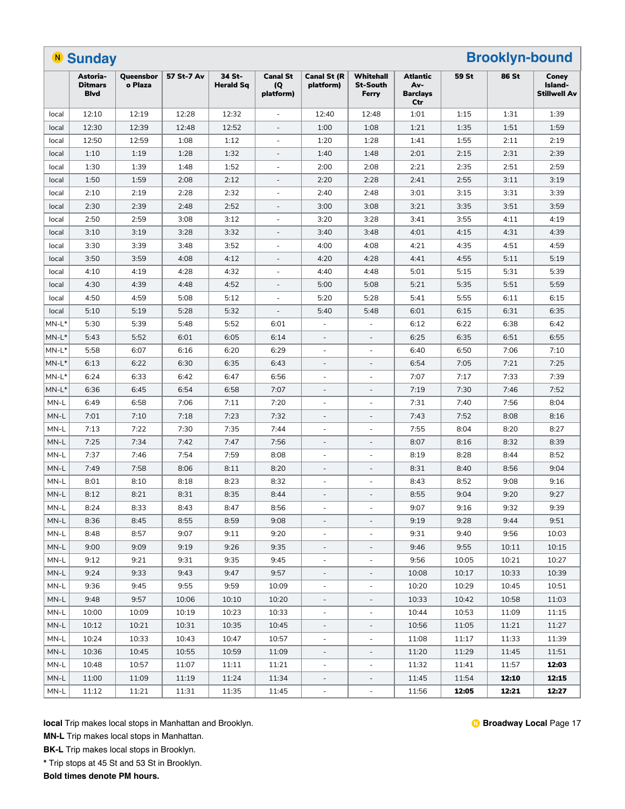|                                     | <b>Brooklyn-bound</b><br><b>N</b> Sunday  |                      |            |                            |                                     |                                 |                                       |                                           |       |              |                                  |
|-------------------------------------|-------------------------------------------|----------------------|------------|----------------------------|-------------------------------------|---------------------------------|---------------------------------------|-------------------------------------------|-------|--------------|----------------------------------|
|                                     | Astoria-<br><b>Ditmars</b><br><b>Blvd</b> | Queensbor<br>o Plaza | 57 St-7 Av | 34 St-<br><b>Herald Sq</b> | <b>Canal St</b><br>(Q)<br>platform) | <b>Canal St (R</b><br>platform) | Whitehall<br><b>St-South</b><br>Ferry | Atlantic<br>Av-<br><b>Barclays</b><br>Ctr | 59 St | <b>86 St</b> | Coney<br>Island-<br>Stillwell Av |
| local                               | 12:10                                     | 12:19                | 12:28      | 12:32                      | $\sim$                              | 12:40                           | 12:48                                 | 1:01                                      | 1:15  | 1:31         | 1:39                             |
| local                               | 12:30                                     | 12:39                | 12:48      | 12:52                      | $\overline{\phantom{a}}$            | 1:00                            | 1:08                                  | 1:21                                      | 1:35  | 1:51         | 1:59                             |
| local                               | 12:50                                     | 12:59                | 1:08       | 1:12                       |                                     | 1:20                            | 1:28                                  | 1:41                                      | 1:55  | 2:11         | 2:19                             |
| local                               | 1:10                                      | 1:19                 | 1:28       | 1:32                       |                                     | 1:40                            | 1:48                                  | 2:01                                      | 2:15  | 2:31         | 2:39                             |
| local                               | 1:30                                      | 1:39                 | 1:48       | 1:52                       |                                     | 2:00                            | 2:08                                  | 2:21                                      | 2:35  | 2:51         | 2:59                             |
| local                               | 1:50                                      | 1:59                 | 2:08       | 2:12                       |                                     | 2:20                            | 2:28                                  | 2:41                                      | 2:55  | 3:11         | 3:19                             |
| local                               | 2:10                                      | 2:19                 | 2:28       | 2:32                       | $\overline{\phantom{a}}$            | 2:40                            | 2:48                                  | 3:01                                      | 3:15  | 3:31         | 3:39                             |
| local                               | 2:30                                      | 2:39                 | 2:48       | 2:52                       | $\overline{\phantom{a}}$            | 3:00                            | 3:08                                  | 3:21                                      | 3:35  | 3:51         | 3:59                             |
| local                               | 2:50                                      | 2:59                 | 3:08       | 3:12                       | $\overline{\phantom{a}}$            | 3:20                            | 3:28                                  | 3:41                                      | 3:55  | 4:11         | 4:19                             |
| local                               | 3:10                                      | 3:19                 | 3:28       | 3:32                       | $\overline{\phantom{a}}$            | 3:40                            | 3:48                                  | 4:01                                      | 4:15  | 4:31         | 4:39                             |
| local                               | 3:30                                      | 3:39                 | 3:48       | 3:52                       |                                     | 4:00                            | 4:08                                  | 4:21                                      | 4:35  | 4:51         | 4:59                             |
| local                               | 3:50                                      | 3:59                 | 4:08       | 4:12                       | $\sim$                              | 4:20                            | 4:28                                  | 4:41                                      | 4:55  | 5:11         | 5:19                             |
| local                               | 4:10                                      | 4:19                 | 4:28       | 4:32                       | ÷,                                  | 4:40                            | 4:48                                  | 5:01                                      | 5:15  | 5:31         | 5:39                             |
| local                               | 4:30                                      | 4:39                 | 4:48       | 4:52                       | $\overline{\phantom{a}}$            | 5:00                            | 5:08                                  | 5:21                                      | 5:35  | 5:51         | 5:59                             |
| local                               | 4:50                                      | 4:59                 | 5:08       | 5:12                       | $\overline{\phantom{a}}$            | 5:20                            | 5:28                                  | 5:41                                      | 5:55  | 6:11         | 6:15                             |
| local                               | 5:10                                      | 5:19                 | 5:28       | 5:32                       | $\overline{\phantom{a}}$            | 5:40                            | 5:48                                  | 6:01                                      | 6:15  | 6:31         | 6:35                             |
| MN-L*                               | 5:30                                      | 5:39                 | 5:48       | 5:52                       | 6:01                                | $\overline{\phantom{a}}$        |                                       | 6:12                                      | 6:22  | 6:38         | 6:42                             |
| $MN-L^*$                            | 5:43                                      | 5:52                 | 6:01       | 6:05                       | 6:14                                | $\overline{\phantom{a}}$        |                                       | 6:25                                      | 6:35  | 6:51         | 6:55                             |
| $MN-L^*$                            | 5:58                                      | 6:07                 | 6:16       | 6:20                       | 6:29                                | $\sim$                          |                                       | 6:40                                      | 6:50  | 7:06         | 7:10                             |
| $MN-L^*$                            | 6:13                                      | 6:22                 | 6:30       | 6:35                       | 6:43                                | $\overline{a}$                  |                                       | 6:54                                      | 7:05  | 7:21         | 7:25                             |
| $MN-L^*$                            | 6:24                                      | 6:33                 | 6:42       | 6:47                       | 6:56                                | $\overline{\phantom{a}}$        | ÷,                                    | 7:07                                      | 7:17  | 7:33         | 7:39                             |
| $MN-L^*$                            | 6:36                                      | 6:45                 | 6:54       | 6:58                       | 7:07                                | $\qquad \qquad \blacksquare$    | $\qquad \qquad \blacksquare$          | 7:19                                      | 7:30  | 7:46         | 7:52                             |
| MN-L                                | 6:49                                      | 6:58                 | 7:06       | 7:11                       | 7:20                                | $\overline{\phantom{a}}$        | $\overline{a}$                        | 7:31                                      | 7:40  | 7:56         | 8:04                             |
| MN-L                                | 7:01                                      | 7:10                 | 7:18       | 7:23                       | 7:32                                | $\overline{\phantom{a}}$        | ÷,                                    | 7:43                                      | 7:52  | 8:08         | 8:16                             |
| MN-L                                | 7:13                                      | 7:22                 | 7:30       | 7:35                       | 7:44                                | $\sim$                          | ÷,                                    | 7:55                                      | 8:04  | 8:20         | 8:27                             |
| MN-L                                | 7:25                                      | 7:34                 | 7:42       | 7:47                       | 7:56                                | $\overline{\phantom{a}}$        | $\overline{a}$                        | 8:07                                      | 8:16  | 8:32         | 8:39                             |
| MN-L                                | 7:37                                      | 7:46                 | 7:54       | 7:59                       | 8:08                                | $\sim$                          | $\overline{\phantom{a}}$              | 8:19                                      | 8:28  | 8:44         | 8:52                             |
| MN-L                                | 7:49                                      | 7:58                 | 8:06       | 8:11                       | 8:20                                | $\overline{\phantom{m}}$        |                                       | 8:31                                      | 8:40  | 8:56         | 9:04                             |
| MN-L                                | 8:01                                      | 8:10                 | 8:18       | 8:23                       | 8:32                                | $\overline{\phantom{a}}$        | $\overline{\phantom{a}}$              | 8:43                                      | 8:52  | 9:08         | 9:16                             |
| MN-L                                | 8:12                                      | 8:21                 | 8:31       | 8:35                       | 8:44                                | $\overline{\phantom{a}}$        | $\overline{\phantom{a}}$              | 8:55                                      | 9:04  | 9:20         | 9:27                             |
| $\ensuremath{\mathsf{MN\text{-}L}}$ | 8:24                                      | 8:33                 | 8:43       | 8:47                       | 8:56                                |                                 |                                       | 9:07                                      | 9:16  | 9:32         | 9:39                             |
| MN-L                                | 8:36                                      | 8:45                 | 8:55       | 8:59                       | 9:08                                | $\overline{\phantom{a}}$        |                                       | 9:19                                      | 9:28  | 9:44         | 9:51                             |
| MN-L                                | 8:48                                      | 8:57                 | 9:07       | 9:11                       | 9:20                                | $\overline{\phantom{a}}$        |                                       | 9:31                                      | 9:40  | 9:56         | 10:03                            |
| MN-L                                | 9:00                                      | 9:09                 | 9:19       | 9:26                       | 9:35                                | $\overline{\phantom{a}}$        | $\qquad \qquad \blacksquare$          | 9:46                                      | 9:55  | 10:11        | 10:15                            |
| MN-L                                | 9:12                                      | 9:21                 | 9:31       | 9:35                       | 9:45                                | $\overline{\phantom{a}}$        | ۰                                     | 9:56                                      | 10:05 | 10:21        | 10:27                            |
| MN-L                                | 9:24                                      | 9:33                 | 9:43       | 9:47                       | 9:57                                | $\overline{\phantom{a}}$        | ۳                                     | 10:08                                     | 10:17 | 10:33        | 10:39                            |
| MN-L                                | 9:36                                      | 9:45                 | 9:55       | 9:59                       | 10:09                               | $\overline{\phantom{a}}$        | $\overline{\phantom{a}}$              | 10:20                                     | 10:29 | 10:45        | 10:51                            |
| MN-L                                | 9:48                                      | 9:57                 | 10:06      | 10:10                      | 10:20                               | $\overline{\phantom{a}}$        | $\qquad \qquad \blacksquare$          | 10:33                                     | 10:42 | 10:58        | 11:03                            |
| MN-L                                | 10:00                                     | 10:09                | 10:19      | 10:23                      | 10:33                               | $\overline{\phantom{a}}$        | $\blacksquare$                        | 10:44                                     | 10:53 | 11:09        | 11:15                            |
| MN-L                                | 10:12                                     | 10:21                | 10:31      | 10:35                      | 10:45                               |                                 |                                       | 10:56                                     | 11:05 | 11:21        | 11:27                            |
| MN-L                                | 10:24                                     | 10:33                | 10:43      | 10:47                      | 10:57                               | $\overline{\phantom{m}}$        | $\overline{\phantom{a}}$              | 11:08                                     | 11:17 | 11:33        | 11:39                            |
| MN-L                                | 10:36                                     | 10:45                | 10:55      | 10:59                      | 11:09                               | $\qquad \qquad \blacksquare$    | $\overline{\phantom{a}}$              | 11:20                                     | 11:29 | 11:45        | 11:51                            |
| MN-L                                | 10:48                                     | 10:57                | 11:07      | 11:11                      | 11:21                               | $\overline{\phantom{a}}$        | ۰                                     | 11:32                                     | 11:41 | 11:57        | 12:03                            |
| MN-L                                | 11:00                                     | 11:09                | 11:19      | 11:24                      | 11:34                               | $\overline{\phantom{a}}$        | $\overline{\phantom{a}}$              | 11:45                                     | 11:54 | 12:10        | 12:15                            |
| MN-L                                | 11:12                                     | 11:21                | 11:31      | 11:35                      | 11:45                               | $\overline{\phantom{a}}$        | $\overline{\phantom{a}}$              | 11:56                                     | 12:05 | 12:21        | 12:27                            |

**MN-L** Trip makes local stops in Manhattan.

**BK-L** Trip makes local stops in Brooklyn.

**\*** Trip stops at 45 St and 53 St in Brooklyn.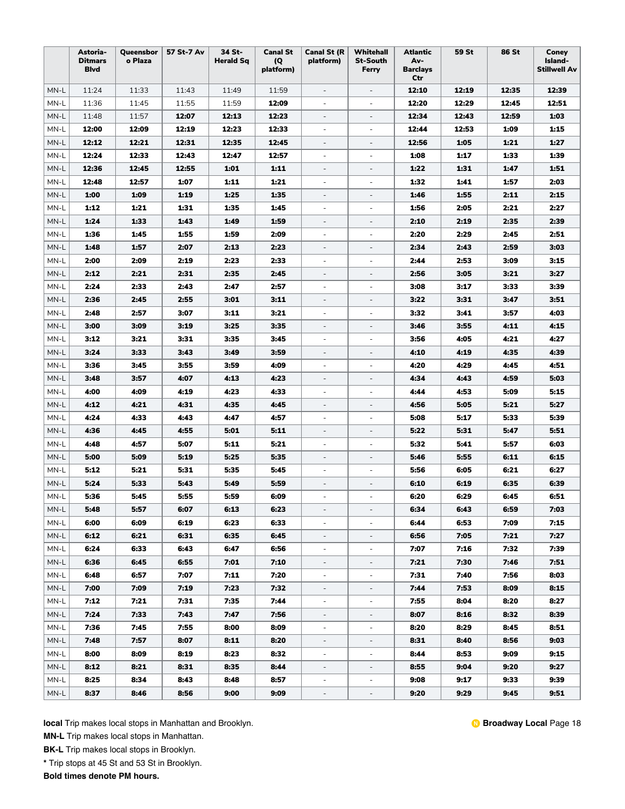|      | Astoria-<br><b>Ditmars</b><br><b>B</b> lvd | Queensbor<br>o Plaza | 57 St-7 Av | 34 St-<br><b>Herald Sq</b> | <b>Canal St</b><br>(Q)<br>platform) | <b>Canal St (R</b><br>platform) | Whitehall<br><b>St-South</b><br>Ferry | <b>Atlantic</b><br>Av-<br><b>Barclays</b><br>Ctr | 59 St | <b>86 St</b> | Coney<br>Island-<br><b>Stillwell Av</b> |
|------|--------------------------------------------|----------------------|------------|----------------------------|-------------------------------------|---------------------------------|---------------------------------------|--------------------------------------------------|-------|--------------|-----------------------------------------|
| MN-L | 11:24                                      | 11:33                | 11:43      | 11:49                      | 11:59                               | $\overline{\phantom{a}}$        | $\overline{\phantom{a}}$              | 12:10                                            | 12:19 | 12:35        | 12:39                                   |
| MN-L | 11:36                                      | 11:45                | 11:55      | 11:59                      | 12:09                               | $\overline{\phantom{a}}$        | $\overline{\phantom{a}}$              | 12:20                                            | 12:29 | 12:45        | 12:51                                   |
| MN-L | 11:48                                      | 11:57                | 12:07      | 12:13                      | 12:23                               | $\overline{\phantom{a}}$        | $\overline{\phantom{a}}$              | 12:34                                            | 12:43 | 12:59        | 1:03                                    |
| MN-L | 12:00                                      | 12:09                | 12:19      | 12:23                      | 12:33                               | $\blacksquare$                  | $\overline{\phantom{a}}$              | 12:44                                            | 12:53 | 1:09         | 1:15                                    |
| MN-L | 12:12                                      | 12:21                | 12:31      | 12:35                      | 12:45                               | $\overline{\phantom{a}}$        | ÷,                                    | 12:56                                            | 1:05  | 1:21         | 1:27                                    |
| MN-L | 12:24                                      | 12:33                | 12:43      | 12:47                      | 12:57                               | $\overline{\phantom{a}}$        | $\overline{\phantom{a}}$              | 1:08                                             | 1:17  | 1:33         | 1:39                                    |
| MN-L | 12:36                                      | 12:45                | 12:55      | 1:01                       | 1:11                                | $\qquad \qquad \blacksquare$    | $\qquad \qquad -$                     | 1:22                                             | 1:31  | 1:47         | 1:51                                    |
| MN-L | 12:48                                      | 12:57                | 1:07       | 1:11                       | 1:21                                | $\overline{\phantom{a}}$        | $\overline{\phantom{a}}$              | 1:32                                             | 1:41  | 1:57         | 2:03                                    |
| MN-L | 1:00                                       | 1:09                 | 1:19       | 1:25                       | 1:35                                | $\overline{\phantom{a}}$        | $\overline{\phantom{a}}$              | 1:46                                             | 1:55  | 2:11         | 2:15                                    |
| MN-L | 1:12                                       | 1:21                 | 1:31       | 1:35                       | 1:45                                | $\overline{\phantom{a}}$        | $\overline{\phantom{a}}$              | 1:56                                             | 2:05  | 2:21         | 2:27                                    |
| MN-L | 1:24                                       | 1:33                 | 1:43       | 1:49                       | 1:59                                | $\overline{\phantom{a}}$        | $\overline{\phantom{a}}$              | 2:10                                             | 2:19  | 2:35         | 2:39                                    |
| MN-L | 1:36                                       | 1:45                 | 1:55       | 1:59                       | 2:09                                | $\overline{\phantom{a}}$        | ÷,                                    | 2:20                                             | 2:29  | 2:45         | 2:51                                    |
| MN-L | 1:48                                       | 1:57                 | 2:07       | 2:13                       | 2:23                                | $\overline{\phantom{a}}$        | $\overline{\phantom{a}}$              | 2:34                                             | 2:43  | 2:59         | 3:03                                    |
| MN-L | 2:00                                       | 2:09                 | 2:19       | 2:23                       | 2:33                                | $\overline{\phantom{a}}$        | $\overline{\phantom{a}}$              | 2:44                                             | 2:53  | 3:09         | 3:15                                    |
| MN-L | 2:12                                       | 2:21                 | 2:31       | 2:35                       | 2:45                                | $\overline{\phantom{a}}$        | $\overline{\phantom{a}}$              | 2:56                                             | 3:05  | 3:21         | 3:27                                    |
| MN-L | 2:24                                       | 2:33                 | 2:43       | 2:47                       | 2:57                                | $\overline{\phantom{a}}$        | $\overline{\phantom{a}}$              | 3:08                                             | 3:17  | 3:33         | 3:39                                    |
| MN-L | 2:36                                       | 2:45                 | 2:55       | 3:01                       | 3:11                                | $\overline{\phantom{a}}$        | ÷,                                    | 3:22                                             | 3:31  | 3:47         | 3:51                                    |
| MN-L | 2:48                                       | 2:57                 | 3:07       | 3:11                       | 3:21                                | $\overline{\phantom{a}}$        | $\overline{\phantom{a}}$              | 3:32                                             | 3:41  | 3:57         | 4:03                                    |
| MN-L | 3:00                                       | 3:09                 | 3:19       | 3:25                       | 3:35                                | $\overline{\phantom{a}}$        | $\overline{\phantom{a}}$              | 3:46                                             | 3:55  | 4:11         | 4:15                                    |
| MN-L | 3:12                                       | 3:21                 | 3:31       | 3:35                       | 3:45                                | $\overline{\phantom{a}}$        | $\overline{a}$                        | 3:56                                             | 4:05  | 4.21         | 4:27                                    |
| MN-L | 3:24                                       | 3:33                 | 3:43       | 3:49                       | 3:59                                | $\overline{\phantom{a}}$        | ÷,                                    | 4:10                                             | 4:19  | 4:35         | 4:39                                    |
| MN-L | 3:36                                       | 3:45                 | 3:55       | 3:59                       | 4:09                                | $\overline{\phantom{a}}$        | $\overline{\phantom{a}}$              | 4:20                                             | 4:29  | 4.45         | 4:51                                    |
| MN-L | 3:48                                       | 3:57                 | 4:07       | 4:13                       | 4:23                                | $\overline{\phantom{a}}$        | $\overline{\phantom{a}}$              | 4:34                                             | 4:43  | 4:59         | 5:03                                    |
| MN-L | 4:00                                       | 4:09                 | 4:19       | 4:23                       | 4:33                                | $\overline{\phantom{a}}$        | $\overline{\phantom{a}}$              | 4:44                                             | 4:53  | 5:09         | 5:15                                    |
| MN-L | 4:12                                       | 4:21                 | 4:31       | 4:35                       | 4:45                                | $\overline{\phantom{a}}$        | $\overline{\phantom{a}}$              | 4:56                                             | 5:05  | 5:21         | 5:27                                    |
| MN-L | 4:24                                       | 4:33                 | 4:43       | 4:47                       | 4:57                                | $\overline{\phantom{a}}$        |                                       | 5:08                                             | 5:17  | 5:33         | 5:39                                    |
| MN-L | 4:36                                       | 4:45                 | 4:55       | 5:01                       | 5:11                                | $\overline{\phantom{a}}$        | $\overline{\phantom{a}}$              | 5:22                                             | 5:31  | 5:47         | 5:51                                    |
| MN-L | 4:48                                       | 4:57                 | 5:07       | 5:11                       | 5:21                                | $\overline{\phantom{a}}$        | $\overline{\phantom{a}}$              | 5:32                                             | 5:41  | 5:57         | 6:03                                    |
| MN-L | 5:00                                       | 5:09                 | 5:19       | 5:25                       | 5:35                                | $\overline{\phantom{a}}$        | $\overline{\phantom{a}}$              | 5:46                                             | 5:55  | 6:11         | 6:15                                    |
| MN-L | 5:12                                       | 5:21                 | 5:31       | 5:35                       | 5:45                                | $\overline{\phantom{a}}$        | $\overline{\phantom{a}}$              | 5:56                                             | 6:05  | 6:21         | 6:27                                    |
| MN-L | 5:24                                       | 5:33                 | 5:43       | 5:49                       | 5:59                                | $\overline{\phantom{a}}$        | $\overline{\phantom{a}}$              | 6:10                                             | 6:19  | 6:35         | 6:39                                    |
| MN-L | 5:36                                       | 5:45                 | 5:55       | 5:59                       | 6:09                                | $\overline{\phantom{a}}$        | $\overline{\phantom{a}}$              | 6:20                                             | 6:29  | 6:45         | 6:51                                    |
| MN-L | 5:48                                       | 5:57                 | 6:07       | 6:13                       | 6:23                                | $\overline{\phantom{a}}$        |                                       | 6:34                                             | 6:43  | 6:59         | 7:03                                    |
| MN-L | 6:00                                       | 6:09                 | 6:19       | 6:23                       | 6:33                                | ä,                              |                                       | 6:44                                             | 6:53  | 7:09         | 7:15                                    |
| MN-L | 6:12                                       | 6:21                 | 6:31       | 6:35                       | 6:45                                | $\overline{\phantom{0}}$        | $\overline{\phantom{a}}$              | 6:56                                             | 7:05  | 7:21         | 7:27                                    |
| MN-L | 6:24                                       | 6:33                 | 6:43       | 6:47                       | 6:56                                | $\overline{\phantom{a}}$        | $\blacksquare$                        | 7:07                                             | 7:16  | 7:32         | 7:39                                    |
| MN-L | 6:36                                       | 6:45                 | 6:55       | 7:01                       | 7:10                                | $\overline{\phantom{a}}$        | $\overline{\phantom{a}}$              | 7:21                                             | 7:30  | 7:46         | 7:51                                    |
| MN-L | 6:48                                       | 6:57                 | 7:07       | 7:11                       | 7:20                                | $\overline{\phantom{a}}$        | $\overline{\phantom{a}}$              | 7:31                                             | 7:40  | 7:56         | 8:03                                    |
| MN-L | 7:00                                       | 7:09                 | 7:19       | 7:23                       | 7:32                                | $\overline{\phantom{a}}$        | $\overline{\phantom{a}}$              | 7:44                                             | 7:53  | 8:09         | 8:15                                    |
| MN-L | 7:12                                       | 7:21                 | 7:31       | 7:35                       | 7:44                                | $\overline{\phantom{a}}$        | $\overline{\phantom{a}}$              | 7:55                                             | 8:04  | 8:20         | 8:27                                    |
| MN-L | 7:24                                       | 7:33                 | 7:43       | 7:47                       | 7:56                                | $\overline{\phantom{0}}$        | $\overline{\phantom{a}}$              | 8:07                                             | 8:16  | 8:32         | 8:39                                    |
| MN-L | 7:36                                       | 7:45                 | 7:55       | 8:00                       | 8:09                                | $\overline{\phantom{a}}$        | $\overline{\phantom{a}}$              | 8:20                                             | 8:29  | 8:45         | 8:51                                    |
| MN-L | 7:48                                       | 7:57                 | 8:07       | 8:11                       | 8:20                                | $\overline{\phantom{a}}$        | $\overline{\phantom{a}}$              | 8:31                                             | 8:40  | 8:56         | 9:03                                    |
| MN-L | 8:00                                       | 8:09                 | 8:19       | 8:23                       | 8:32                                | $\overline{\phantom{a}}$        | $\overline{\phantom{a}}$              | 8:44                                             | 8:53  | 9:09         | 9:15                                    |
| MN-L | 8:12                                       | 8:21                 | 8:31       | 8:35                       | 8:44                                | $\overline{\phantom{a}}$        | $\overline{\phantom{a}}$              | 8:55                                             | 9:04  | 9:20         | 9:27                                    |
| MN-L | 8:25                                       | 8:34                 | 8:43       | 8:48                       | 8:57                                | $\overline{\phantom{a}}$        | ÷                                     | 9:08                                             | 9:17  | 9:33         | 9:39                                    |
| MN-L | 8:37                                       | 8:46                 | 8:56       | 9:00                       | 9:09                                | $\blacksquare$                  | $\overline{\phantom{a}}$              | 9:20                                             | 9:29  | 9:45         | 9:51                                    |

**MN-L** Trip makes local stops in Manhattan.

**BK-L** Trip makes local stops in Brooklyn.

**\*** Trip stops at 45 St and 53 St in Brooklyn.

**Bold times denote PM hours.**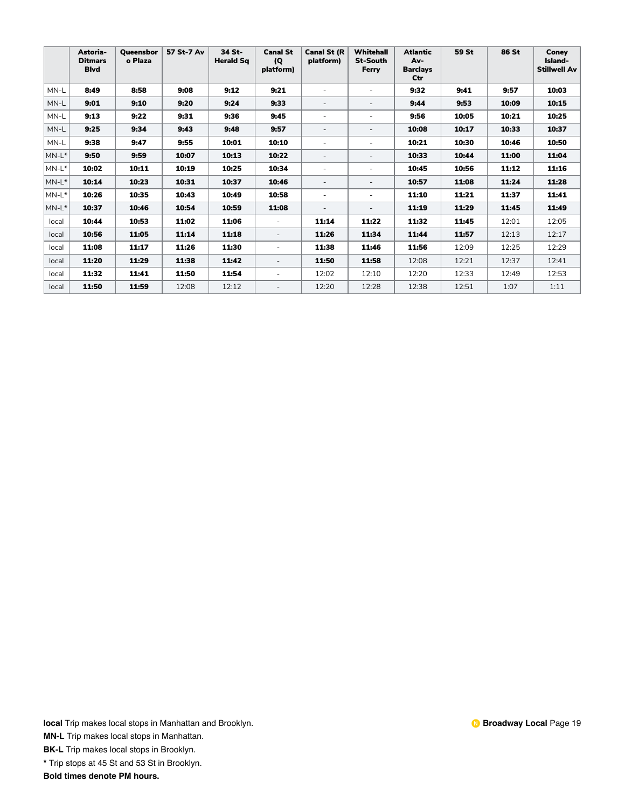|          | Astoria-<br><b>Ditmars</b><br><b>Blvd</b> | <b>Oueensbor</b><br>o Plaza | 57 St-7 Av | 34 St-<br><b>Herald Sq</b> | <b>Canal St</b><br>(Q)<br>platform) | <b>Canal St (R</b><br>platform) | <b>Whitehall</b><br><b>St-South</b><br>Ferry | <b>Atlantic</b><br>Av-<br><b>Barclays</b><br>Ctr | 59 St | <b>86 St</b> | Conev<br>Island-<br><b>Stillwell Av</b> |
|----------|-------------------------------------------|-----------------------------|------------|----------------------------|-------------------------------------|---------------------------------|----------------------------------------------|--------------------------------------------------|-------|--------------|-----------------------------------------|
| MN-L     | 8:49                                      | 8:58                        | 9:08       | 9:12                       | 9:21                                | ٠                               |                                              | 9:32                                             | 9:41  | 9:57         | 10:03                                   |
| MN-L     | 9:01                                      | 9:10                        | 9:20       | 9:24                       | 9:33                                | $\overline{\phantom{a}}$        | $\overline{\phantom{a}}$                     | 9:44                                             | 9:53  | 10:09        | 10:15                                   |
| MN-L     | 9:13                                      | 9:22                        | 9:31       | 9:36                       | 9:45                                | ٠                               |                                              | 9:56                                             | 10:05 | 10:21        | 10:25                                   |
| MN-L     | 9:25                                      | 9:34                        | 9:43       | 9:48                       | 9:57                                | $\overline{\phantom{a}}$        | $\overline{\phantom{a}}$                     | 10:08                                            | 10:17 | 10:33        | 10:37                                   |
| MN-L     | 9:38                                      | 9:47                        | 9:55       | 10:01                      | 10:10                               | ٠                               |                                              | 10:21                                            | 10:30 | 10:46        | 10:50                                   |
| $MN-L^*$ | 9:50                                      | 9:59                        | 10:07      | 10:13                      | 10:22                               | $\overline{a}$                  | ٠                                            | 10:33                                            | 10:44 | 11:00        | 11:04                                   |
| $MN-L^*$ | 10:02                                     | 10:11                       | 10:19      | 10:25                      | 10:34                               | ٠                               | ٠                                            | 10:45                                            | 10:56 | 11:12        | 11:16                                   |
| $MN-L^*$ | 10:14                                     | 10:23                       | 10:31      | 10:37                      | 10:46                               | $\overline{\phantom{a}}$        | $\overline{\phantom{a}}$                     | 10:57                                            | 11:08 | 11:24        | 11:28                                   |
| $MN-L^*$ | 10:26                                     | 10:35                       | 10:43      | 10:49                      | 10:58                               | ٠                               | ٠                                            | 11:10                                            | 11:21 | 11:37        | 11:41                                   |
| $MN-L^*$ | 10:37                                     | 10:46                       | 10:54      | 10:59                      | 11:08                               | $\overline{\phantom{a}}$        | $\sim$                                       | 11:19                                            | 11:29 | 11:45        | 11:49                                   |
| local    | 10:44                                     | 10:53                       | 11:02      | 11:06                      | $\sim$                              | 11:14                           | 11:22                                        | 11:32                                            | 11:45 | 12:01        | 12:05                                   |
| local    | 10:56                                     | 11:05                       | 11:14      | 11:18                      | $\sim$                              | 11:26                           | 11:34                                        | 11:44                                            | 11:57 | 12:13        | 12:17                                   |
| local    | 11:08                                     | 11:17                       | 11:26      | 11:30                      | $\sim$                              | 11:38                           | 11:46                                        | 11:56                                            | 12:09 | 12:25        | 12:29                                   |
| local    | 11:20                                     | 11:29                       | 11:38      | 11:42                      | $\sim$                              | 11:50                           | 11:58                                        | 12:08                                            | 12:21 | 12:37        | 12:41                                   |
| local    | 11:32                                     | 11:41                       | 11:50      | 11:54                      | $\overline{\phantom{a}}$            | 12:02                           | 12:10                                        | 12:20                                            | 12:33 | 12:49        | 12:53                                   |
| local    | 11:50                                     | 11:59                       | 12:08      | 12:12                      | $\overline{\phantom{a}}$            | 12:20                           | 12:28                                        | 12:38                                            | 12:51 | 1:07         | 1:11                                    |

**MN-L** Trip makes local stops in Manhattan.

**BK-L** Trip makes local stops in Brooklyn.

**\*** Trip stops at 45 St and 53 St in Brooklyn.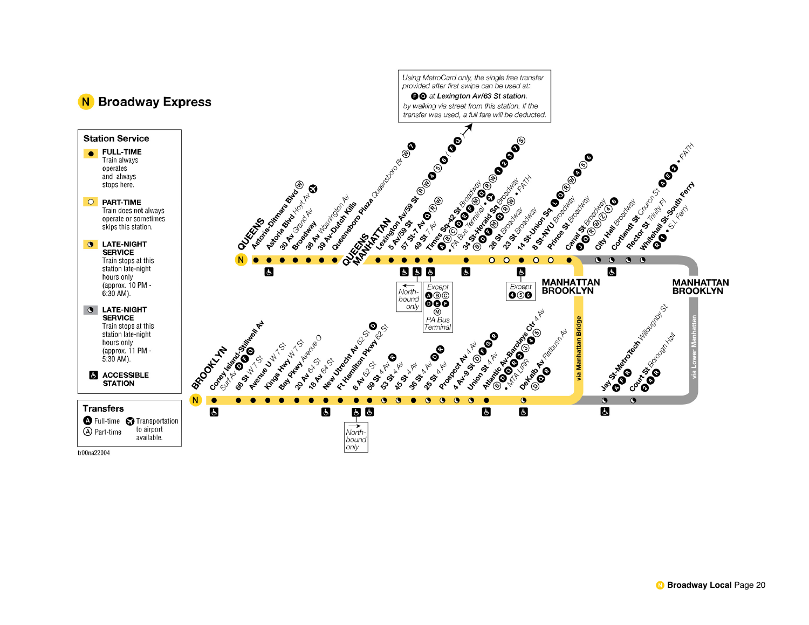